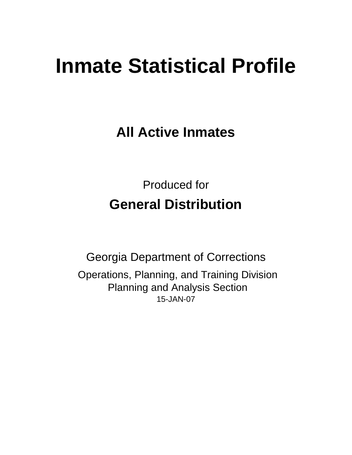# **Inmate Statistical Profile**

**All Active Inmates**

Produced for **General Distribution**

15-JAN-07 Georgia Department of Corrections Operations, Planning, and Training Division Planning and Analysis Section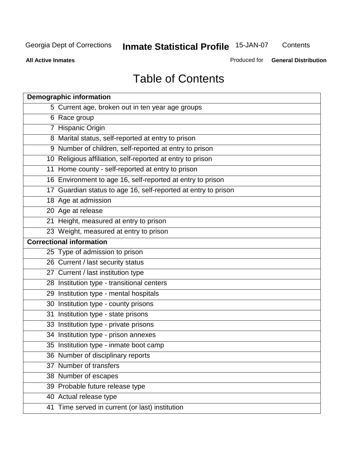**Contents** 

**All Active Inmates**

Produced for **General Distribution**

# Table of Contents

|    | <b>Demographic information</b>                                 |
|----|----------------------------------------------------------------|
|    | 5 Current age, broken out in ten year age groups               |
|    | 6 Race group                                                   |
|    | 7 Hispanic Origin                                              |
|    | 8 Marital status, self-reported at entry to prison             |
|    | 9 Number of children, self-reported at entry to prison         |
|    | 10 Religious affiliation, self-reported at entry to prison     |
|    | 11 Home county - self-reported at entry to prison              |
|    | 16 Environment to age 16, self-reported at entry to prison     |
|    | 17 Guardian status to age 16, self-reported at entry to prison |
|    | 18 Age at admission                                            |
|    | 20 Age at release                                              |
|    | 21 Height, measured at entry to prison                         |
|    | 23 Weight, measured at entry to prison                         |
|    | <b>Correctional information</b>                                |
|    | 25 Type of admission to prison                                 |
|    | 26 Current / last security status                              |
|    | 27 Current / last institution type                             |
|    | 28 Institution type - transitional centers                     |
|    | 29 Institution type - mental hospitals                         |
|    | 30 Institution type - county prisons                           |
| 31 | Institution type - state prisons                               |
|    | 33 Institution type - private prisons                          |
|    | 34 Institution type - prison annexes                           |
|    | 35 Institution type - inmate boot camp                         |
|    | 36 Number of disciplinary reports                              |
|    | 37 Number of transfers                                         |
|    | 38 Number of escapes                                           |
|    | 39 Probable future release type                                |
|    | 40 Actual release type                                         |
|    | 41 Time served in current (or last) institution                |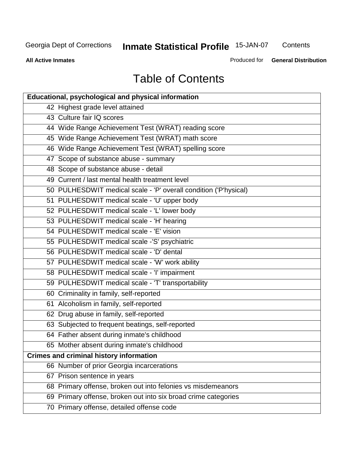**Contents** 

**All Active Inmates**

Produced for **General Distribution**

# Table of Contents

| <b>Educational, psychological and physical information</b>       |
|------------------------------------------------------------------|
| 42 Highest grade level attained                                  |
| 43 Culture fair IQ scores                                        |
| 44 Wide Range Achievement Test (WRAT) reading score              |
| 45 Wide Range Achievement Test (WRAT) math score                 |
| 46 Wide Range Achievement Test (WRAT) spelling score             |
| 47 Scope of substance abuse - summary                            |
| 48 Scope of substance abuse - detail                             |
| 49 Current / last mental health treatment level                  |
| 50 PULHESDWIT medical scale - 'P' overall condition ('P'hysical) |
| 51 PULHESDWIT medical scale - 'U' upper body                     |
| 52 PULHESDWIT medical scale - 'L' lower body                     |
| 53 PULHESDWIT medical scale - 'H' hearing                        |
| 54 PULHESDWIT medical scale - 'E' vision                         |
| 55 PULHESDWIT medical scale -'S' psychiatric                     |
| 56 PULHESDWIT medical scale - 'D' dental                         |
| 57 PULHESDWIT medical scale - 'W' work ability                   |
| 58 PULHESDWIT medical scale - 'I' impairment                     |
| 59 PULHESDWIT medical scale - 'T' transportability               |
| 60 Criminality in family, self-reported                          |
| 61 Alcoholism in family, self-reported                           |
| 62 Drug abuse in family, self-reported                           |
| 63 Subjected to frequent beatings, self-reported                 |
| 64 Father absent during inmate's childhood                       |
| 65 Mother absent during inmate's childhood                       |
| <b>Crimes and criminal history information</b>                   |
| 66 Number of prior Georgia incarcerations                        |
| 67 Prison sentence in years                                      |
| 68 Primary offense, broken out into felonies vs misdemeanors     |
| 69 Primary offense, broken out into six broad crime categories   |
| 70 Primary offense, detailed offense code                        |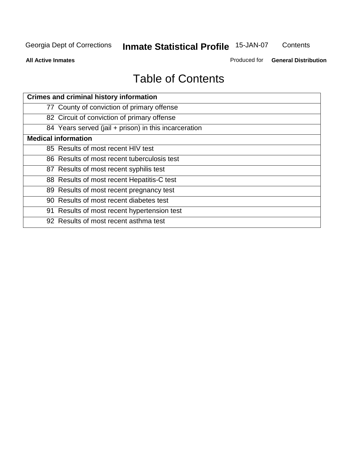**Contents** 

**All Active Inmates**

Produced for **General Distribution**

# Table of Contents

| <b>Crimes and criminal history information</b>        |
|-------------------------------------------------------|
| 77 County of conviction of primary offense            |
| 82 Circuit of conviction of primary offense           |
| 84 Years served (jail + prison) in this incarceration |
| <b>Medical information</b>                            |
| 85 Results of most recent HIV test                    |
| 86 Results of most recent tuberculosis test           |
| 87 Results of most recent syphilis test               |
| 88 Results of most recent Hepatitis-C test            |
| 89 Results of most recent pregnancy test              |
| 90 Results of most recent diabetes test               |
| 91 Results of most recent hypertension test           |
| 92 Results of most recent asthma test                 |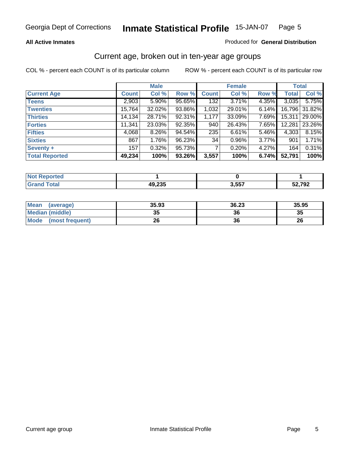#### **All Active Inmates**

#### Produced for **General Distribution**

#### Current age, broken out in ten-year age groups

|                       |              | <b>Male</b> |        |              | <b>Female</b> |          | <b>Total</b> |        |
|-----------------------|--------------|-------------|--------|--------------|---------------|----------|--------------|--------|
| <b>Current Age</b>    | <b>Count</b> | Col %       | Row %  | <b>Count</b> | Col %         | Row %    | <b>Total</b> | Col %  |
| <b>Teens</b>          | 2,903        | $5.90\%$    | 95.65% | 132          | 3.71%         | 4.35%    | 3,035        | 5.75%  |
| <b>Twenties</b>       | 15,764       | 32.02%      | 93.86% | 1,032        | 29.01%        | 6.14%    | 16,796       | 31.82% |
| <b>Thirties</b>       | 14,134       | 28.71%      | 92.31% | 1,177        | 33.09%        | 7.69%    | 15,311       | 29.00% |
| <b>Forties</b>        | 11,341       | 23.03%      | 92.35% | 940          | 26.43%        | 7.65%    | 12,281       | 23.26% |
| <b>Fifties</b>        | 4,068        | $8.26\%$    | 94.54% | 235          | 6.61%         | 5.46%    | 4,303        | 8.15%  |
| <b>Sixties</b>        | 867          | 1.76%       | 96.23% | 34           | 0.96%         | $3.77\%$ | 901          | 1.71%  |
| Seventy +             | 157          | 0.32%       | 95.73% |              | 0.20%         | 4.27%    | 164          | 0.31%  |
| <b>Total Reported</b> | 49,234       | 100%        | 93.26% | 3,557        | 100%          | 6.74%    | 52,791       | 100%   |

| N <sub>0</sub><br>rtea |                     |       |        |
|------------------------|---------------------|-------|--------|
| <b>Total</b>           | $\lambda$<br>49,Z35 | 3,557 | 52,792 |

| <b>Mean</b><br>(average) | 35.93     | 36.23 | 35.95 |
|--------------------------|-----------|-------|-------|
| <b>Median (middle)</b>   | 25<br>JJ. | 36    | 35    |
| Mode<br>(most frequent)  | 26        | 36    | 26    |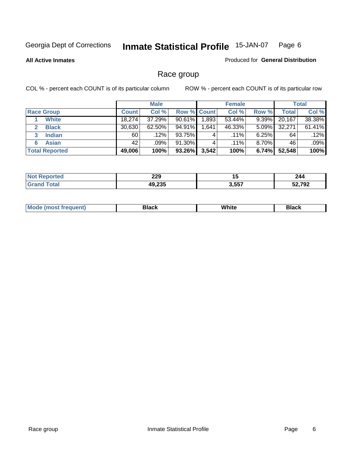**All Active Inmates**

#### Produced for **General Distribution**

### Race group

|                       |              | <b>Male</b> |             |       | <b>Female</b> |          |        | <b>Total</b> |
|-----------------------|--------------|-------------|-------------|-------|---------------|----------|--------|--------------|
| <b>Race Group</b>     | <b>Count</b> | Col %       | Row % Count |       | Col %         | Row %    | Total  | Col %        |
| <b>White</b>          | 18.274       | 37.29%      | 90.61%      | 1,893 | 53.44%        | 9.39%    | 20,167 | 38.38%       |
| <b>Black</b>          | 30,630       | $62.50\%$   | 94.91%      | .641  | 46.33%        | $5.09\%$ | 32,271 | 61.41%       |
| <b>Indian</b><br>3    | 60           | .12%        | 93.75%      | 4     | $.11\%$       | $6.25\%$ | 64     | .12%         |
| <b>Asian</b>          | 42           | $.09\%$     | 91.30%      |       | $.11\%$       | $8.70\%$ | 46     | .09%         |
| <b>Total Reported</b> | 49,006       | 100%        | 93.26%      | 3,542 | 100%          | 6.74%    | 52,548 | 100%         |

| 229          | יי    | 244    |
|--------------|-------|--------|
| $\sim$<br>10 | 3.557 | רחד רא |

|  | $Mc$ | Black | White<br>$ -$ | 21904<br>DIACK |
|--|------|-------|---------------|----------------|
|--|------|-------|---------------|----------------|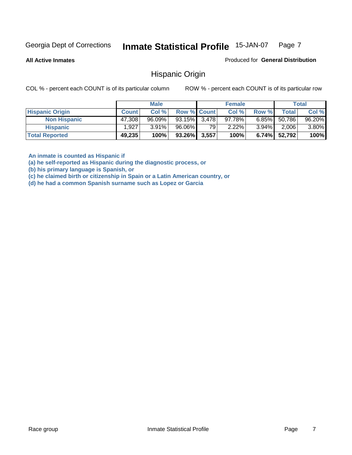**All Active Inmates**

Produced for **General Distribution**

Hispanic Origin

COL % - percent each COUNT is of its particular column ROW % - percent each COUNT is of its particular row

|                        |              | <b>Male</b> |                    |    | <b>Female</b> |          |        | <b>Total</b> |
|------------------------|--------------|-------------|--------------------|----|---------------|----------|--------|--------------|
| <b>Hispanic Origin</b> | <b>Count</b> | Col %       | <b>Row % Count</b> |    | Col %         | Row %    | Total  | Col %        |
| <b>Non Hispanic</b>    | 47,308       | $96.09\%$   | $93.15\%$ 3,478    |    | 97.78%        | $6.85\%$ | 50,786 | 96.20%       |
| <b>Hispanic</b>        | 1,927        | $3.91\%$    | 96.06%             | 79 | $2.22\%$      | $3.94\%$ | 2,006  | 3.80%        |
| <b>Total Reported</b>  | 49,235       | 100%        | $93.26\%$ 3,557    |    | 100%          | $6.74\%$ | 52,792 | 100%         |

**An inmate is counted as Hispanic if** 

**(a) he self-reported as Hispanic during the diagnostic process, or** 

**(b) his primary language is Spanish, or** 

**(c) he claimed birth or citizenship in Spain or a Latin American country, or** 

**(d) he had a common Spanish surname such as Lopez or Garcia**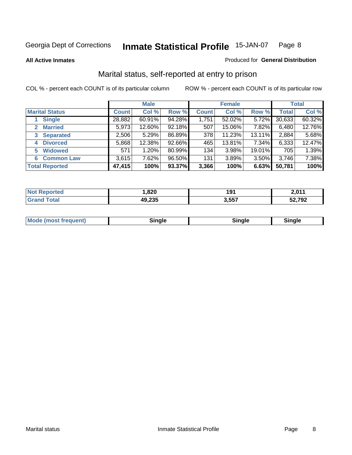**All Active Inmates**

#### Produced for **General Distribution**

### Marital status, self-reported at entry to prison

|                                        |              | <b>Male</b> |        |              | <b>Female</b> |        |              | <b>Total</b> |
|----------------------------------------|--------------|-------------|--------|--------------|---------------|--------|--------------|--------------|
| <b>Marital Status</b>                  | <b>Count</b> | Col %       | Row %  | <b>Count</b> | Col %         | Row %  | <b>Total</b> | Col %        |
| <b>Single</b>                          | 28,882       | $60.91\%$   | 94.28% | 1,751        | 52.02%        | 5.72%  | 30,633       | 60.32%       |
| <b>Married</b><br>$\mathbf{2}^{\circ}$ | 5,973        | 12.60%      | 92.18% | 507          | 15.06%        | 7.82%  | 6,480        | 12.76%       |
| <b>Separated</b><br>3                  | 2,506        | 5.29%       | 86.89% | 378          | 11.23%        | 13.11% | 2,884        | 5.68%        |
| <b>Divorced</b><br>4                   | 5,868        | 12.38%      | 92.66% | 465          | 13.81%        | 7.34%  | 6,333        | 12.47%       |
| <b>Widowed</b><br>5                    | 571          | 1.20%       | 80.99% | 134          | 3.98%         | 19.01% | 705          | 1.39%        |
| <b>Common Law</b><br>6                 | 3,615        | 7.62%       | 96.50% | 131          | 3.89%         | 3.50%  | 3,746        | 7.38%        |
| <b>Total Reported</b>                  | 47,415       | 100%        | 93.37% | 3,366        | 100%          | 6.63%  | 50,781       | 100%         |

| nu c | ,820                      | 191   | <b>D. 044</b> |
|------|---------------------------|-------|---------------|
|      | $\lambda$<br>4ч<br>49.ZJJ | 3.557 | 52,792        |

|  | Mode (most f<br>freauent) | `ınale |  | `inale |
|--|---------------------------|--------|--|--------|
|--|---------------------------|--------|--|--------|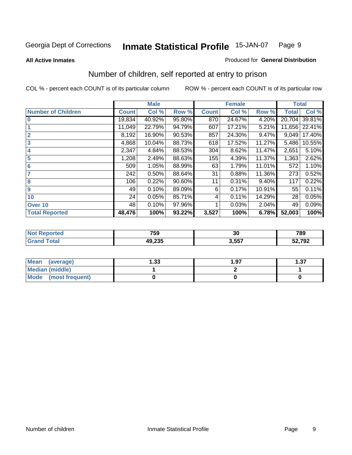#### **All Active Inmates**

#### Produced for **General Distribution**

### Number of children, self reported at entry to prison

|                           |              | <b>Male</b> |        |              | <b>Female</b> |          | <b>Total</b> |        |
|---------------------------|--------------|-------------|--------|--------------|---------------|----------|--------------|--------|
| <b>Number of Children</b> | <b>Count</b> | Col %       | Row %  | <b>Count</b> | Col %         | Row %    | <b>Total</b> | Col %  |
| $\bf{0}$                  | 19,834       | 40.92%      | 95.80% | 870          | 24.67%        | 4.20%    | 20,704       | 39.81% |
|                           | 11,049       | 22.79%      | 94.79% | 607          | 17.21%        | 5.21%    | 11,656       | 22.41% |
| $\overline{2}$            | 8,192        | 16.90%      | 90.53% | 857          | 24.30%        | 9.47%    | 9,049        | 17.40% |
| 3                         | 4,868        | 10.04%      | 88.73% | 618          | 17.52%        | 11.27%   | 5,486        | 10.55% |
| 4                         | 2,347        | 4.84%       | 88.53% | 304          | 8.62%         | 11.47%   | 2,651        | 5.10%  |
| 5                         | 1,208        | 2.49%       | 88.63% | 155          | 4.39%         | 11.37%   | 1,363        | 2.62%  |
| $6\phantom{a}$            | 509          | 1.05%       | 88.99% | 63           | 1.79%         | 11.01%   | 572          | 1.10%  |
| 7                         | 242          | 0.50%       | 88.64% | 31           | 0.88%         | 11.36%   | 273          | 0.52%  |
| 8                         | 106          | 0.22%       | 90.60% | 11           | 0.31%         | $9.40\%$ | 117          | 0.22%  |
| 9                         | 49           | 0.10%       | 89.09% | 6            | 0.17%         | 10.91%   | 55           | 0.11%  |
| 10                        | 24           | 0.05%       | 85.71% | 4            | 0.11%         | 14.29%   | 28           | 0.05%  |
| Over 10                   | 48           | 0.10%       | 97.96% |              | 0.03%         | 2.04%    | 49           | 0.09%  |
| <b>Total Reported</b>     | 48,476       | 100%        | 93.22% | 3,527        | 100%          | 6.78%    | 52,003       | 100%   |

| 759          | $\sim$<br>υc      | 789    |
|--------------|-------------------|--------|
| 10.025<br>∠ພ | <b>EE7</b><br>,., | 52,792 |

| <b>Mean</b><br>(average) | l .33 | 1.97 | っっ<br>، ن |
|--------------------------|-------|------|-----------|
| <b>Median (middle)</b>   |       |      |           |
| Mode<br>(most frequent)  |       |      |           |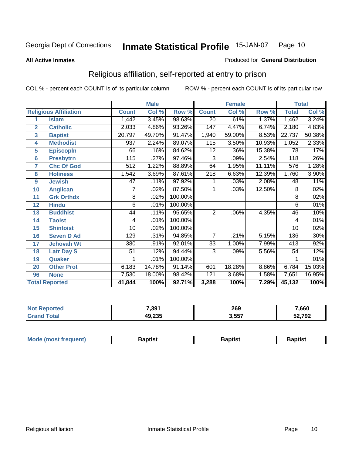#### **All Active Inmates**

#### Produced for **General Distribution**

### Religious affiliation, self-reported at entry to prison

|                  |                              |                | <b>Male</b> |         |                  | <b>Female</b> |        |              | <b>Total</b> |
|------------------|------------------------------|----------------|-------------|---------|------------------|---------------|--------|--------------|--------------|
|                  | <b>Religious Affiliation</b> | <b>Count</b>   | Col %       | Row %   | <b>Count</b>     | Col %         | Row %  | <b>Total</b> | Col %        |
| 1                | <b>Islam</b>                 | 1,442          | 3.45%       | 98.63%  | $\overline{20}$  | .61%          | 1.37%  | 1,462        | 3.24%        |
| $\overline{2}$   | <b>Catholic</b>              | 2,033          | 4.86%       | 93.26%  | 147              | 4.47%         | 6.74%  | 2,180        | 4.83%        |
| 3                | <b>Baptist</b>               | 20,797         | 49.70%      | 91.47%  | 1,940            | 59.00%        | 8.53%  | 22,737       | 50.38%       |
| 4                | <b>Methodist</b>             | 937            | 2.24%       | 89.07%  | 115              | 3.50%         | 10.93% | 1,052        | 2.33%        |
| 5                | <b>EpiscopIn</b>             | 66             | .16%        | 84.62%  | 12               | .36%          | 15.38% | 78           | .17%         |
| 6                | <b>Presbytrn</b>             | 115            | .27%        | 97.46%  | 3                | .09%          | 2.54%  | 118          | .26%         |
| 7                | <b>Chc Of God</b>            | 512            | 1.22%       | 88.89%  | 64               | 1.95%         | 11.11% | 576          | 1.28%        |
| 8                | <b>Holiness</b>              | 1,542          | 3.69%       | 87.61%  | $\overline{218}$ | 6.63%         | 12.39% | 1,760        | 3.90%        |
| $\boldsymbol{9}$ | <b>Jewish</b>                | 47             | .11%        | 97.92%  |                  | .03%          | 2.08%  | 48           | .11%         |
| 10               | <b>Anglican</b>              | 7              | .02%        | 87.50%  | 1                | .03%          | 12.50% | 8            | .02%         |
| 11               | <b>Grk Orthdx</b>            | $\overline{8}$ | .02%        | 100.00% |                  |               |        | 8            | .02%         |
| 12               | <b>Hindu</b>                 | 6              | .01%        | 100.00% |                  |               |        | 6            | .01%         |
| 13               | <b>Buddhist</b>              | 44             | .11%        | 95.65%  | $\overline{2}$   | .06%          | 4.35%  | 46           | .10%         |
| 14               | <b>Taoist</b>                | 4              | .01%        | 100.00% |                  |               |        | 4            | .01%         |
| 15               | <b>Shintoist</b>             | 10             | .02%        | 100.00% |                  |               |        | 10           | .02%         |
| 16               | <b>Seven D Ad</b>            | 129            | .31%        | 94.85%  | 7                | .21%          | 5.15%  | 136          | .30%         |
| 17               | <b>Jehovah Wt</b>            | 380            | .91%        | 92.01%  | 33               | 1.00%         | 7.99%  | 413          | .92%         |
| 18               | <b>Latr Day S</b>            | 51             | .12%        | 94.44%  | 3                | .09%          | 5.56%  | 54           | .12%         |
| 19               | Quaker                       |                | .01%        | 100.00% |                  |               |        |              | .01%         |
| 20               | <b>Other Prot</b>            | 6,183          | 14.78%      | 91.14%  | 601              | 18.28%        | 8.86%  | 6,784        | 15.03%       |
| 96               | <b>None</b>                  | 7,530          | 18.00%      | 98.42%  | 121              | 3.68%         | 1.58%  | 7,651        | 16.95%       |
|                  | <b>Total Reported</b>        | 41,844         | 100%        | 92.71%  | 3,288            | 100%          | 7.29%  | 45,132       | 100%         |

| งrted<br>NC | 7,391  | 269   | 7,660  |
|-------------|--------|-------|--------|
| <b>otal</b> | 49,235 | 3,557 | 52,792 |

| <b>Mode</b><br>3aptist<br>3aptist<br>frequent)<br>Baptist<br><i><b>IMOST</b></i> |
|----------------------------------------------------------------------------------|
|----------------------------------------------------------------------------------|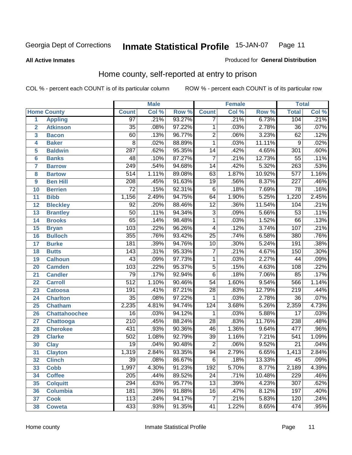#### **All Active Inmates**

#### Produced for **General Distribution**

### Home county, self-reported at entry to prison

|                 |                      |                  | <b>Male</b> |        | <b>Female</b>    |       |        | <b>Total</b>     |       |  |
|-----------------|----------------------|------------------|-------------|--------|------------------|-------|--------|------------------|-------|--|
|                 | <b>Home County</b>   | <b>Count</b>     | Col %       | Row %  | <b>Count</b>     | Col % | Row %  | <b>Total</b>     | Col % |  |
| 1               | <b>Appling</b>       | $\overline{97}$  | .21%        | 93.27% | 7                | .21%  | 6.73%  | 104              | .21%  |  |
| $\overline{2}$  | <b>Atkinson</b>      | $\overline{35}$  | .08%        | 97.22% | 1                | .03%  | 2.78%  | $\overline{36}$  | .07%  |  |
| 3               | <b>Bacon</b>         | 60               | .13%        | 96.77% | $\overline{2}$   | .06%  | 3.23%  | 62               | .12%  |  |
| 4               | <b>Baker</b>         | $\overline{8}$   | .02%        | 88.89% | $\overline{1}$   | .03%  | 11.11% | 9                | .02%  |  |
| 5               | <b>Baldwin</b>       | $\overline{287}$ | .62%        | 95.35% | $\overline{14}$  | .42%  | 4.65%  | $\overline{301}$ | .60%  |  |
| $6\phantom{a}$  | <b>Banks</b>         | 48               | .10%        | 87.27% | $\overline{7}$   | .21%  | 12.73% | $\overline{55}$  | .11%  |  |
| $\overline{7}$  | <b>Barrow</b>        | 249              | .54%        | 94.68% | $\overline{14}$  | .42%  | 5.32%  | $\overline{263}$ | .53%  |  |
| 8               | <b>Bartow</b>        | $\overline{514}$ | 1.11%       | 89.08% | 63               | 1.87% | 10.92% | $\overline{577}$ | 1.16% |  |
| 9               | <b>Ben Hill</b>      | 208              | .45%        | 91.63% | $\overline{19}$  | .56%  | 8.37%  | $\overline{227}$ | .46%  |  |
| 10              | <b>Berrien</b>       | $\overline{72}$  | .15%        | 92.31% | $\overline{6}$   | .18%  | 7.69%  | $\overline{78}$  | .16%  |  |
| 11              | <b>Bibb</b>          | 1,156            | 2.49%       | 94.75% | 64               | 1.90% | 5.25%  | 1,220            | 2.45% |  |
| 12              | <b>Bleckley</b>      | $\overline{92}$  | .20%        | 88.46% | $\overline{12}$  | .36%  | 11.54% | 104              | .21%  |  |
| $\overline{13}$ | <b>Brantley</b>      | $\overline{50}$  | .11%        | 94.34% | $\overline{3}$   | .09%  | 5.66%  | $\overline{53}$  | .11%  |  |
| 14              | <b>Brooks</b>        | $\overline{65}$  | .14%        | 98.48% | $\overline{1}$   | .03%  | 1.52%  | $\overline{66}$  | .13%  |  |
| 15              | <b>Bryan</b>         | 103              | .22%        | 96.26% | $\overline{4}$   | .12%  | 3.74%  | 107              | .21%  |  |
| 16              | <b>Bulloch</b>       | 355              | .76%        | 93.42% | $\overline{25}$  | .74%  | 6.58%  | 380              | .76%  |  |
| $\overline{17}$ | <b>Burke</b>         | 181              | .39%        | 94.76% | $\overline{10}$  | .30%  | 5.24%  | 191              | .38%  |  |
| 18              | <b>Butts</b>         | $\overline{143}$ | .31%        | 95.33% | $\overline{7}$   | .21%  | 4.67%  | 150              | .30%  |  |
| 19              | <b>Calhoun</b>       | $\overline{43}$  | .09%        | 97.73% | $\mathbf{1}$     | .03%  | 2.27%  | $\overline{44}$  | .09%  |  |
| 20              | <b>Camden</b>        | 103              | .22%        | 95.37% | $\overline{5}$   | .15%  | 4.63%  | 108              | .22%  |  |
| 21              | <b>Candler</b>       | $\overline{79}$  | .17%        | 92.94% | $\overline{6}$   | .18%  | 7.06%  | 85               | .17%  |  |
| $\overline{22}$ | <b>Carroll</b>       | $\overline{512}$ | 1.10%       | 90.46% | $\overline{54}$  | 1.60% | 9.54%  | 566              | 1.14% |  |
| 23              | <b>Catoosa</b>       | 191              | .41%        | 87.21% | $\overline{28}$  | .83%  | 12.79% | $\overline{219}$ | .44%  |  |
| 24              | <b>Charlton</b>      | $\overline{35}$  | .08%        | 97.22% | $\mathbf{1}$     | .03%  | 2.78%  | $\overline{36}$  | .07%  |  |
| 25              | <b>Chatham</b>       | 2,235            | 4.81%       | 94.74% | $\overline{124}$ | 3.68% | 5.26%  | 2,359            | 4.73% |  |
| 26              | <b>Chattahoochee</b> | $\overline{16}$  | .03%        | 94.12% | 1                | .03%  | 5.88%  | $\overline{17}$  | .03%  |  |
| 27              | <b>Chattooga</b>     | $\overline{210}$ | .45%        | 88.24% | $\overline{28}$  | .83%  | 11.76% | 238              | .48%  |  |
| 28              | <b>Cherokee</b>      | 431              | .93%        | 90.36% | 46               | 1.36% | 9.64%  | 477              | .96%  |  |
| 29              | <b>Clarke</b>        | $\overline{502}$ | 1.08%       | 92.79% | $\overline{39}$  | 1.16% | 7.21%  | 541              | 1.09% |  |
| 30              | <b>Clay</b>          | $\overline{19}$  | .04%        | 90.48% | $\overline{2}$   | .06%  | 9.52%  | $\overline{21}$  | .04%  |  |
| $\overline{31}$ | <b>Clayton</b>       | 1,319            | 2.84%       | 93.35% | 94               | 2.79% | 6.65%  | 1,413            | 2.84% |  |
| 32              | <b>Clinch</b>        | 39               | .08%        | 86.67% | 6                | .18%  | 13.33% | 45               | .09%  |  |
| 33              | <b>Cobb</b>          | 1,997            | 4.30%       | 91.23% | 192              | 5.70% | 8.77%  | 2,189            | 4.39% |  |
| 34              | <b>Coffee</b>        | 205              | .44%        | 89.52% | $\overline{24}$  | .71%  | 10.48% | 229              | .46%  |  |
| 35              | <b>Colquitt</b>      | 294              | .63%        | 95.77% | $\overline{13}$  | .39%  | 4.23%  | $\overline{307}$ | .62%  |  |
| 36              | <b>Columbia</b>      | 181              | .39%        | 91.88% | 16               | .47%  | 8.12%  | 197              | .40%  |  |
| 37              | <b>Cook</b>          | 113              | .24%        | 94.17% | $\overline{7}$   | .21%  | 5.83%  | 120              | .24%  |  |
| 38              | <b>Coweta</b>        | 433              | .93%        | 91.35% | $\overline{41}$  | 1.22% | 8.65%  | 474              | .95%  |  |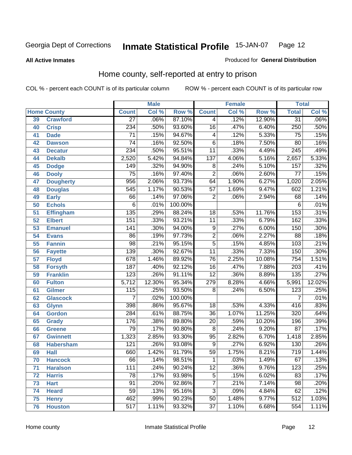#### **All Active Inmates**

#### Produced for **General Distribution**

### Home county, self-reported at entry to prison

|                 |                    |                  | <b>Male</b> |         |                 | <b>Female</b> |        | <b>Total</b>     |                            |
|-----------------|--------------------|------------------|-------------|---------|-----------------|---------------|--------|------------------|----------------------------|
|                 | <b>Home County</b> | <b>Count</b>     | Col %       | Row %   | <b>Count</b>    | Col %         | Row %  | <b>Total</b>     | $\overline{\text{Col }^9}$ |
| 39              | <b>Crawford</b>    | $\overline{27}$  | .06%        | 87.10%  | 4               | .12%          | 12.90% | $\overline{31}$  | .06%                       |
| 40              | <b>Crisp</b>       | 234              | .50%        | 93.60%  | $\overline{16}$ | .47%          | 6.40%  | 250              | .50%                       |
| 41              | <b>Dade</b>        | $\overline{71}$  | .15%        | 94.67%  | 4               | .12%          | 5.33%  | 75               | .15%                       |
| 42              | <b>Dawson</b>      | $\overline{74}$  | .16%        | 92.50%  | $\overline{6}$  | .18%          | 7.50%  | $\overline{80}$  | .16%                       |
| 43              | <b>Decatur</b>     | 234              | .50%        | 95.51%  | $\overline{11}$ | .33%          | 4.49%  | $\overline{245}$ | .49%                       |
| 44              | <b>Dekalb</b>      | 2,520            | 5.42%       | 94.84%  | 137             | 4.06%         | 5.16%  | 2,657            | 5.33%                      |
| 45              | <b>Dodge</b>       | 149              | .32%        | 94.90%  | 8               | .24%          | 5.10%  | 157              | .32%                       |
| 46              | <b>Dooly</b>       | $\overline{75}$  | .16%        | 97.40%  | $\overline{2}$  | .06%          | 2.60%  | $\overline{77}$  | .15%                       |
| 47              | <b>Dougherty</b>   | $\overline{956}$ | 2.06%       | 93.73%  | 64              | 1.90%         | 6.27%  | 1,020            | 2.05%                      |
| 48              | <b>Douglas</b>     | 545              | 1.17%       | 90.53%  | $\overline{57}$ | 1.69%         | 9.47%  | 602              | 1.21%                      |
| 49              | <b>Early</b>       | 66               | .14%        | 97.06%  | $\overline{2}$  | .06%          | 2.94%  | 68               | .14%                       |
| 50              | <b>Echols</b>      | $\overline{6}$   | .01%        | 100.00% |                 |               |        | 6                | .01%                       |
| $\overline{51}$ | <b>Effingham</b>   | 135              | .29%        | 88.24%  | 18              | .53%          | 11.76% | 153              | .31%                       |
| 52              | <b>Elbert</b>      | 151              | .33%        | 93.21%  | $\overline{11}$ | .33%          | 6.79%  | 162              | .33%                       |
| 53              | <b>Emanuel</b>     | $\overline{141}$ | .30%        | 94.00%  | $\overline{9}$  | .27%          | 6.00%  | 150              | .30%                       |
| 54              | <b>Evans</b>       | $\overline{86}$  | .19%        | 97.73%  | $\overline{2}$  | .06%          | 2.27%  | 88               | .18%                       |
| 55              | <b>Fannin</b>      | $\overline{98}$  | .21%        | 95.15%  | $\overline{5}$  | .15%          | 4.85%  | 103              | .21%                       |
| 56              | <b>Fayette</b>     | 139              | .30%        | 92.67%  | $\overline{11}$ | .33%          | 7.33%  | 150              | .30%                       |
| 57              | <b>Floyd</b>       | 678              | 1.46%       | 89.92%  | $\overline{76}$ | 2.25%         | 10.08% | 754              | 1.51%                      |
| 58              | <b>Forsyth</b>     | 187              | .40%        | 92.12%  | $\overline{16}$ | .47%          | 7.88%  | $\overline{203}$ | .41%                       |
| 59              | <b>Franklin</b>    | 123              | .26%        | 91.11%  | $\overline{12}$ | .36%          | 8.89%  | 135              | .27%                       |
| 60              | <b>Fulton</b>      | 5,712            | 12.30%      | 95.34%  | 279             | 8.28%         | 4.66%  | 5,991            | 12.02%                     |
| 61              | Gilmer             | $\overline{115}$ | .25%        | 93.50%  | 8               | .24%          | 6.50%  | $\overline{123}$ | .25%                       |
| 62              | <b>Glascock</b>    | $\overline{7}$   | .02%        | 100.00% |                 |               |        | $\overline{7}$   | .01%                       |
| 63              | <b>Glynn</b>       | 398              | .86%        | 95.67%  | 18              | .53%          | 4.33%  | 416              | .83%                       |
| 64              | <b>Gordon</b>      | $\overline{284}$ | .61%        | 88.75%  | $\overline{36}$ | 1.07%         | 11.25% | $\overline{320}$ | .64%                       |
| 65              | <b>Grady</b>       | 176              | .38%        | 89.80%  | $\overline{20}$ | .59%          | 10.20% | 196              | .39%                       |
| 66              | <b>Greene</b>      | $\overline{79}$  | .17%        | 90.80%  | $\overline{8}$  | .24%          | 9.20%  | $\overline{87}$  | .17%                       |
| 67              | <b>Gwinnett</b>    | 1,323            | 2.85%       | 93.30%  | $\overline{95}$ | 2.82%         | 6.70%  | 1,418            | 2.85%                      |
| 68              | <b>Habersham</b>   | $\overline{121}$ | .26%        | 93.08%  | 9               | .27%          | 6.92%  | 130              | .26%                       |
| 69              | <b>Hall</b>        | 660              | 1.42%       | 91.79%  | $\overline{59}$ | 1.75%         | 8.21%  | 719              | 1.44%                      |
| 70              | <b>Hancock</b>     | 66               | .14%        | 98.51%  | 1               | .03%          | 1.49%  | 67               | .13%                       |
| 71              | <b>Haralson</b>    | 111              | .24%        | 90.24%  | $\overline{12}$ | .36%          | 9.76%  | $\overline{123}$ | .25%                       |
| 72              | <b>Harris</b>      | $\overline{78}$  | .17%        | 93.98%  | $\overline{5}$  | .15%          | 6.02%  | 83               | .17%                       |
| 73              | <b>Hart</b>        | $\overline{91}$  | .20%        | 92.86%  | $\overline{7}$  | .21%          | 7.14%  | $\overline{98}$  | .20%                       |
| 74              | <b>Heard</b>       | $\overline{59}$  | .13%        | 95.16%  | $\overline{3}$  | .09%          | 4.84%  | 62               | .12%                       |
| 75              | <b>Henry</b>       | 462              | .99%        | 90.23%  | $\overline{50}$ | 1.48%         | 9.77%  | 512              | 1.03%                      |
| 76              | <b>Houston</b>     | $\overline{517}$ | 1.11%       | 93.32%  | $\overline{37}$ | 1.10%         | 6.68%  | 554              | 1.11%                      |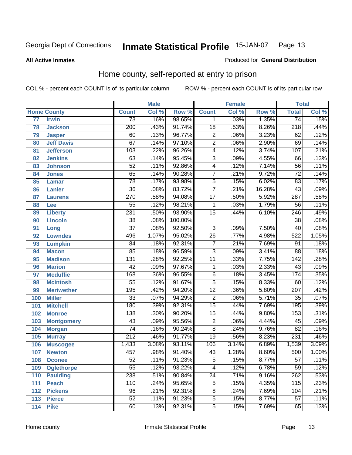#### **All Active Inmates**

#### Produced for **General Distribution**

### Home county, self-reported at entry to prison

|     |                    |                  | <b>Male</b> |         |                 | <b>Female</b> |        | <b>Total</b>     |         |
|-----|--------------------|------------------|-------------|---------|-----------------|---------------|--------|------------------|---------|
|     | <b>Home County</b> | <b>Count</b>     | Col %       | Row %   | <b>Count</b>    | Col %         | Row %  | <b>Total</b>     | Col %   |
| 77  | <b>Irwin</b>       | $\overline{73}$  | .16%        | 98.65%  | 1               | .03%          | 1.35%  | $\overline{74}$  | .15%    |
| 78  | <b>Jackson</b>     | $\overline{200}$ | .43%        | 91.74%  | $\overline{18}$ | .53%          | 8.26%  | $\overline{218}$ | .44%    |
| 79  | <b>Jasper</b>      | 60               | .13%        | 96.77%  | $\overline{2}$  | .06%          | 3.23%  | 62               | .12%    |
| 80  | <b>Jeff Davis</b>  | 67               | .14%        | 97.10%  | $\overline{2}$  | .06%          | 2.90%  | 69               | .14%    |
| 81  | <b>Jefferson</b>   | 103              | .22%        | 96.26%  | 4               | .12%          | 3.74%  | 107              | .21%    |
| 82  | <b>Jenkins</b>     | 63               | .14%        | 95.45%  | $\overline{3}$  | .09%          | 4.55%  | 66               | .13%    |
| 83  | <b>Johnson</b>     | $\overline{52}$  | .11%        | 92.86%  | $\overline{4}$  | .12%          | 7.14%  | $\overline{56}$  | .11%    |
| 84  | <b>Jones</b>       | 65               | .14%        | 90.28%  | $\overline{7}$  | .21%          | 9.72%  | $\overline{72}$  | .14%    |
| 85  | <b>Lamar</b>       | $\overline{78}$  | .17%        | 93.98%  | $\overline{5}$  | .15%          | 6.02%  | $\overline{83}$  | .17%    |
| 86  | <b>Lanier</b>      | $\overline{36}$  | .08%        | 83.72%  | $\overline{7}$  | .21%          | 16.28% | $\overline{43}$  | .09%    |
| 87  | <b>Laurens</b>     | 270              | .58%        | 94.08%  | $\overline{17}$ | .50%          | 5.92%  | 287              | .58%    |
| 88  | Lee                | $\overline{55}$  | .12%        | 98.21%  | 1               | .03%          | 1.79%  | 56               | .11%    |
| 89  | <b>Liberty</b>     | 231              | .50%        | 93.90%  | $\overline{15}$ | .44%          | 6.10%  | $\overline{246}$ | .49%    |
| 90  | <b>Lincoln</b>     | $\overline{38}$  | .08%        | 100.00% |                 |               |        | $\overline{38}$  | .08%    |
| 91  | Long               | $\overline{37}$  | .08%        | 92.50%  | $\overline{3}$  | .09%          | 7.50%  | $\overline{40}$  | .08%    |
| 92  | <b>Lowndes</b>     | 496              | 1.07%       | 95.02%  | $\overline{26}$ | .77%          | 4.98%  | 522              | 1.05%   |
| 93  | <b>Lumpkin</b>     | $\overline{84}$  | .18%        | 92.31%  | $\overline{7}$  | .21%          | 7.69%  | $\overline{91}$  | .18%    |
| 94  | <b>Macon</b>       | 85               | .18%        | 96.59%  | $\overline{3}$  | .09%          | 3.41%  | $\overline{88}$  | .18%    |
| 95  | <b>Madison</b>     | $\overline{131}$ | .28%        | 92.25%  | $\overline{11}$ | .33%          | 7.75%  | 142              | .28%    |
| 96  | <b>Marion</b>      | $\overline{42}$  | .09%        | 97.67%  | 1               | .03%          | 2.33%  | 43               | .09%    |
| 97  | <b>Mcduffie</b>    | 168              | .36%        | 96.55%  | $\overline{6}$  | .18%          | 3.45%  | 174              | .35%    |
| 98  | <b>Mcintosh</b>    | $\overline{55}$  | .12%        | 91.67%  | $\overline{5}$  | .15%          | 8.33%  | 60               | .12%    |
| 99  | <b>Meriwether</b>  | 195              | .42%        | 94.20%  | $\overline{12}$ | .36%          | 5.80%  | $\overline{207}$ | .42%    |
| 100 | <b>Miller</b>      | $\overline{33}$  | .07%        | 94.29%  | $\overline{2}$  | .06%          | 5.71%  | 35               | .07%    |
| 101 | <b>Mitchell</b>    | 180              | .39%        | 92.31%  | $\overline{15}$ | .44%          | 7.69%  | 195              | .39%    |
| 102 | <b>Monroe</b>      | 138              | .30%        | 90.20%  | $\overline{15}$ | .44%          | 9.80%  | 153              | .31%    |
| 103 | <b>Montgomery</b>  | 43               | .09%        | 95.56%  | $\overline{2}$  | .06%          | 4.44%  | $\overline{45}$  | .09%    |
| 104 | <b>Morgan</b>      | 74               | .16%        | 90.24%  | $\overline{8}$  | .24%          | 9.76%  | $\overline{82}$  | .16%    |
| 105 | <b>Murray</b>      | $\overline{212}$ | .46%        | 91.77%  | $\overline{19}$ | .56%          | 8.23%  | $\overline{231}$ | .46%    |
| 106 | <b>Muscogee</b>    | 1,433            | 3.08%       | 93.11%  | 106             | 3.14%         | 6.89%  | 1,539            | 3.09%   |
| 107 | <b>Newton</b>      | 457              | .98%        | 91.40%  | 43              | 1.28%         | 8.60%  | 500              | 1.00%   |
| 108 | <b>Oconee</b>      | 52               | .11%        | 91.23%  | 5               | .15%          | 8.77%  | 57               | $.11\%$ |
| 109 | <b>Oglethorpe</b>  | $\overline{55}$  | .12%        | 93.22%  | 4               | .12%          | 6.78%  | 59               | .12%    |
| 110 | <b>Paulding</b>    | 238              | .51%        | 90.84%  | $\overline{24}$ | .71%          | 9.16%  | 262              | .53%    |
| 111 | <b>Peach</b>       | 110              | .24%        | 95.65%  | $\overline{5}$  | .15%          | 4.35%  | 115              | .23%    |
| 112 | <b>Pickens</b>     | 96               | .21%        | 92.31%  | $\overline{8}$  | .24%          | 7.69%  | 104              | .21%    |
| 113 | <b>Pierce</b>      | $\overline{52}$  | .11%        | 91.23%  | 5               | .15%          | 8.77%  | $\overline{57}$  | .11%    |
| 114 | <b>Pike</b>        | 60               | .13%        | 92.31%  | $\overline{5}$  | .15%          | 7.69%  | 65               | .13%    |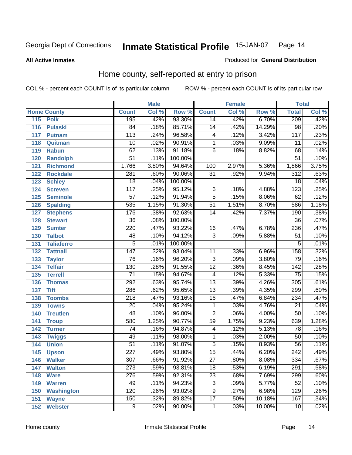**All Active Inmates**

#### Produced for **General Distribution**

### Home county, self-reported at entry to prison

|     |                    |                  | <b>Male</b> |         |                         | <b>Female</b> |        | <b>Total</b>     |                            |
|-----|--------------------|------------------|-------------|---------|-------------------------|---------------|--------|------------------|----------------------------|
|     | <b>Home County</b> | <b>Count</b>     | Col %       | Row %   | <b>Count</b>            | Col %         | Row %  | <b>Total</b>     | $\overline{\text{Col }^9}$ |
| 115 | <b>Polk</b>        | 195              | .42%        | 93.30%  | 14                      | .42%          | 6.70%  | 209              | .42%                       |
| 116 | <b>Pulaski</b>     | $\overline{84}$  | .18%        | 85.71%  | $\overline{14}$         | .42%          | 14.29% | $\overline{98}$  | .20%                       |
| 117 | <b>Putnam</b>      | $\overline{113}$ | .24%        | 96.58%  | 4                       | .12%          | 3.42%  | 117              | .23%                       |
| 118 | Quitman            | $\overline{10}$  | .02%        | 90.91%  | 1                       | .03%          | 9.09%  | 11               | .02%                       |
| 119 | <b>Rabun</b>       | 62               | .13%        | 91.18%  | $\overline{6}$          | .18%          | 8.82%  | 68               | .14%                       |
| 120 | <b>Randolph</b>    | $\overline{51}$  | .11%        | 100.00% |                         |               |        | $\overline{51}$  | .10%                       |
| 121 | <b>Richmond</b>    | 1,766            | 3.80%       | 94.64%  | 100                     | 2.97%         | 5.36%  | 1,866            | 3.75%                      |
| 122 | <b>Rockdale</b>    | 281              | .60%        | 90.06%  | $\overline{31}$         | .92%          | 9.94%  | $\overline{312}$ | .63%                       |
| 123 | <b>Schley</b>      | $\overline{18}$  | .04%        | 100.00% |                         |               |        | $\overline{18}$  | .04%                       |
| 124 | <b>Screven</b>     | $\overline{117}$ | .25%        | 95.12%  | 6                       | .18%          | 4.88%  | 123              | .25%                       |
| 125 | <b>Seminole</b>    | $\overline{57}$  | .12%        | 91.94%  | $\overline{5}$          | .15%          | 8.06%  | 62               | .12%                       |
| 126 | <b>Spalding</b>    | 535              | 1.15%       | 91.30%  | $\overline{51}$         | 1.51%         | 8.70%  | 586              | 1.18%                      |
| 127 | <b>Stephens</b>    | 176              | .38%        | 92.63%  | $\overline{14}$         | .42%          | 7.37%  | 190              | .38%                       |
| 128 | <b>Stewart</b>     | $\overline{36}$  | .08%        | 100.00% |                         |               |        | $\overline{36}$  | .07%                       |
| 129 | <b>Sumter</b>      | 220              | .47%        | 93.22%  | 16                      | .47%          | 6.78%  | 236              | .47%                       |
| 130 | <b>Talbot</b>      | 48               | .10%        | 94.12%  | $\overline{3}$          | .09%          | 5.88%  | $\overline{51}$  | .10%                       |
| 131 | <b>Taliaferro</b>  | $\overline{5}$   | .01%        | 100.00% |                         |               |        | 5                | .01%                       |
| 132 | <b>Tattnall</b>    | $\overline{147}$ | .32%        | 93.04%  | 11                      | .33%          | 6.96%  | 158              | .32%                       |
| 133 | <b>Taylor</b>      | $\overline{76}$  | .16%        | 96.20%  | $\overline{3}$          | .09%          | 3.80%  | 79               | .16%                       |
| 134 | <b>Telfair</b>     | 130              | .28%        | 91.55%  | $\overline{12}$         | .36%          | 8.45%  | 142              | .28%                       |
| 135 | <b>Terrell</b>     | $\overline{71}$  | .15%        | 94.67%  | $\overline{\mathbf{4}}$ | .12%          | 5.33%  | $\overline{75}$  | .15%                       |
| 136 | <b>Thomas</b>      | 292              | .63%        | 95.74%  | $\overline{13}$         | .39%          | 4.26%  | 305              | .61%                       |
| 137 | <b>Tift</b>        | 286              | .62%        | 95.65%  | $\overline{13}$         | .39%          | 4.35%  | 299              | .60%                       |
| 138 | <b>Toombs</b>      | $\overline{218}$ | .47%        | 93.16%  | $\overline{16}$         | .47%          | 6.84%  | 234              | .47%                       |
| 139 | <b>Towns</b>       | $\overline{20}$  | .04%        | 95.24%  | $\mathbf 1$             | .03%          | 4.76%  | $\overline{21}$  | .04%                       |
| 140 | <b>Treutlen</b>    | 48               | .10%        | 96.00%  | $\overline{2}$          | .06%          | 4.00%  | $\overline{50}$  | .10%                       |
| 141 | <b>Troup</b>       | 580              | 1.25%       | 90.77%  | $\overline{59}$         | 1.75%         | 9.23%  | 639              | 1.28%                      |
| 142 | <b>Turner</b>      | $\overline{74}$  | .16%        | 94.87%  | 4                       | .12%          | 5.13%  | 78               | .16%                       |
| 143 | <b>Twiggs</b>      | 49               | .11%        | 98.00%  | 1                       | .03%          | 2.00%  | 50               | .10%                       |
| 144 | <b>Union</b>       | $\overline{51}$  | .11%        | 91.07%  | $\overline{5}$          | .15%          | 8.93%  | $\overline{56}$  | .11%                       |
| 145 | <b>Upson</b>       | $\overline{227}$ | .49%        | 93.80%  | $\overline{15}$         | .44%          | 6.20%  | $\overline{242}$ | .49%                       |
| 146 | <b>Walker</b>      | 307              | .66%        | 91.92%  | 27                      | .80%          | 8.08%  | 334              | .67%                       |
| 147 | <b>Walton</b>      | $\overline{273}$ | .59%        | 93.81%  | $\overline{18}$         | .53%          | 6.19%  | 291              | .58%                       |
| 148 | <b>Ware</b>        | 276              | .59%        | 92.31%  | $\overline{23}$         | .68%          | 7.69%  | 299              | .60%                       |
| 149 | <b>Warren</b>      | 49               | .11%        | 94.23%  | $\overline{3}$          | .09%          | 5.77%  | $\overline{52}$  | .10%                       |
| 150 | <b>Washington</b>  | 120              | .26%        | 93.02%  | $\overline{9}$          | .27%          | 6.98%  | 129              | .26%                       |
| 151 | <b>Wayne</b>       | 150              | .32%        | 89.82%  | $\overline{17}$         | .50%          | 10.18% | 167              | .34%                       |
|     | 152 Webster        | $\overline{9}$   | .02%        | 90.00%  | 1                       | .03%          | 10.00% | 10               | .02%                       |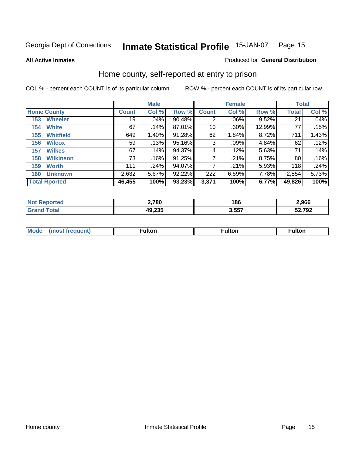**All Active Inmates**

#### Produced for **General Distribution**

### Home county, self-reported at entry to prison

|     |                      |              | <b>Male</b> |        |              | <b>Female</b> |          | <b>Total</b> |       |
|-----|----------------------|--------------|-------------|--------|--------------|---------------|----------|--------------|-------|
|     | <b>Home County</b>   | <b>Count</b> | Col %       | Row %  | <b>Count</b> | Col %         | Row %    | <b>Total</b> | Col % |
| 153 | <b>Wheeler</b>       | 19           | .04%        | 90.48% | 2            | .06%          | 9.52%    | 21           | .04%  |
| 154 | <b>White</b>         | 67           | .14%        | 87.01% | 10           | .30%          | 12.99%   | 77           | .15%  |
| 155 | <b>Whitfield</b>     | 649          | 1.40%       | 91.28% | 62           | 1.84%         | 8.72%    | 711          | 1.43% |
| 156 | <b>Wilcox</b>        | 59           | .13%        | 95.16% | 3            | .09%          | 4.84%    | 62           | .12%  |
| 157 | <b>Wilkes</b>        | 67           | .14%        | 94.37% | 4            | .12%          | 5.63%    | 71           | .14%  |
| 158 | <b>Wilkinson</b>     | 73           | .16%        | 91.25% | 7            | .21%          | 8.75%    | 80           | .16%  |
| 159 | <b>Worth</b>         | 111          | .24%        | 94.07% | 7            | .21%          | $5.93\%$ | 118          | .24%  |
| 160 | <b>Unknown</b>       | 2,632        | 5.67%       | 92.22% | 222          | 6.59%         | 7.78%    | 2,854        | 5.73% |
|     | <b>Total Rported</b> | 46,455       | 100%        | 93.23% | 3,371        | 100%          | 6.77%    | 49,826       | 100%  |

| -NA<br>тео | 2,780  | 186        | 2,966  |
|------------|--------|------------|--------|
|            | 49,235 | 557<br>טעו | 52,792 |

| <b>Mode</b> | ---<br>.tor | <b>ulton</b> | . |
|-------------|-------------|--------------|---|
|             |             |              |   |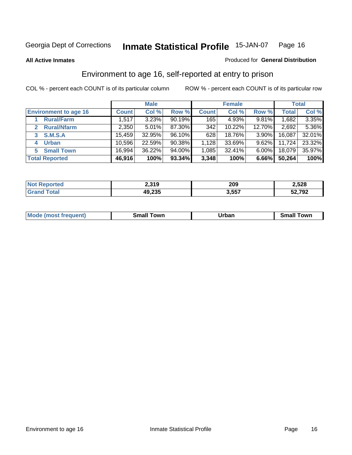**All Active Inmates**

#### Produced for **General Distribution**

### Environment to age 16, self-reported at entry to prison

|                                      |              | <b>Male</b> |        |              | <b>Female</b> |          |              | <b>Total</b> |
|--------------------------------------|--------------|-------------|--------|--------------|---------------|----------|--------------|--------------|
| <b>Environment to age 16</b>         | <b>Count</b> | Col %       | Row %  | <b>Count</b> | Col %         | Row %    | <b>Total</b> | Col %        |
| <b>Rural/Farm</b>                    | 1,517        | 3.23%       | 90.19% | 165          | 4.93%         | 9.81%    | 1,682        | 3.35%        |
| <b>Rural/Nfarm</b><br>$\overline{2}$ | 2,350        | 5.01%       | 87.30% | 342          | 10.22%        | 12.70%   | 2,692        | 5.36%        |
| <b>S.M.S.A</b><br>3                  | 15,459       | 32.95%      | 96.10% | 628          | 18.76%        | $3.90\%$ | 16,087       | 32.01%       |
| <b>Urban</b><br>4                    | 10,596       | 22.59%      | 90.38% | 1,128        | 33.69%        | $9.62\%$ | 11,724       | 23.32%       |
| <b>Small Town</b><br>5.              | 16,994       | 36.22%      | 94.00% | 1,085        | 32.41%        | $6.00\%$ | 18,079       | 35.97%       |
| <b>Total Reported</b>                | 46,916       | 100%        | 93.34% | 3,348        | 100%          | 6.66%    | 50,264       | 100%         |

| <b>Not Reported</b> | 2,319  | 209   | 2,528  |
|---------------------|--------|-------|--------|
| <b>Grand Total</b>  | 49,235 | 3,557 | 52,792 |

| Mo<br>. . | . owr | <u>'''' ''</u><br>roa<br>_____ | .0W <sub>r</sub> |
|-----------|-------|--------------------------------|------------------|
|           |       |                                |                  |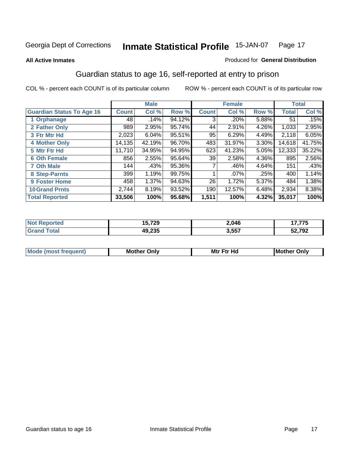#### **All Active Inmates**

#### Produced for **General Distribution**

### Guardian status to age 16, self-reported at entry to prison

|                                  |              | <b>Male</b> |        |              | <b>Female</b> |       |              | <b>Total</b> |
|----------------------------------|--------------|-------------|--------|--------------|---------------|-------|--------------|--------------|
| <b>Guardian Status To Age 16</b> | <b>Count</b> | Col %       | Row %  | <b>Count</b> | Col %         | Row % | <b>Total</b> | Col %        |
| 1 Orphanage                      | 48           | .14%        | 94.12% | 3            | .20%          | 5.88% | 51           | .15%         |
| 2 Father Only                    | 989          | 2.95%       | 95.74% | 44           | 2.91%         | 4.26% | 1,033        | 2.95%        |
| 3 Ftr Mtr Hd                     | 2,023        | 6.04%       | 95.51% | 95           | 6.29%         | 4.49% | 2,118        | 6.05%        |
| <b>4 Mother Only</b>             | 14,135       | 42.19%      | 96.70% | 483          | 31.97%        | 3.30% | 14,618       | 41.75%       |
| 5 Mtr Ftr Hd                     | 11,710       | 34.95%      | 94.95% | 623          | 41.23%        | 5.05% | 12,333       | 35.22%       |
| <b>6 Oth Female</b>              | 856          | 2.55%       | 95.64% | 39           | 2.58%         | 4.36% | 895          | 2.56%        |
| <b>7 Oth Male</b>                | 144          | .43%        | 95.36% | 7            | .46%          | 4.64% | 151          | .43%         |
| 8 Step-Parnts                    | 399          | 1.19%       | 99.75% |              | $.07\%$       | .25%  | 400          | 1.14%        |
| 9 Foster Home                    | 458          | 1.37%       | 94.63% | 26           | 1.72%         | 5.37% | 484          | 1.38%        |
| <b>10 Grand Prnts</b>            | 2,744        | 8.19%       | 93.52% | 190          | 12.57%        | 6.48% | 2,934        | 8.38%        |
| <b>Total Reported</b>            | 33,506       | 100%        | 95.68% | 1,511        | 100%          | 4.32% | 35,017       | 100%         |

| <b>Not Reported</b>   | ממד ה<br>15,7ZY | 2,046 | 17,775 |
|-----------------------|-----------------|-------|--------|
| <b>Total</b><br>Grand | 49,235          | 3,557 | 52,792 |

| <b>Mou</b> | Mother<br>Onlv | Hд<br>Mtr Ftr | Only<br>lMoth |
|------------|----------------|---------------|---------------|
|            |                |               |               |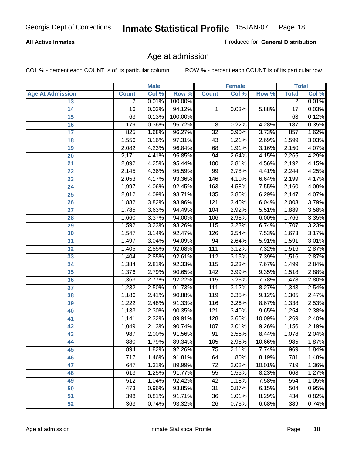#### **All Active Inmates**

Produced for **General Distribution**

### Age at admission

|                         | <b>Male</b>      |       | <b>Female</b> |                 |       | <b>Total</b> |                 |       |
|-------------------------|------------------|-------|---------------|-----------------|-------|--------------|-----------------|-------|
| <b>Age At Admission</b> | <b>Count</b>     | Col % | Row %         | <b>Count</b>    | Col % | Row %        | <b>Total</b>    | Col % |
| 13                      | $\overline{2}$   | 0.01% | 100.00%       |                 |       |              | $\overline{2}$  | 0.01% |
| 14                      | $\overline{16}$  | 0.03% | 94.12%        | 1               | 0.03% | 5.88%        | $\overline{17}$ | 0.03% |
| 15                      | 63               | 0.13% | 100.00%       |                 |       |              | 63              | 0.12% |
| 16                      | 179              | 0.36% | 95.72%        | 8               | 0.22% | 4.28%        | 187             | 0.35% |
| $\overline{17}$         | 825              | 1.68% | 96.27%        | $\overline{32}$ | 0.90% | 3.73%        | 857             | 1.62% |
| 18                      | 1,556            | 3.16% | 97.31%        | 43              | 1.21% | 2.69%        | 1,599           | 3.03% |
| 19                      | 2,082            | 4.23% | 96.84%        | 68              | 1.91% | 3.16%        | 2,150           | 4.07% |
| 20                      | 2,171            | 4.41% | 95.85%        | 94              | 2.64% | 4.15%        | 2,265           | 4.29% |
| 21                      | 2,092            | 4.25% | 95.44%        | 100             | 2.81% | 4.56%        | 2,192           | 4.15% |
| 22                      | 2,145            | 4.36% | 95.59%        | 99              | 2.78% | 4.41%        | 2,244           | 4.25% |
| 23                      | 2,053            | 4.17% | 93.36%        | 146             | 4.10% | 6.64%        | 2,199           | 4.17% |
| 24                      | 1,997            | 4.06% | 92.45%        | 163             | 4.58% | 7.55%        | 2,160           | 4.09% |
| $\overline{25}$         | 2,012            | 4.09% | 93.71%        | 135             | 3.80% | 6.29%        | 2,147           | 4.07% |
| 26                      | 1,882            | 3.82% | 93.96%        | 121             | 3.40% | 6.04%        | 2,003           | 3.79% |
| 27                      | 1,785            | 3.63% | 94.49%        | 104             | 2.92% | 5.51%        | 1,889           | 3.58% |
| 28                      | 1,660            | 3.37% | 94.00%        | 106             | 2.98% | 6.00%        | 1,766           | 3.35% |
| 29                      | 1,592            | 3.23% | 93.26%        | 115             | 3.23% | 6.74%        | 1,707           | 3.23% |
| 30                      | 1,547            | 3.14% | 92.47%        | 126             | 3.54% | 7.53%        | 1,673           | 3.17% |
| 31                      | 1,497            | 3.04% | 94.09%        | 94              | 2.64% | 5.91%        | 1,591           | 3.01% |
| 32                      | 1,405            | 2.85% | 92.68%        | 111             | 3.12% | 7.32%        | 1,516           | 2.87% |
| 33                      | 1,404            | 2.85% | 92.61%        | 112             | 3.15% | 7.39%        | 1,516           | 2.87% |
| 34                      | 1,384            | 2.81% | 92.33%        | 115             | 3.23% | 7.67%        | 1,499           | 2.84% |
| 35                      | 1,376            | 2.79% | 90.65%        | 142             | 3.99% | 9.35%        | 1,518           | 2.88% |
| 36                      | 1,363            | 2.77% | 92.22%        | 115             | 3.23% | 7.78%        | 1,478           | 2.80% |
| 37                      | 1,232            | 2.50% | 91.73%        | 111             | 3.12% | 8.27%        | 1,343           | 2.54% |
| 38                      | 1,186            | 2.41% | 90.88%        | 119             | 3.35% | 9.12%        | 1,305           | 2.47% |
| 39                      | 1,222            | 2.48% | 91.33%        | 116             | 3.26% | 8.67%        | 1,338           | 2.53% |
| 40                      | 1,133            | 2.30% | 90.35%        | 121             | 3.40% | 9.65%        | 1,254           | 2.38% |
| 41                      | 1,141            | 2.32% | 89.91%        | 128             | 3.60% | 10.09%       | 1,269           | 2.40% |
| 42                      | 1,049            | 2.13% | 90.74%        | 107             | 3.01% | 9.26%        | 1,156           | 2.19% |
| 43                      | 987              | 2.00% | 91.56%        | 91              | 2.56% | 8.44%        | 1,078           | 2.04% |
| 44                      | 880              | 1.79% | 89.34%        | 105             | 2.95% | 10.66%       | 985             | 1.87% |
| 45                      | 894              | 1.82% | 92.26%        | 75              | 2.11% | 7.74%        | 969             | 1.84% |
| 46                      | $\overline{717}$ | 1.46% | 91.81%        | 64              | 1.80% | 8.19%        | 781             | 1.48% |
| 47                      | 647              | 1.31% | 89.99%        | $\overline{72}$ | 2.02% | 10.01%       | 719             | 1.36% |
| 48                      | 613              | 1.25% | 91.77%        | 55              | 1.55% | 8.23%        | 668             | 1.27% |
| 49                      | 512              | 1.04% | 92.42%        | 42              | 1.18% | 7.58%        | 554             | 1.05% |
| 50                      | 473              | 0.96% | 93.85%        | 31              | 0.87% | 6.15%        | 504             | 0.95% |
| 51                      | 398              | 0.81% | 91.71%        | $\overline{36}$ | 1.01% | 8.29%        | 434             | 0.82% |
| 52                      | 363              | 0.74% | 93.32%        | 26              | 0.73% | 6.68%        | 389             | 0.74% |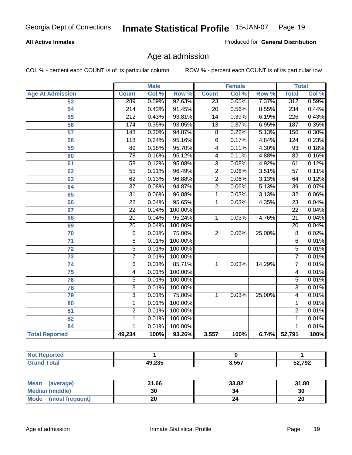#### **All Active Inmates**

Produced for **General Distribution**

### Age at admission

|                          |                  | <b>Male</b> |         |                         | <b>Female</b> |        |                 | <b>Total</b> |
|--------------------------|------------------|-------------|---------|-------------------------|---------------|--------|-----------------|--------------|
| <b>Age At Admission</b>  | <b>Count</b>     | Col %       | Row %   | <b>Count</b>            | Col %         | Row %  | <b>Total</b>    | Col %        |
| 53                       | 289              | 0.59%       | 92.63%  | $\overline{23}$         | 0.65%         | 7.37%  | 312             | 0.59%        |
| 54                       | 214              | 0.43%       | 91.45%  | $\overline{20}$         | 0.56%         | 8.55%  | 234             | 0.44%        |
| 55                       | $\overline{212}$ | 0.43%       | 93.81%  | 14                      | 0.39%         | 6.19%  | 226             | 0.43%        |
| $\overline{56}$          | 174              | 0.35%       | 93.05%  | $\overline{13}$         | 0.37%         | 6.95%  | 187             | 0.35%        |
| 57                       | 148              | 0.30%       | 94.87%  | $\overline{8}$          | 0.22%         | 5.13%  | 156             | 0.30%        |
| 58                       | $\overline{118}$ | 0.24%       | 95.16%  | $\overline{6}$          | 0.17%         | 4.84%  | 124             | 0.23%        |
| 59                       | 89               | 0.18%       | 95.70%  | $\overline{\mathbf{4}}$ | 0.11%         | 4.30%  | $\overline{93}$ | 0.18%        |
| 60                       | 78               | 0.16%       | 95.12%  | 4                       | 0.11%         | 4.88%  | 82              | 0.16%        |
| 61                       | $\overline{58}$  | 0.12%       | 95.08%  | $\overline{3}$          | 0.08%         | 4.92%  | 61              | 0.12%        |
| 62                       | $\overline{55}$  | 0.11%       | 96.49%  | $\overline{2}$          | 0.06%         | 3.51%  | $\overline{57}$ | 0.11%        |
| 63                       | 62               | 0.13%       | 96.88%  | $\overline{2}$          | 0.06%         | 3.13%  | 64              | 0.12%        |
| 64                       | $\overline{37}$  | 0.08%       | 94.87%  | $\overline{2}$          | 0.06%         | 5.13%  | $\overline{39}$ | 0.07%        |
| 65                       | $\overline{31}$  | 0.06%       | 96.88%  | 1                       | 0.03%         | 3.13%  | $\overline{32}$ | 0.06%        |
| 66                       | $\overline{22}$  | 0.04%       | 95.65%  | 1                       | 0.03%         | 4.35%  | $\overline{23}$ | 0.04%        |
| 67                       | 22               | 0.04%       | 100.00% |                         |               |        | $\overline{22}$ | 0.04%        |
| 68                       | $\overline{20}$  | 0.04%       | 95.24%  | 1                       | 0.03%         | 4.76%  | $\overline{21}$ | 0.04%        |
| 69                       | $\overline{20}$  | 0.04%       | 100.00% |                         |               |        | 20              | 0.04%        |
| 70                       | $\overline{6}$   | 0.01%       | 75.00%  | $\overline{2}$          | 0.06%         | 25.00% | $\overline{8}$  | 0.02%        |
| 71                       | $\overline{6}$   | 0.01%       | 100.00% |                         |               |        | 6               | 0.01%        |
| $\overline{72}$          | $\overline{5}$   | 0.01%       | 100.00% |                         |               |        | $\overline{5}$  | 0.01%        |
| 73                       | $\overline{7}$   | 0.01%       | 100.00% |                         |               |        | 7               | 0.01%        |
| 74                       | 6                | 0.01%       | 85.71%  | 1                       | 0.03%         | 14.29% | 7               | 0.01%        |
| 75                       | 4                | 0.01%       | 100.00% |                         |               |        | 4               | 0.01%        |
| 76                       | $\overline{5}$   | 0.01%       | 100.00% |                         |               |        | $\overline{5}$  | 0.01%        |
| 78                       | $\overline{3}$   | 0.01%       | 100.00% |                         |               |        | $\overline{3}$  | 0.01%        |
| 79                       | $\overline{3}$   | 0.01%       | 75.00%  | $\mathbf{1}$            | 0.03%         | 25.00% | 4               | 0.01%        |
| 80                       | 1                | 0.01%       | 100.00% |                         |               |        | 1               | 0.01%        |
| $\overline{\mathbf{81}}$ | $\overline{2}$   | 0.01%       | 100.00% |                         |               |        | 2               | 0.01%        |
| 82                       | 1                | 0.01%       | 100.00% |                         |               |        | 1               | 0.01%        |
| 84                       | 1                | 0.01%       | 100.00% |                         |               |        | 1               | 0.01%        |
| <b>Total Reported</b>    | 49,234           | 100%        | 93.26%  | 3,557                   | 100%          | 6.74%  | 52,791          | 100%         |

| <b>Not Reported</b> |        |       |        |
|---------------------|--------|-------|--------|
| <b>Grand Total</b>  | 49,235 | 3,557 | 52,792 |

| <b>Mean</b><br>(average)       | 31.66 | 33.82 | 31.80 |
|--------------------------------|-------|-------|-------|
| <b>Median (middle)</b>         | 30    | 34    | 30    |
| <b>Mode</b><br>(most frequent) |       |       | 20    |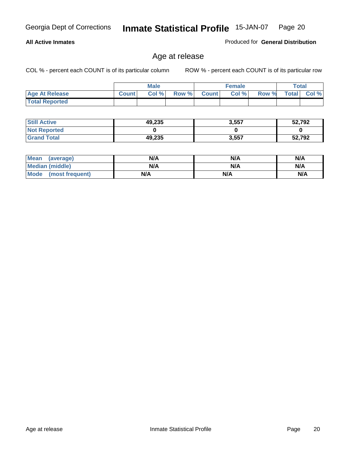#### **All Active Inmates**

Produced for **General Distribution**

### Age at release

|                       |              | <b>Male</b> |       |              | <b>Female</b> |       | <b>Total</b> |       |
|-----------------------|--------------|-------------|-------|--------------|---------------|-------|--------------|-------|
| <b>Age At Release</b> | <b>Count</b> | Col%        | Row % | <b>Count</b> | Col %         | Row % | <b>Total</b> | Col % |
| <b>Total Reported</b> |              |             |       |              |               |       |              |       |

| <b>Still Active</b> | 49,235 | 3,557 | 52,792 |
|---------------------|--------|-------|--------|
| <b>Not Reported</b> |        |       |        |
| <b>Grand Total</b>  | 49,235 | 3,557 | 52,792 |

| Mean (average)       | N/A | N/A | N/A |
|----------------------|-----|-----|-----|
| Median (middle)      | N/A | N/A | N/A |
| Mode (most frequent) | N/A | N/A | N/A |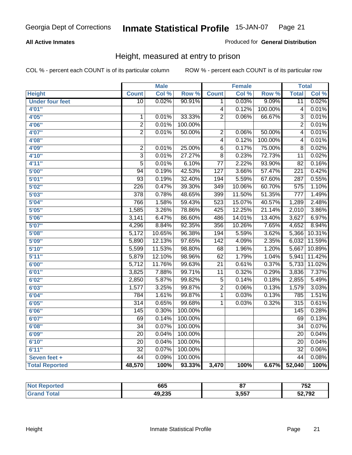#### **All Active Inmates**

#### Produced for **General Distribution**

### Height, measured at entry to prison

|                        |                    | <b>Male</b> |                  |                  | <b>Female</b> |                  | <b>Total</b>     |        |
|------------------------|--------------------|-------------|------------------|------------------|---------------|------------------|------------------|--------|
| <b>Height</b>          | <b>Count</b>       | Col %       | Row <sup>%</sup> | <b>Count</b>     | Col %         | Row <sup>7</sup> | <b>Total</b>     | Col %  |
| <b>Under four feet</b> | $\overline{10}$    | 0.02%       | 90.91%           | 1                | 0.03%         | 9.09%            | $\overline{11}$  | 0.02%  |
| 4'01"                  |                    |             |                  | $\overline{4}$   | 0.12%         | 100.00%          | 4                | 0.01%  |
| 4'05''                 | 1                  | 0.01%       | 33.33%           | $\overline{2}$   | 0.06%         | 66.67%           | 3                | 0.01%  |
| 4'06"                  | $\overline{2}$     | 0.01%       | 100.00%          |                  |               |                  | $\overline{2}$   | 0.01%  |
| 4'07"                  | $\overline{2}$     | 0.01%       | 50.00%           | $\overline{2}$   | 0.06%         | 50.00%           | 4                | 0.01%  |
| 4'08"                  |                    |             |                  | $\overline{4}$   | 0.12%         | 100.00%          | 4                | 0.01%  |
| 4'09"                  | $\overline{2}$     | 0.01%       | 25.00%           | 6                | 0.17%         | 75.00%           | 8                | 0.02%  |
| 4'10"                  | $\overline{3}$     | 0.01%       | 27.27%           | $\overline{8}$   | 0.23%         | 72.73%           | $\overline{11}$  | 0.02%  |
| 4'11''                 | $\overline{5}$     | 0.01%       | 6.10%            | $\overline{77}$  | 2.22%         | 93.90%           | $\overline{82}$  | 0.16%  |
| 5'00''                 | 94                 | 0.19%       | 42.53%           | $\overline{127}$ | 3.66%         | 57.47%           | $\overline{221}$ | 0.42%  |
| 5'01''                 | $\overline{93}$    | 0.19%       | 32.40%           | 194              | 5.59%         | 67.60%           | 287              | 0.55%  |
| 5'02"                  | $\overline{226}$   | 0.47%       | 39.30%           | 349              | 10.06%        | 60.70%           | $\overline{575}$ | 1.10%  |
| 5'03''                 | $\overline{378}$   | 0.78%       | 48.65%           | 399              | 11.50%        | 51.35%           | $\overline{777}$ | 1.49%  |
| 5'04''                 | 766                | 1.58%       | 59.43%           | 523              | 15.07%        | 40.57%           | 1,289            | 2.48%  |
| 5'05''                 | 1,585              | 3.26%       | 78.86%           | 425              | 12.25%        | 21.14%           | 2,010            | 3.86%  |
| 5'06''                 | 3,141              | 6.47%       | 86.60%           | 486              | 14.01%        | 13.40%           | 3,627            | 6.97%  |
| 5'07''                 | 4,296              | 8.84%       | 92.35%           | 356              | 10.26%        | 7.65%            | 4,652            | 8.94%  |
| 5'08''                 | $\overline{5,172}$ | 10.65%      | 96.38%           | 194              | 5.59%         | 3.62%            | 5,366            | 10.31% |
| 5'09''                 | 5,890              | 12.13%      | 97.65%           | 142              | 4.09%         | 2.35%            | 6,032            | 11.59% |
| 5'10''                 | 5,599              | 11.53%      | 98.80%           | 68               | 1.96%         | 1.20%            | 5,667            | 10.89% |
| 5'11''                 | 5,879              | 12.10%      | 98.96%           | 62               | 1.79%         | 1.04%            | 5,941            | 11.42% |
| 6'00''                 | 5,712              | 11.76%      | 99.63%           | $\overline{21}$  | 0.61%         | 0.37%            | 5,733            | 11.02% |
| 6'01''                 | 3,825              | 7.88%       | 99.71%           | $\overline{11}$  | 0.32%         | 0.29%            | 3,836            | 7.37%  |
| 6'02''                 | 2,850              | 5.87%       | 99.82%           | $\overline{5}$   | 0.14%         | 0.18%            | 2,855            | 5.49%  |
| 6'03''                 | 1,577              | 3.25%       | 99.87%           | $\overline{2}$   | 0.06%         | 0.13%            | 1,579            | 3.03%  |
| 6'04"                  | 784                | 1.61%       | 99.87%           | 1                | 0.03%         | 0.13%            | 785              | 1.51%  |
| 6'05''                 | $\overline{314}$   | 0.65%       | 99.68%           | $\mathbf{1}$     | 0.03%         | 0.32%            | 315              | 0.61%  |
| 6'06''                 | 145                | 0.30%       | 100.00%          |                  |               |                  | $\overline{145}$ | 0.28%  |
| 6'07''                 | 69                 | 0.14%       | 100.00%          |                  |               |                  | $\overline{69}$  | 0.13%  |
| 6'08''                 | $\overline{34}$    | 0.07%       | 100.00%          |                  |               |                  | $\overline{34}$  | 0.07%  |
| 6'09''                 | $\overline{20}$    | 0.04%       | 100.00%          |                  |               |                  | $\overline{20}$  | 0.04%  |
| 6'10''                 | $\overline{20}$    | 0.04%       | 100.00%          |                  |               |                  | $\overline{20}$  | 0.04%  |
| 6'11''                 | $\overline{32}$    | 0.07%       | 100.00%          |                  |               |                  | $\overline{32}$  | 0.06%  |
| Seven feet +           | 44                 | 0.09%       | 100.00%          |                  |               |                  | $\overline{44}$  | 0.08%  |
| <b>Total Reported</b>  | 48,570             | 100%        | 93.33%           | 3,470            | 100%          | 6.67%            | 52,040           | 100%   |

| тег. | 665    | --             | 700<br>$\sim$ |
|------|--------|----------------|---------------|
|      | 49,235 | ר בכ<br>3.JJ / | 52,792        |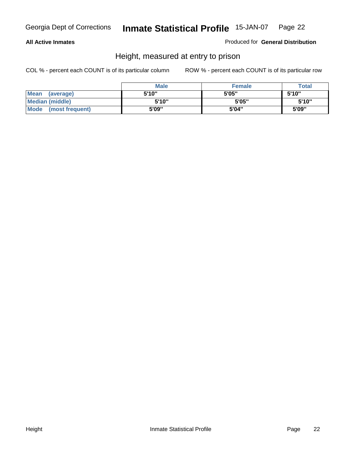#### **All Active Inmates**

Produced for **General Distribution**

### Height, measured at entry to prison

|                        | <b>Male</b> | <b>Female</b> | <b>Total</b> |
|------------------------|-------------|---------------|--------------|
| Mean (average)         | 5'10"       | 5'05"         | 5'10''       |
| <b>Median (middle)</b> | 5'10''      | 5'05"         | 5'10''       |
| Mode (most frequent)   | 5'09"       | 5'04"         | 5'09"        |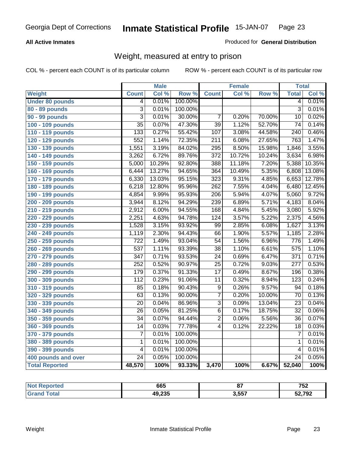#### **All Active Inmates**

#### Produced for **General Distribution**

### Weight, measured at entry to prison

|                        |                           | <b>Male</b> |         |                  | <b>Female</b> |        | <b>Total</b>     |        |
|------------------------|---------------------------|-------------|---------|------------------|---------------|--------|------------------|--------|
| Weight                 | <b>Count</b>              | Col %       | Row %   | <b>Count</b>     | Col %         | Row %  | <b>Total</b>     | Col %  |
| <b>Under 80 pounds</b> | $\overline{4}$            | 0.01%       | 100.00% |                  |               |        | $\overline{4}$   | 0.01%  |
| 80 - 89 pounds         | $\overline{\overline{3}}$ | 0.01%       | 100.00% |                  |               |        | $\overline{3}$   | 0.01%  |
| 90 - 99 pounds         | $\overline{3}$            | 0.01%       | 30.00%  | $\overline{7}$   | 0.20%         | 70.00% | $\overline{10}$  | 0.02%  |
| 100 - 109 pounds       | $\overline{35}$           | 0.07%       | 47.30%  | $\overline{39}$  | 1.12%         | 52.70% | $\overline{74}$  | 0.14%  |
| 110 - 119 pounds       | 133                       | 0.27%       | 55.42%  | 107              | 3.08%         | 44.58% | $\overline{240}$ | 0.46%  |
| 120 - 129 pounds       | 552                       | 1.14%       | 72.35%  | $\overline{211}$ | 6.08%         | 27.65% | 763              | 1.47%  |
| 130 - 139 pounds       | 1,551                     | 3.19%       | 84.02%  | 295              | 8.50%         | 15.98% | 1,846            | 3.55%  |
| 140 - 149 pounds       | 3,262                     | 6.72%       | 89.76%  | $\overline{372}$ | 10.72%        | 10.24% | 3,634            | 6.98%  |
| 150 - 159 pounds       | 5,000                     | 10.29%      | 92.80%  | 388              | 11.18%        | 7.20%  | 5,388            | 10.35% |
| 160 - 169 pounds       | 6,444                     | 13.27%      | 94.65%  | 364              | 10.49%        | 5.35%  | 6,808            | 13.08% |
| 170 - 179 pounds       | 6,330                     | 13.03%      | 95.15%  | 323              | 9.31%         | 4.85%  | 6,653            | 12.78% |
| 180 - 189 pounds       | 6,218                     | 12.80%      | 95.96%  | $\overline{262}$ | 7.55%         | 4.04%  | 6,480            | 12.45% |
| 190 - 199 pounds       | 4,854                     | 9.99%       | 95.93%  | $\overline{206}$ | 5.94%         | 4.07%  | 5,060            | 9.72%  |
| 200 - 209 pounds       | 3,944                     | 8.12%       | 94.29%  | 239              | 6.89%         | 5.71%  | 4,183            | 8.04%  |
| 210 - 219 pounds       | 2,912                     | 6.00%       | 94.55%  | 168              | 4.84%         | 5.45%  | 3,080            | 5.92%  |
| 220 - 229 pounds       | 2,251                     | 4.63%       | 94.78%  | 124              | 3.57%         | 5.22%  | 2,375            | 4.56%  |
| 230 - 239 pounds       | 1,528                     | 3.15%       | 93.92%  | $\overline{99}$  | 2.85%         | 6.08%  | 1,627            | 3.13%  |
| 240 - 249 pounds       | 1,119                     | 2.30%       | 94.43%  | 66               | 1.90%         | 5.57%  | 1,185            | 2.28%  |
| 250 - 259 pounds       | $\overline{722}$          | 1.49%       | 93.04%  | $\overline{54}$  | 1.56%         | 6.96%  | 776              | 1.49%  |
| 260 - 269 pounds       | $\overline{537}$          | 1.11%       | 93.39%  | $\overline{38}$  | 1.10%         | 6.61%  | 575              | 1.10%  |
| 270 - 279 pounds       | $\overline{347}$          | 0.71%       | 93.53%  | $\overline{24}$  | 0.69%         | 6.47%  | $\overline{371}$ | 0.71%  |
| 280 - 289 pounds       | 252                       | 0.52%       | 90.97%  | $\overline{25}$  | 0.72%         | 9.03%  | $\overline{277}$ | 0.53%  |
| 290 - 299 pounds       | 179                       | 0.37%       | 91.33%  | $\overline{17}$  | 0.49%         | 8.67%  | 196              | 0.38%  |
| 300 - 309 pounds       | 112                       | 0.23%       | 91.06%  | $\overline{11}$  | 0.32%         | 8.94%  | $\overline{123}$ | 0.24%  |
| 310 - 319 pounds       | 85                        | 0.18%       | 90.43%  | $\overline{9}$   | 0.26%         | 9.57%  | 94               | 0.18%  |
| 320 - 329 pounds       | 63                        | 0.13%       | 90.00%  | $\overline{7}$   | 0.20%         | 10.00% | $\overline{70}$  | 0.13%  |
| 330 - 339 pounds       | 20                        | 0.04%       | 86.96%  | $\overline{3}$   | 0.09%         | 13.04% | $\overline{23}$  | 0.04%  |
| 340 - 349 pounds       | 26                        | 0.05%       | 81.25%  | $\overline{6}$   | 0.17%         | 18.75% | $\overline{32}$  | 0.06%  |
| 350 - 359 pounds       | $\overline{34}$           | 0.07%       | 94.44%  | $\overline{2}$   | 0.06%         | 5.56%  | 36               | 0.07%  |
| 360 - 369 pounds       | 14                        | 0.03%       | 77.78%  | $\overline{4}$   | 0.12%         | 22.22% | 18               | 0.03%  |
| 370 - 379 pounds       | $\overline{7}$            | 0.01%       | 100.00% |                  |               |        | 7                | 0.01%  |
| 380 - 389 pounds       | 1                         | 0.01%       | 100.00% |                  |               |        | 1                | 0.01%  |
| 390 - 399 pounds       | 4                         | 0.01%       | 100.00% |                  |               |        | 4                | 0.01%  |
| 400 pounds and over    | $\overline{24}$           | 0.05%       | 100.00% |                  |               |        | $\overline{24}$  | 0.05%  |
| <b>Total Reported</b>  | 48,570                    | 100%        | 93.33%  | 3,470            | 100%          | 6.67%  | 52,040           | 100%   |

| <b>eported</b><br>NO. | 665    | 67<br>υ. | 752    |
|-----------------------|--------|----------|--------|
| $\sim$                | 49,235 | 3,557    | 52,792 |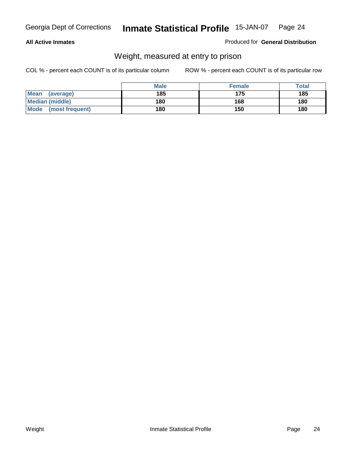#### **All Active Inmates**

#### Produced for **General Distribution**

### Weight, measured at entry to prison

|                          | <b>Male</b> | <b>Female</b> | Total |
|--------------------------|-------------|---------------|-------|
| <b>Mean</b><br>(average) | 185         | 175           | 185   |
| <b>Median (middle)</b>   | 180         | 168           | 180   |
| Mode<br>(most frequent)  | 180         | 150           | 180   |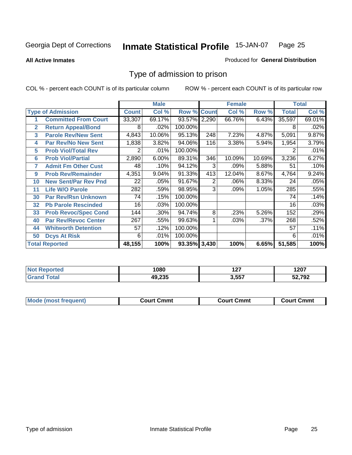#### **All Active Inmates**

#### Produced for **General Distribution**

### Type of admission to prison

|                          |                             |              | <b>Male</b> |                    |     | <b>Female</b> |         |              | <b>Total</b> |
|--------------------------|-----------------------------|--------------|-------------|--------------------|-----|---------------|---------|--------------|--------------|
| <b>Type of Admission</b> |                             | <b>Count</b> | Col %       | <b>Row % Count</b> |     | Col %         | Row %   | <b>Total</b> | Col %        |
| 1                        | <b>Committed From Court</b> | 33,307       | 69.17%      | 93.57% 2,290       |     | 66.76%        | 6.43%   | 35,597       | 69.01%       |
| $\overline{2}$           | <b>Return Appeal/Bond</b>   | 8            | .02%        | 100.00%            |     |               |         | 8            | .02%         |
| 3                        | <b>Parole Rev/New Sent</b>  | 4,843        | 10.06%      | 95.13%             | 248 | 7.23%         | 4.87%   | 5,091        | 9.87%        |
| 4                        | <b>Par Rev/No New Sent</b>  | 1,838        | 3.82%       | 94.06%             | 116 | 3.38%         | 5.94%   | 1,954        | 3.79%        |
| 5                        | <b>Prob Viol/Total Rev</b>  | 2            | .01%        | 100.00%            |     |               |         |              | .01%         |
| 6                        | <b>Prob Viol/Partial</b>    | 2,890        | 6.00%       | 89.31%             | 346 | 10.09%        | 10.69%  | 3,236        | 6.27%        |
| 7                        | <b>Admit Fm Other Cust</b>  | 48           | .10%        | 94.12%             | 3   | .09%          | 5.88%   | 51           | .10%         |
| 9                        | <b>Prob Rev/Remainder</b>   | 4,351        | 9.04%       | 91.33%             | 413 | 12.04%        | 8.67%   | 4,764        | 9.24%        |
| 10                       | <b>New Sent/Par Rev Pnd</b> | 22           | .05%        | 91.67%             | 2   | .06%          | 8.33%   | 24           | .05%         |
| 11                       | <b>Life W/O Parole</b>      | 282          | .59%        | 98.95%             | 3   | .09%          | 1.05%   | 285          | .55%         |
| 30                       | <b>Par Rev/Rsn Unknown</b>  | 74           | .15%        | 100.00%            |     |               |         | 74           | .14%         |
| 32                       | <b>Pb Parole Rescinded</b>  | 16           | .03%        | 100.00%            |     |               |         | 16           | .03%         |
| 33                       | <b>Prob Revoc/Spec Cond</b> | 144          | .30%        | 94.74%             | 8   | .23%          | 5.26%   | 152          | .29%         |
| 40                       | <b>Par Rev/Revoc Center</b> | 267          | .55%        | 99.63%             |     | .03%          | $.37\%$ | 268          | .52%         |
| 44                       | <b>Whitworth Detention</b>  | 57           | .12%        | 100.00%            |     |               |         | 57           | .11%         |
| 50                       | <b>Dcys At Risk</b>         | 6            | .01%        | 100.00%            |     |               |         | 6            | .01%         |
|                          | <b>Total Reported</b>       | 48,155       | 100%        | 93.35% 3,430       |     | 100%          | 6.65%   | 51,585       | 100%         |

| rted<br>NO) | 1080   | כמי<br>1 Z I | 1207   |
|-------------|--------|--------------|--------|
|             | אפר הו | 3,557        | 52,792 |

| Mou.<br>uent)<br>most trea | Court Cmmt | Cmmt<br>COULLET. | Cmm<br>∶ourt |
|----------------------------|------------|------------------|--------------|
|                            |            |                  |              |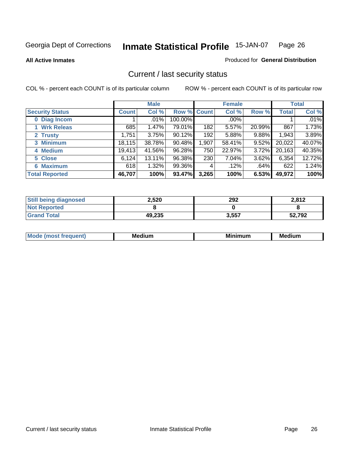**All Active Inmates**

#### Produced for **General Distribution**

### Current / last security status

|                        | <b>Male</b>  |        |                    | <b>Female</b>    |         |          | <b>Total</b> |        |
|------------------------|--------------|--------|--------------------|------------------|---------|----------|--------------|--------|
| <b>Security Status</b> | <b>Count</b> | Col %  | <b>Row % Count</b> |                  | Col %   | Row %    | <b>Total</b> | Col %  |
| 0 Diag Incom           |              | .01%   | 100.00%            |                  | $.00\%$ |          |              | .01%   |
| 1 Wrk Releas           | 685          | 1.47%  | 79.01%             | 182              | 5.57%   | 20.99%   | 867          | 1.73%  |
| 2 Trusty               | 1,751        | 3.75%  | 90.12%             | 192 <sub>1</sub> | 5.88%   | 9.88%    | 1,943        | 3.89%  |
| 3 Minimum              | 18, 115      | 38.78% | 90.48%             | 1,907            | 58.41%  | $9.52\%$ | 20,022       | 40.07% |
| 4 Medium               | 19,413       | 41.56% | 96.28%             | 750              | 22.97%  | 3.72%    | 20,163       | 40.35% |
| 5 Close                | 6,124        | 13.11% | 96.38%             | 230              | 7.04%   | 3.62%    | 6,354        | 12.72% |
| <b>6 Maximum</b>       | 618          | 1.32%  | 99.36%             | 4                | .12%    | .64%     | 622          | 1.24%  |
| <b>Total Reported</b>  | 46,707       | 100%   | 93.47%             | 3,265            | 100%    | 6.53%    | 49,972       | 100%   |

| <b>Still being diagnosed</b> | 2,520  | 292   | 2,812  |
|------------------------------|--------|-------|--------|
| <b>Not Reported</b>          |        |       |        |
| <b>Grand Total</b>           | 49,235 | 3,557 | 52,792 |

| $M_{\Omega}$<br>יחב | M۵<br>dium | <b>BAL.</b><br>num | Mer<br>dium |
|---------------------|------------|--------------------|-------------|
|                     |            |                    |             |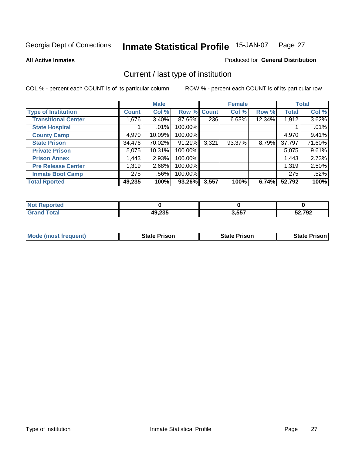**All Active Inmates**

#### Produced for **General Distribution**

### Current / last type of institution

|                            |              | <b>Male</b> |             |       | <b>Female</b> |           |              | <b>Total</b> |
|----------------------------|--------------|-------------|-------------|-------|---------------|-----------|--------------|--------------|
| <b>Type of Institution</b> | <b>Count</b> | Col %       | Row % Count |       | Col %         | Row %     | <b>Total</b> | Col %        |
| <b>Transitional Center</b> | 1,676        | $3.40\%$    | 87.66%      | 236   | 6.63%         | $12.34\%$ | 1,912        | 3.62%        |
| <b>State Hospital</b>      |              | $.01\%$     | 100.00%     |       |               |           |              | .01%         |
| <b>County Camp</b>         | 4,970        | 10.09%      | 100.00%     |       |               |           | 4,970        | 9.41%        |
| <b>State Prison</b>        | 34,476       | 70.02%      | 91.21%      | 3,321 | 93.37%        | 8.79%     | 37,797       | 71.60%       |
| <b>Private Prison</b>      | 5,075        | 10.31%      | 100.00%     |       |               |           | 5,075        | 9.61%        |
| <b>Prison Annex</b>        | 1,443        | 2.93%       | 100.00%     |       |               |           | 1,443        | 2.73%        |
| <b>Pre Release Center</b>  | 1,319        | 2.68%       | 100.00%     |       |               |           | 1,319        | 2.50%        |
| <b>Inmate Boot Camp</b>    | 275          | .56%        | 100.00%     |       |               |           | 275          | .52%         |
| <b>Total Rported</b>       | 49,235       | 100%        | 93.26%      | 3,557 | 100%          | 6.74%     | 52,792       | 100%         |

| <b>Not</b><br>Reported |        |       |              |
|------------------------|--------|-------|--------------|
| <b>Grand Total</b>     | 49,235 | 3,557 | 52,792<br>JZ |

| <b>Mode (most frequent)</b> | State Prison | <b>State Prison</b> | <b>State Prison I</b> |
|-----------------------------|--------------|---------------------|-----------------------|
|                             |              |                     |                       |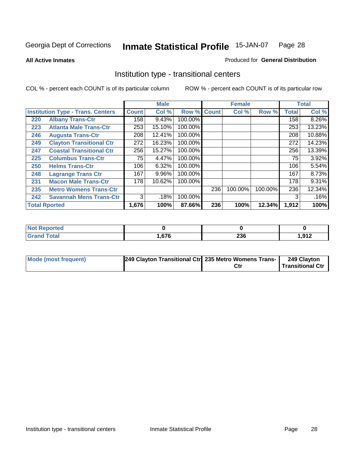**All Active Inmates**

#### Produced for **General Distribution**

### Institution type - transitional centers

|     |                                          |              | <b>Male</b> |         |              | <b>Female</b> |         |              | <b>Total</b> |
|-----|------------------------------------------|--------------|-------------|---------|--------------|---------------|---------|--------------|--------------|
|     | <b>Institution Type - Trans. Centers</b> | <b>Count</b> | Col %       | Row %   | <b>Count</b> | Col %         | Row %   | <b>Total</b> | Col %        |
| 220 | <b>Albany Trans-Ctr</b>                  | 158          | 9.43%       | 100.00% |              |               |         | 158          | 8.26%        |
| 223 | <b>Atlanta Male Trans-Ctr</b>            | 253          | 15.10%      | 100.00% |              |               |         | 253          | 13.23%       |
| 246 | <b>Augusta Trans-Ctr</b>                 | 208          | 12.41%      | 100.00% |              |               |         | 208          | 10.88%       |
| 249 | <b>Clayton Transitional Ctr</b>          | 272          | 16.23%      | 100.00% |              |               |         | 272          | 14.23%       |
| 247 | <b>Coastal Transitional Ctr</b>          | 256          | 15.27%      | 100.00% |              |               |         | 256          | 13.39%       |
| 225 | <b>Columbus Trans-Ctr</b>                | 75           | 4.47%       | 100.00% |              |               |         | 75           | 3.92%        |
| 250 | <b>Helms Trans-Ctr</b>                   | 106          | 6.32%       | 100.00% |              |               |         | 106          | 5.54%        |
| 248 | <b>Lagrange Trans Ctr</b>                | 167          | 9.96%       | 100.00% |              |               |         | 167          | 8.73%        |
| 231 | <b>Macon Male Trans-Ctr</b>              | 178          | 10.62%      | 100.00% |              |               |         | 178          | 9.31%        |
| 235 | <b>Metro Womens Trans-Ctr</b>            |              |             |         | 236          | 100.00%       | 100.00% | 236          | 12.34%       |
| 242 | <b>Savannah Mens Trans-Ctr</b>           | 3            | .18%        | 100.00% |              |               |         | 3            | .16%         |
|     | <b>Total Rported</b>                     | 1,676        | 100%        | 87.66%  | 236          | 100%          | 12.34%  | 1,912        | 100%         |

| Reported<br>  |      |            |                  |
|---------------|------|------------|------------------|
| <b>c</b> otal | ,676 | nge<br>∠งง | .917<br>1,J I 4. |

| <b>Mode (most frequent)</b> | [249 Clayton Transitional Ctr] 235 Metro Womens Trans- | Ctı | 249 Clayton<br>Transitional Ctr |
|-----------------------------|--------------------------------------------------------|-----|---------------------------------|
|                             |                                                        |     |                                 |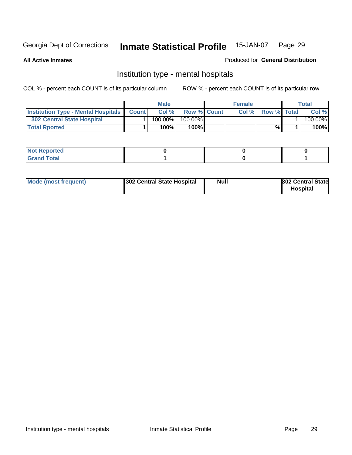**All Active Inmates**

#### Produced for **General Distribution**

### Institution type - mental hospitals

|                                                  | <b>Male</b> |                    | <b>Female</b> |                    | Total   |
|--------------------------------------------------|-------------|--------------------|---------------|--------------------|---------|
| <b>Institution Type - Mental Hospitals Count</b> | Col%        | <b>Row % Count</b> | Col%          | <b>Row % Total</b> | Col %   |
| 302 Central State Hospital                       | $100.00\%$  | 100.00%            |               |                    | 100.00% |
| <b>Total Rported</b>                             | 100%        | 100%               |               | %                  | 100%    |

| <b><i>College College College College College College College College College College College College College College College College College College College College College College College College College College College Coll</i></b><br><b>NOT Reported</b> |  |  |
|-------------------------------------------------------------------------------------------------------------------------------------------------------------------------------------------------------------------------------------------------------------------|--|--|
| $int^{\bullet}$<br>.                                                                                                                                                                                                                                              |  |  |

| Mode (most frequent)<br>302 Central State Hospital | Null | <b>302 Central State</b><br><b>Hospital</b> |
|----------------------------------------------------|------|---------------------------------------------|
|----------------------------------------------------|------|---------------------------------------------|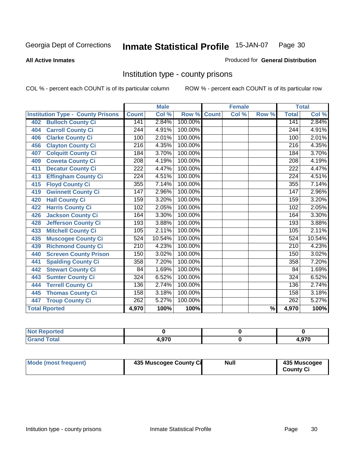#### **All Active Inmates**

#### Produced for **General Distribution**

### Institution type - county prisons

|                                          |                  | <b>Male</b> |         |              | <b>Female</b>             |                          |                  | <b>Total</b> |
|------------------------------------------|------------------|-------------|---------|--------------|---------------------------|--------------------------|------------------|--------------|
| <b>Institution Type - County Prisons</b> | <b>Count</b>     | Col %       | Row %   | <b>Count</b> | $\overline{\text{Col}}$ % | Row %                    | <b>Total</b>     | Col %        |
| <b>Bulloch County Ci</b><br>402          | 141              | 2.84%       | 100.00% |              |                           |                          | 141              | 2.84%        |
| <b>Carroll County Ci</b><br>404          | $\overline{244}$ | 4.91%       | 100.00% |              |                           |                          | 244              | 4.91%        |
| <b>Clarke County Ci</b><br>406           | 100              | 2.01%       | 100.00% |              |                           |                          | 100              | 2.01%        |
| <b>Clayton County Ci</b><br>456          | 216              | 4.35%       | 100.00% |              |                           |                          | $\overline{216}$ | 4.35%        |
| <b>Colquitt County Ci</b><br>407         | 184              | 3.70%       | 100.00% |              |                           |                          | 184              | 3.70%        |
| <b>Coweta County Ci</b><br>409           | $\overline{208}$ | 4.19%       | 100.00% |              |                           |                          | $\overline{208}$ | 4.19%        |
| <b>Decatur County Ci</b><br>411          | 222              | 4.47%       | 100.00% |              |                           |                          | 222              | 4.47%        |
| <b>Effingham County Ci</b><br>413        | 224              | 4.51%       | 100.00% |              |                           |                          | 224              | 4.51%        |
| <b>Floyd County Ci</b><br>415            | 355              | 7.14%       | 100.00% |              |                           |                          | 355              | 7.14%        |
| <b>Gwinnett County Ci</b><br>419         | 147              | 2.96%       | 100.00% |              |                           |                          | 147              | 2.96%        |
| <b>Hall County Ci</b><br>420             | 159              | 3.20%       | 100.00% |              |                           |                          | 159              | 3.20%        |
| <b>Harris County Ci</b><br>422           | 102              | 2.05%       | 100.00% |              |                           |                          | 102              | 2.05%        |
| <b>Jackson County Ci</b><br>426          | 164              | 3.30%       | 100.00% |              |                           |                          | 164              | 3.30%        |
| <b>Jefferson County Ci</b><br>428        | 193              | 3.88%       | 100.00% |              |                           |                          | 193              | 3.88%        |
| <b>Mitchell County Ci</b><br>433         | 105              | 2.11%       | 100.00% |              |                           |                          | 105              | 2.11%        |
| <b>Muscogee County Ci</b><br>435         | 524              | 10.54%      | 100.00% |              |                           |                          | 524              | 10.54%       |
| <b>Richmond County Ci</b><br>439         | $\overline{210}$ | 4.23%       | 100.00% |              |                           |                          | 210              | 4.23%        |
| <b>Screven County Prison</b><br>440      | 150              | 3.02%       | 100.00% |              |                           |                          | 150              | 3.02%        |
| <b>Spalding County Ci</b><br>441         | 358              | 7.20%       | 100.00% |              |                           |                          | 358              | 7.20%        |
| <b>Stewart County Ci</b><br>442          | 84               | 1.69%       | 100.00% |              |                           |                          | 84               | 1.69%        |
| <b>Sumter County Ci</b><br>443           | $\overline{324}$ | 6.52%       | 100.00% |              |                           |                          | $\overline{324}$ | 6.52%        |
| <b>Terrell County Ci</b><br>444          | 136              | 2.74%       | 100.00% |              |                           |                          | 136              | 2.74%        |
| <b>Thomas County Ci</b><br>445           | 158              | 3.18%       | 100.00% |              |                           |                          | 158              | 3.18%        |
| <b>Troup County Ci</b><br>447            | $\overline{262}$ | 5.27%       | 100.00% |              |                           |                          | $\overline{262}$ | 5.27%        |
| <b>Total Rported</b>                     | 4,970            | 100%        | 100%    |              |                           | $\overline{\frac{9}{6}}$ | 4,970            | 100%         |

| tetol                                        |     |             |
|----------------------------------------------|-----|-------------|
| $\sim$<br>$\sim$ $\sim$ $\sim$ $\sim$ $\sim$ | 070 | 0.70<br>7 U |

| Mode (most frequent) | 435 Muscogee County Ci | <b>Null</b> | 435 Muscogee     |
|----------------------|------------------------|-------------|------------------|
|                      |                        |             | <b>County Ci</b> |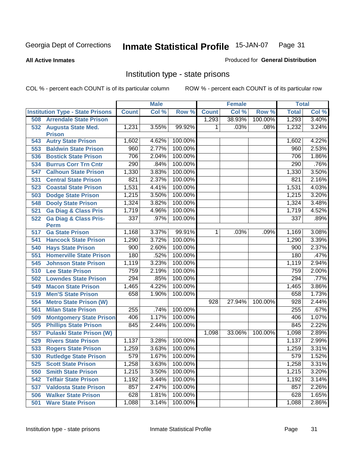**All Active Inmates**

#### Produced for **General Distribution**

### Institution type - state prisons

|     |                                                 |              | <b>Male</b> |         |                | <b>Female</b> |         | <b>Total</b> |       |
|-----|-------------------------------------------------|--------------|-------------|---------|----------------|---------------|---------|--------------|-------|
|     | <b>Institution Type - State Prisons</b>         | <b>Count</b> | Col %       | Row %   | <b>Count</b>   | Col %         | Row %   | <b>Total</b> | Col % |
| 508 | <b>Arrendale State Prison</b>                   |              |             |         | 1,293          | 38.93%        | 100.00% | 1,293        | 3.40% |
|     | 532 Augusta State Med.<br><b>Prison</b>         | 1,231        | 3.55%       | 99.92%  | 1.             | .03%          | .08%    | 1,232        | 3.24% |
| 543 | <b>Autry State Prison</b>                       | 1,602        | 4.62%       | 100.00% |                |               |         | 1,602        | 4.22% |
| 553 | <b>Baldwin State Prison</b>                     | 960          | 2.77%       | 100.00% |                |               |         | 960          | 2.53% |
| 536 | <b>Bostick State Prison</b>                     | 706          | 2.04%       | 100.00% |                |               |         | 706          | 1.86% |
| 534 | <b>Burrus Corr Trn Cntr</b>                     | 290          | .84%        | 100.00% |                |               |         | 290          | .76%  |
| 547 | <b>Calhoun State Prison</b>                     | 1,330        | 3.83%       | 100.00% |                |               |         | 1,330        | 3.50% |
| 531 | <b>Central State Prison</b>                     | 821          | 2.37%       | 100.00% |                |               |         | 821          | 2.16% |
| 523 | <b>Coastal State Prison</b>                     | 1,531        | 4.41%       | 100.00% |                |               |         | 1,531        | 4.03% |
| 503 | <b>Dodge State Prison</b>                       | 1,215        | 3.50%       | 100.00% |                |               |         | 1,215        | 3.20% |
| 548 | <b>Dooly State Prison</b>                       | 1,324        | 3.82%       | 100.00% |                |               |         | 1,324        | 3.48% |
| 521 | <b>Ga Diag &amp; Class Pris</b>                 | 1,719        | 4.96%       | 100.00% |                |               |         | 1,719        | 4.52% |
| 522 | <b>Ga Diag &amp; Class Pris-</b><br><b>Perm</b> | 337          | .97%        | 100.00% |                |               |         | 337          | .89%  |
| 517 | <b>Ga State Prison</b>                          | 1,168        | 3.37%       | 99.91%  | 1 <sup>1</sup> | .03%          | .09%    | 1,169        | 3.08% |
| 541 | <b>Hancock State Prison</b>                     | 1,290        | 3.72%       | 100.00% |                |               |         | 1,290        | 3.39% |
| 540 | <b>Hays State Prison</b>                        | 900          | 2.60%       | 100.00% |                |               |         | 900          | 2.37% |
| 551 | <b>Homerville State Prison</b>                  | 180          | .52%        | 100.00% |                |               |         | 180          | .47%  |
| 545 | <b>Johnson State Prison</b>                     | 1,119        | 3.23%       | 100.00% |                |               |         | 1,119        | 2.94% |
| 510 | <b>Lee State Prison</b>                         | 759          | 2.19%       | 100.00% |                |               |         | 759          | 2.00% |
| 502 | <b>Lowndes State Prison</b>                     | 294          | .85%        | 100.00% |                |               |         | 294          | .77%  |
| 549 | <b>Macon State Prison</b>                       | 1,465        | 4.22%       | 100.00% |                |               |         | 1,465        | 3.86% |
| 519 | <b>Men'S State Prison</b>                       | 658          | 1.90%       | 100.00% |                |               |         | 658          | 1.73% |
| 554 | <b>Metro State Prison (W)</b>                   |              |             |         | 928            | 27.94%        | 100.00% | 928          | 2.44% |
| 561 | <b>Milan State Prison</b>                       | 255          | .74%        | 100.00% |                |               |         | 255          | .67%  |
| 509 | <b>Montgomery State Prison</b>                  | 406          | 1.17%       | 100.00% |                |               |         | 406          | 1.07% |
| 505 | <b>Phillips State Prison</b>                    | 845          | 2.44%       | 100.00% |                |               |         | 845          | 2.22% |
| 557 | <b>Pulaski State Prison (W)</b>                 |              |             |         | 1,098          | 33.06%        | 100.00% | 1,098        | 2.89% |
| 529 | <b>Rivers State Prison</b>                      | 1,137        | 3.28%       | 100.00% |                |               |         | 1,137        | 2.99% |
| 533 | <b>Rogers State Prison</b>                      | 1,259        | 3.63%       | 100.00% |                |               |         | 1,259        | 3.31% |
| 530 | <b>Rutledge State Prison</b>                    | 579          | 1.67%       | 100.00% |                |               |         | 579          | 1.52% |
| 525 | <b>Scott State Prison</b>                       | 1,258        | 3.63%       | 100.00% |                |               |         | 1,258        | 3.31% |
| 550 | <b>Smith State Prison</b>                       | 1,215        | 3.50%       | 100.00% |                |               |         | 1,215        | 3.20% |
| 542 | <b>Telfair State Prison</b>                     | 1,192        | 3.44%       | 100.00% |                |               |         | 1,192        | 3.14% |
| 537 | <b>Valdosta State Prison</b>                    | 857          | 2.47%       | 100.00% |                |               |         | 857          | 2.26% |
| 506 | <b>Walker State Prison</b>                      | 628          | 1.81%       | 100.00% |                |               |         | 628          | 1.65% |
| 501 | <b>Ware State Prison</b>                        | 1,088        | 3.14%       | 100.00% |                |               |         | 1,088        | 2.86% |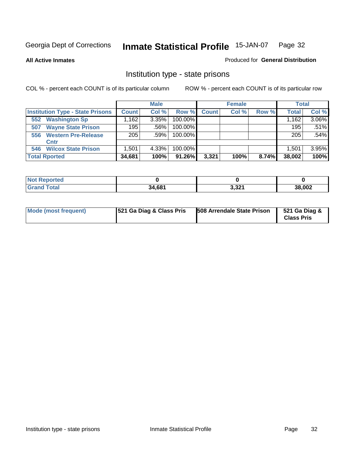**All Active Inmates**

#### Produced for **General Distribution**

### Institution type - state prisons

|                                         |              | <b>Male</b> |            |       | <b>Female</b> |       | <b>Total</b> |          |
|-----------------------------------------|--------------|-------------|------------|-------|---------------|-------|--------------|----------|
| <b>Institution Type - State Prisons</b> | <b>Count</b> | Col %       | Row %      | Count | Col %         | Row % | <b>Total</b> | Col %    |
| <b>Washington Sp</b><br>552             | .162         | 3.35%       | $100.00\%$ |       |               |       | 1,162        | $3.06\%$ |
| <b>Wayne State Prison</b><br>507        | 195          | .56%        | $100.00\%$ |       |               |       | 195          | .51%     |
| <b>Western Pre-Release</b><br>556       | 205          | .59%        | 100.00%    |       |               |       | 205          | .54%     |
| Cntr                                    |              |             |            |       |               |       |              |          |
| <b>Wilcox State Prison</b><br>546       | 1,501        | 4.33%       | 100.00%    |       |               |       | 1.501        | 3.95%    |
| <b>Total Rported</b>                    | 34,681       | 100%        | 91.26%     | 3,321 | 100%          | 8.74% | 38,002       | 100%     |

| N<br>νττες.<br>. |        |                  |             |
|------------------|--------|------------------|-------------|
| <b>ota</b>       | 34,681 | 2.224<br>۱ ∠د. د | 8,002<br>۹Ά |

| Mode (most frequent) | <b>521 Ga Diag &amp; Class Pris</b> | 508 Arrendale State Prison | 521 Ga Diag &<br><b>Class Pris</b> |
|----------------------|-------------------------------------|----------------------------|------------------------------------|
|----------------------|-------------------------------------|----------------------------|------------------------------------|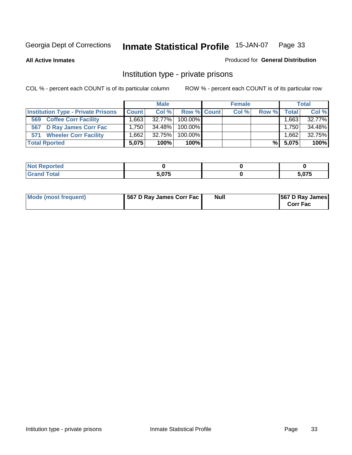#### **All Active Inmates**

#### Produced for **General Distribution**

### Institution type - private prisons

|                                           |                   | <b>Male</b> |             | <b>Female</b> |       |           | <b>Total</b> |
|-------------------------------------------|-------------------|-------------|-------------|---------------|-------|-----------|--------------|
| <b>Institution Type - Private Prisons</b> | <b>Count</b>      | Col %       | Row % Count | Col %         | Row % | Total     | Col %        |
| <b>Coffee Corr Facility</b><br>569        | .663              | $32.77\%$   | 100.00%     |               |       | ∃663،،    | 32.77%       |
| 567 D Ray James Corr Fac                  | 1.750             | 34.48%      | 100.00%     |               |       | $1,750^+$ | 34.48%       |
| <b>Wheeler Corr Facility</b><br>571       | .662 <sup>1</sup> | 32.75%      | 100.00%     |               |       | 1.662     | 32.75%       |
| <b>Total Rported</b>                      | 5.075             | 100%        | 100%        |               | %     | 5,075     | 100%         |

| rtea<br>ומש              |       |        |
|--------------------------|-------|--------|
| <b>Total</b><br>$\sim$ . | 5.075 | $\sim$ |

| Mode (most frequent) | 567 D Ray James Corr Fac | <b>Null</b> | <b>567 D Ray James</b><br><b>Corr Fac</b> |
|----------------------|--------------------------|-------------|-------------------------------------------|
|----------------------|--------------------------|-------------|-------------------------------------------|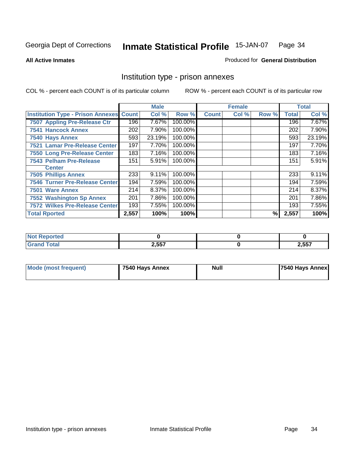#### **All Active Inmates**

#### Produced for **General Distribution**

### Institution type - prison annexes

|                                                |       | <b>Male</b> |         |              | <b>Female</b> |       |              | <b>Total</b> |
|------------------------------------------------|-------|-------------|---------|--------------|---------------|-------|--------------|--------------|
| <b>Institution Type - Prison Annexes Count</b> |       | Col %       | Row %   | <b>Count</b> | Col %         | Row % | <b>Total</b> | Col %        |
| 7507 Appling Pre-Release Ctr                   | 196   | 7.67%       | 100.00% |              |               |       | 196          | 7.67%        |
| <b>7541 Hancock Annex</b>                      | 202   | 7.90%       | 100.00% |              |               |       | 202          | 7.90%        |
| 7540 Hays Annex                                | 593   | 23.19%      | 100.00% |              |               |       | 593          | 23.19%       |
| 7521 Lamar Pre-Release Center                  | 197   | 7.70%       | 100.00% |              |               |       | 197          | 7.70%        |
| 7550 Long Pre-Release Center                   | 183   | 7.16%       | 100.00% |              |               |       | 183          | 7.16%        |
| <b>7543 Pelham Pre-Release</b>                 | 151   | 5.91%       | 100.00% |              |               |       | 151          | 5.91%        |
| <b>Center</b>                                  |       |             |         |              |               |       |              |              |
| <b>7505 Phillips Annex</b>                     | 233   | 9.11%       | 100.00% |              |               |       | 233          | 9.11%        |
| <b>7546 Turner Pre-Release Center</b>          | 194   | 7.59%       | 100.00% |              |               |       | 194          | 7.59%        |
| 7501 Ware Annex                                | 214   | 8.37%       | 100.00% |              |               |       | 214          | 8.37%        |
| 7552 Washington Sp Annex                       | 201   | 7.86%       | 100.00% |              |               |       | 201          | 7.86%        |
| 7572 Wilkes Pre-Release Center                 | 193   | 7.55%       | 100.00% |              |               |       | 193          | 7.55%        |
| <b>Total Rported</b>                           | 2,557 | 100%        | 100%    |              |               | %     | 2,557        | 100%         |

| <b>Reported</b>      |       |       |
|----------------------|-------|-------|
| <b>Total</b><br>Cron | 2,557 | 2,557 |

| <b>Mode (most frequent)</b> | 7540 Hays Annex | <b>Null</b> | 7540 Hays Annex |
|-----------------------------|-----------------|-------------|-----------------|
|-----------------------------|-----------------|-------------|-----------------|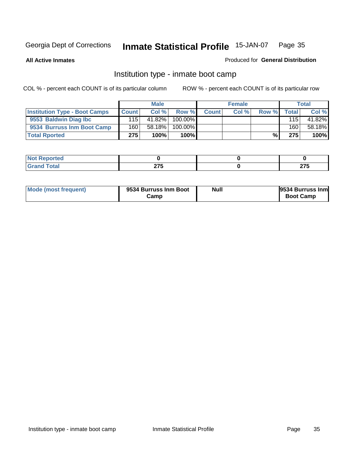**All Active Inmates**

#### Produced for **General Distribution**

### Institution type - inmate boot camp

|                                      |              | <b>Male</b> |            |              | <b>Female</b> |       |       | <b>Total</b> |
|--------------------------------------|--------------|-------------|------------|--------------|---------------|-------|-------|--------------|
| <b>Institution Type - Boot Camps</b> | <b>Count</b> | Col %       | Row %      | <b>Count</b> | Col %         | Row % | Total | Col %        |
| 9553 Baldwin Diag Ibc                | 115          | 41.82%      | $100.00\%$ |              |               |       | 115   | 41.82%       |
| 9534 Burruss Inm Boot Camp           | 160          | 58.18%      | 100.00%    |              |               |       | 160   | 58.18%       |
| <b>Total Rported</b>                 | 275          | 100%        | 100%       |              |               | %     | 275   | 100%         |

| tea<br>___ |        |        |
|------------|--------|--------|
| 'otal      | $\sim$ | $\sim$ |
| $\sim$     | 41 V   | 21 J   |

| Mode (most frequent) | 9534 Burruss Inm Boot<br>Camp | Null | 9534 Burruss Inm<br><b>Boot Camp</b> |
|----------------------|-------------------------------|------|--------------------------------------|
|----------------------|-------------------------------|------|--------------------------------------|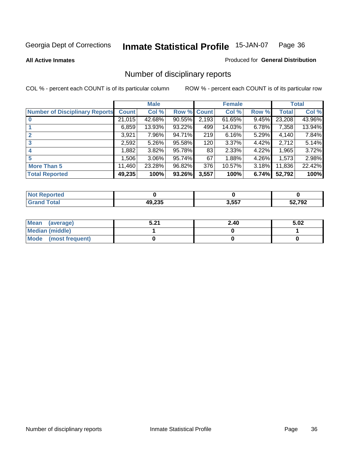**All Active Inmates**

#### Produced for **General Distribution**

### Number of disciplinary reports

|                                       |              | <b>Male</b> |        |              | <b>Female</b> |       |              | <b>Total</b> |
|---------------------------------------|--------------|-------------|--------|--------------|---------------|-------|--------------|--------------|
| <b>Number of Disciplinary Reports</b> | <b>Count</b> | Col %       | Row %  | <b>Count</b> | Col %         | Row % | <b>Total</b> | Col %        |
|                                       | 21,015       | 42.68%      | 90.55% | 2,193        | $61.65\%$     | 9.45% | 23,208       | 43.96%       |
|                                       | 6,859        | 13.93%      | 93.22% | 499          | 14.03%        | 6.78% | 7,358        | 13.94%       |
| 2                                     | 3,921        | 7.96%       | 94.71% | 219          | 6.16%         | 5.29% | 4,140        | 7.84%        |
| 3                                     | 2,592        | $5.26\%$    | 95.58% | 120          | 3.37%         | 4.42% | 2,712        | 5.14%        |
|                                       | .882         | $3.82\%$    | 95.78% | 83           | 2.33%         | 4.22% | 1,965        | 3.72%        |
| 5                                     | 506,         | $3.06\%$    | 95.74% | 67           | 1.88%         | 4.26% | 1,573        | 2.98%        |
| <b>More Than 5</b>                    | 11,460       | 23.28%      | 96.82% | 376          | 10.57%        | 3.18% | 11,836       | 22.42%       |
| <b>Total Reported</b>                 | 49,235       | 100%        | 93.26% | 3,557        | 100%          | 6.74% | 52,792       | 100%         |

| _____ | 10.225 | 3,557 | רחד רג<br>Ÿã |
|-------|--------|-------|--------------|

| Mean (average)       | E 94<br>3.Z . | 2.40 | 5.02 |
|----------------------|---------------|------|------|
| Median (middle)      |               |      |      |
| Mode (most frequent) |               |      |      |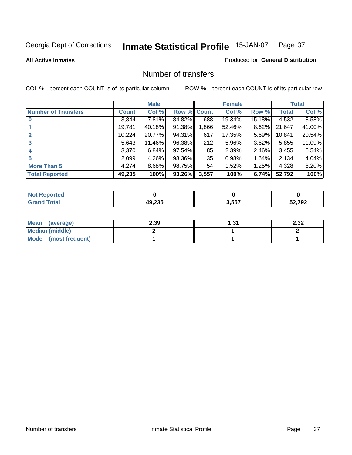### **All Active Inmates**

### Produced for **General Distribution**

# Number of transfers

|                            |         | <b>Male</b> |        |              | <b>Female</b> |          |              | <b>Total</b> |
|----------------------------|---------|-------------|--------|--------------|---------------|----------|--------------|--------------|
| <b>Number of Transfers</b> | Count l | Col %       | Row %  | <b>Count</b> | Col %         | Row %    | <b>Total</b> | Col %        |
|                            | 3,844   | $7.81\%$    | 84.82% | 688          | 19.34%        | 15.18%   | 4,532        | 8.58%        |
|                            | 19,781  | 40.18%      | 91.38% | .866         | 52.46%        | $8.62\%$ | 21,647       | 41.00%       |
|                            | 10,224  | 20.77%      | 94.31% | 617          | 17.35%        | 5.69%    | 10,841       | 20.54%       |
| 3                          | 5,643   | 11.46%      | 96.38% | 212          | 5.96%         | $3.62\%$ | 5,855        | 11.09%       |
|                            | 3,370   | 6.84%       | 97.54% | 85           | 2.39%         | $2.46\%$ | 3,455        | 6.54%        |
| 5                          | 2,099   | $4.26\%$    | 98.36% | 35           | 0.98%         | 1.64%    | 2,134        | 4.04%        |
| <b>More Than 5</b>         | 4,274   | 8.68%       | 98.75% | 54           | 1.52%         | $1.25\%$ | 4,328        | 8.20%        |
| <b>Total Reported</b>      | 49,235  | 100%        | 93.26% | 3,557        | 100%          | 6.74%    | 52,792       | 100%         |

| ______ | 10.225 | 3,557 | רחד רג<br>Ÿã |
|--------|--------|-------|--------------|

| Mean (average)       | 2.39 | 31. ا | 2.32 |
|----------------------|------|-------|------|
| Median (middle)      |      |       |      |
| Mode (most frequent) |      |       |      |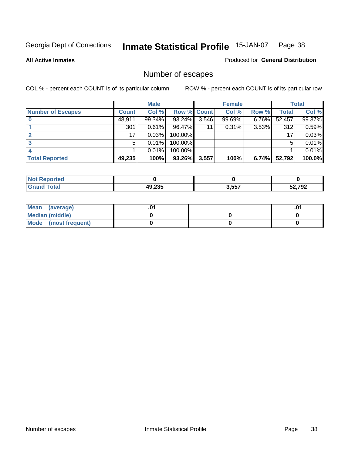Produced for **General Distribution**

### **All Active Inmates**

# Number of escapes

|                          |              | <b>Male</b> |                    |       | <b>Female</b> |       |        | <b>Total</b> |
|--------------------------|--------------|-------------|--------------------|-------|---------------|-------|--------|--------------|
| <b>Number of Escapes</b> | <b>Count</b> | Col %       | <b>Row % Count</b> |       | Col %         | Row % | Total  | Col %        |
|                          | 48,911       | 99.34%      | 93.24%             | 3,546 | 99.69%        | 6.76% | 52,457 | 99.37%       |
|                          | 301          | 0.61%       | 96.47%             | 11    | 0.31%         | 3.53% | 312    | 0.59%        |
|                          | 17           | 0.03%       | 100.00%            |       |               |       | 17     | 0.03%        |
|                          | 5            | 0.01%       | 100.00%            |       |               |       | 5      | 0.01%        |
|                          |              | 0.01%       | $100.00\%$         |       |               |       |        | 0.01%        |
| <b>Total Reported</b>    | 49,235       | 100%        | 93.26%             | 3,557 | 100%          | 6.74% | 52,792 | 100.0%       |

| rted<br><b>Not</b> |                 |       |      |
|--------------------|-----------------|-------|------|
|                    | אממ חו<br>J.ZJJ | 3,557 | ,792 |

| Mean (average)       |  | ו ש. |
|----------------------|--|------|
| Median (middle)      |  |      |
| Mode (most frequent) |  |      |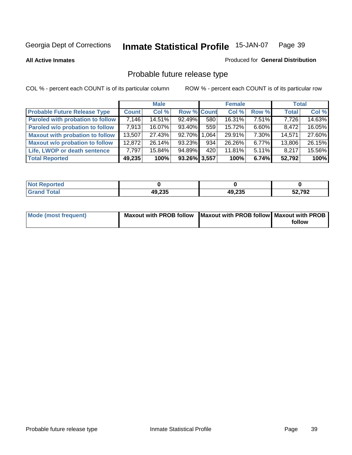**All Active Inmates**

## Produced for **General Distribution**

# Probable future release type

|                                         |              | <b>Male</b> |                    |      | <b>Female</b> |          | <b>Total</b> |        |
|-----------------------------------------|--------------|-------------|--------------------|------|---------------|----------|--------------|--------|
| <b>Probable Future Release Type</b>     | <b>Count</b> | Col %       | <b>Row % Count</b> |      | Col %         | Row %    | <b>Total</b> | Col %  |
| <b>Paroled with probation to follow</b> | 7,146        | 14.51%      | 92.49%             | 580  | 16.31%        | $7.51\%$ | 7,726        | 14.63% |
| Paroled w/o probation to follow         | 7.913        | $16.07\%$   | $93.40\%$          | 559  | 15.72%        | $6.60\%$ | 8,472        | 16.05% |
| <b>Maxout with probation to follow</b>  | 13,507       | 27.43%      | 92.70%             | .064 | 29.91%        | $7.30\%$ | 14,571       | 27.60% |
| <b>Maxout w/o probation to follow</b>   | 12,872       | 26.14%      | 93.23%             | 934  | 26.26%        | 6.77%    | 13,806       | 26.15% |
| Life, LWOP or death sentence            | 7,797        | 15.84%      | 94.89%             | 420  | 11.81%        | $5.11\%$ | 8,217        | 15.56% |
| <b>Total Reported</b>                   | 49,235       | 100%        | 93.26% 3,557       |      | 100%          | 6.74%    | 52,792       | 100%   |

| ported          |        |        |        |
|-----------------|--------|--------|--------|
| Total<br>. Grar | 49,235 | 49,235 | 52,792 |

| Mode (most frequent) | Maxout with PROB follow   Maxout with PROB follow   Maxout with PROB |        |
|----------------------|----------------------------------------------------------------------|--------|
|                      |                                                                      | follow |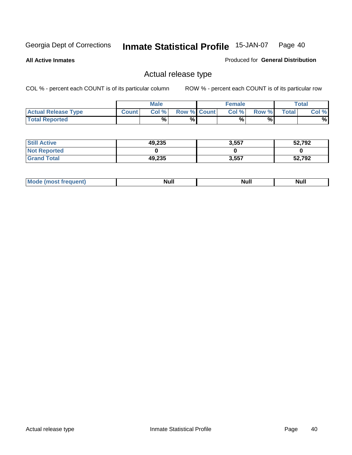**All Active Inmates**

Produced for **General Distribution**

# Actual release type

|                            |              | <b>Male</b> |                    | <b>Female</b> |        |       | $\tau$ otal |
|----------------------------|--------------|-------------|--------------------|---------------|--------|-------|-------------|
| <b>Actual Release Type</b> | <b>Count</b> | Col %       | <b>Row % Count</b> | Col %         | Row %I | Total | Col %       |
| <b>Total Reported</b>      |              | %           | %                  | %             | %      |       | %           |

| <b>Still Active</b> | 49,235 | 3,557 | 52,792 |
|---------------------|--------|-------|--------|
| <b>Not Reported</b> |        |       |        |
| <b>Grand Total</b>  | 49,235 | 3,557 | 52,792 |

| M<br>_____<br>_____ | NI | Null | $\cdots$ |
|---------------------|----|------|----------|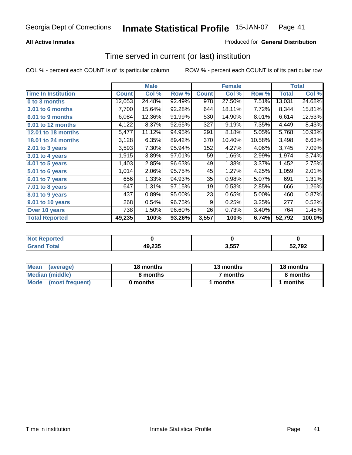## **All Active Inmates**

### Produced for **General Distribution**

# Time served in current (or last) institution

|                            |              | <b>Male</b> |        |              | <b>Female</b> |        |              | <b>Total</b> |
|----------------------------|--------------|-------------|--------|--------------|---------------|--------|--------------|--------------|
| <b>Time In Institution</b> | <b>Count</b> | Col %       | Row %  | <b>Count</b> | Col %         | Row %  | <b>Total</b> | Col %        |
| 0 to 3 months              | 12,053       | 24.48%      | 92.49% | 978          | 27.50%        | 7.51%  | 13,031       | 24.68%       |
| 3.01 to 6 months           | 7,700        | 15.64%      | 92.28% | 644          | 18.11%        | 7.72%  | 8,344        | 15.81%       |
| 6.01 to 9 months           | 6,084        | 12.36%      | 91.99% | 530          | 14.90%        | 8.01%  | 6,614        | 12.53%       |
| 9.01 to 12 months          | 4,122        | 8.37%       | 92.65% | 327          | 9.19%         | 7.35%  | 4,449        | 8.43%        |
| 12.01 to 18 months         | 5,477        | 11.12%      | 94.95% | 291          | 8.18%         | 5.05%  | 5,768        | 10.93%       |
| <b>18.01 to 24 months</b>  | 3,128        | 6.35%       | 89.42% | 370          | 10.40%        | 10.58% | 3,498        | 6.63%        |
| 2.01 to 3 years            | 3,593        | 7.30%       | 95.94% | 152          | 4.27%         | 4.06%  | 3,745        | 7.09%        |
| 3.01 to 4 years            | 1,915        | 3.89%       | 97.01% | 59           | 1.66%         | 2.99%  | 1,974        | 3.74%        |
| 4.01 to 5 years            | 1,403        | 2.85%       | 96.63% | 49           | 1.38%         | 3.37%  | 1,452        | 2.75%        |
| 5.01 to 6 years            | 1,014        | 2.06%       | 95.75% | 45           | 1.27%         | 4.25%  | 1,059        | 2.01%        |
| 6.01 to 7 years            | 656          | 1.33%       | 94.93% | 35           | 0.98%         | 5.07%  | 691          | 1.31%        |
| 7.01 to 8 years            | 647          | 1.31%       | 97.15% | 19           | 0.53%         | 2.85%  | 666          | 1.26%        |
| 8.01 to 9 years            | 437          | 0.89%       | 95.00% | 23           | 0.65%         | 5.00%  | 460          | 0.87%        |
| 9.01 to 10 years           | 268          | 0.54%       | 96.75% | 9            | 0.25%         | 3.25%  | 277          | 0.52%        |
| Over 10 years              | 738          | 1.50%       | 96.60% | 26           | 0.73%         | 3.40%  | 764          | 1.45%        |
| <b>Total Reported</b>      | 49,235       | 100%        | 93.26% | 3,557        | 100%          | 6.74%  | 52,792       | 100.0%       |

| <b>Not I</b><br>Reported |        |       |        |
|--------------------------|--------|-------|--------|
| `otal                    | 49,235 | ? 557 | 52,792 |

| <b>Mean</b><br>(average) | 18 months | 13 months | 18 months |
|--------------------------|-----------|-----------|-----------|
| Median (middle)          | 8 months  | 7 months  | 8 months  |
| Mode<br>(most frequent)  | 0 months  | months    | months    |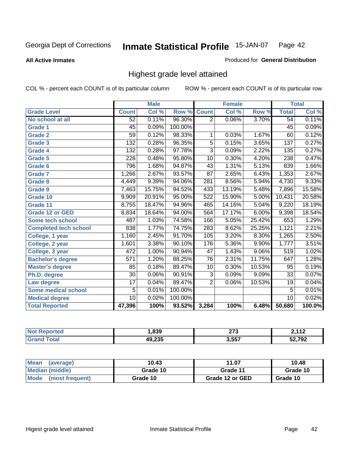**All Active Inmates**

### Produced for **General Distribution**

# Highest grade level attained

|                              |                  | <b>Male</b> |         |                 | <b>Female</b> |          |                 | <b>Total</b> |
|------------------------------|------------------|-------------|---------|-----------------|---------------|----------|-----------------|--------------|
| <b>Grade Level</b>           | <b>Count</b>     | Col %       | Row %   | <b>Count</b>    | Col %         | Row %    | <b>Total</b>    | Col %        |
| No school at all             | 52               | 0.11%       | 96.30%  | $\overline{2}$  | 0.06%         | 3.70%    | 54              | 0.11%        |
| <b>Grade 1</b>               | $\overline{45}$  | 0.09%       | 100.00% |                 |               |          | $\overline{45}$ | 0.09%        |
| <b>Grade 2</b>               | $\overline{59}$  | 0.12%       | 98.33%  | 1               | 0.03%         | 1.67%    | 60              | 0.12%        |
| <b>Grade 3</b>               | 132              | 0.28%       | 96.35%  | 5               | 0.15%         | 3.65%    | 137             | 0.27%        |
| <b>Grade 4</b>               | $\overline{132}$ | 0.28%       | 97.78%  | $\overline{3}$  | 0.09%         | 2.22%    | 135             | 0.27%        |
| Grade 5                      | 228              | 0.48%       | 95.80%  | $\overline{10}$ | 0.30%         | 4.20%    | 238             | 0.47%        |
| Grade 6                      | 796              | 1.68%       | 94.87%  | 43              | 1.31%         | 5.13%    | 839             | 1.66%        |
| <b>Grade 7</b>               | 1,266            | 2.67%       | 93.57%  | $\overline{87}$ | 2.65%         | 6.43%    | 1,353           | 2.67%        |
| <b>Grade 8</b>               | 4,449            | 9.39%       | 94.06%  | 281             | 8.56%         | 5.94%    | 4,730           | 9.33%        |
| Grade 9                      | 7,463            | 15.75%      | 94.52%  | 433             | 13.19%        | 5.48%    | 7,896           | 15.58%       |
| Grade 10                     | 9,909            | 20.91%      | 95.00%  | 522             | 15.90%        | 5.00%    | 10,431          | 20.58%       |
| Grade 11                     | 8,755            | 18.47%      | 94.96%  | 465             | 14.16%        | 5.04%    | 9,220           | 18.19%       |
| <b>Grade 12 or GED</b>       | 8,834            | 18.64%      | 94.00%  | 564             | 17.17%        | $6.00\%$ | 9,398           | 18.54%       |
| <b>Some tech school</b>      | 487              | 1.03%       | 74.58%  | 166             | 5.05%         | 25.42%   | 653             | 1.29%        |
| <b>Completed tech school</b> | 838              | 1.77%       | 74.75%  | 283             | 8.62%         | 25.25%   | 1,121           | 2.21%        |
| College, 1 year              | 1,160            | 2.45%       | 91.70%  | 105             | 3.20%         | 8.30%    | 1,265           | 2.50%        |
| College, 2 year              | 1,601            | 3.38%       | 90.10%  | 176             | 5.36%         | 9.90%    | 1,777           | 3.51%        |
| College, 3 year              | $\overline{472}$ | 1.00%       | 90.94%  | $\overline{47}$ | 1.43%         | $9.06\%$ | 519             | 1.02%        |
| <b>Bachelor's degree</b>     | $\overline{571}$ | 1.20%       | 88.25%  | 76              | 2.31%         | 11.75%   | 647             | 1.28%        |
| <b>Master's degree</b>       | 85               | 0.18%       | 89.47%  | 10              | 0.30%         | 10.53%   | 95              | 0.19%        |
| Ph.D. degree                 | $\overline{30}$  | 0.06%       | 90.91%  | $\overline{3}$  | 0.09%         | 9.09%    | 33              | 0.07%        |
| Law degree                   | $\overline{17}$  | 0.04%       | 89.47%  | $\overline{2}$  | 0.06%         | 10.53%   | 19              | 0.04%        |
| <b>Some medical school</b>   | 5                | 0.01%       | 100.00% |                 |               |          | $\overline{5}$  | 0.01%        |
| <b>Medical degree</b>        | $\overline{10}$  | 0.02%       | 100.00% |                 |               |          | 10              | 0.02%        |
| <b>Total Reported</b>        | 47,396           | 100%        | 93.52%  | 3,284           | 100%          | 6.48%    | 50,680          | 100.0%       |

| ,839   | ヘフク<br>21 J<br>$\sim$ | 442        |
|--------|-----------------------|------------|
| ላወ ኃ3ድ | 2557                  | <b>702</b> |
| 1.LJJ  | . ບ.ບບ.               | .          |

| <b>Mean</b><br>(average)       | 10.43    | 11.07           | 10.48    |
|--------------------------------|----------|-----------------|----------|
| Median (middle)                | Grade 10 | Grade 11        | Grade 10 |
| <b>Mode</b><br>(most frequent) | Grade 10 | Grade 12 or GED | Grade 10 |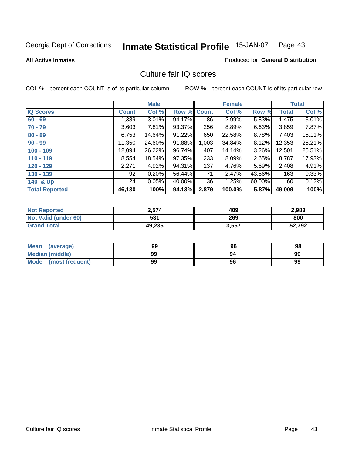Produced for **General Distribution**

### **All Active Inmates**

# Culture fair IQ scores

|                       |              | <b>Male</b> |        |              | <b>Female</b> |        |              | <b>Total</b> |
|-----------------------|--------------|-------------|--------|--------------|---------------|--------|--------------|--------------|
| <b>IQ Scores</b>      | <b>Count</b> | Col %       | Row %  | <b>Count</b> | Col %         | Row %  | <b>Total</b> | Col %        |
| $60 - 69$             | 1,389        | 3.01%       | 94.17% | 86           | 2.99%         | 5.83%  | 1,475        | 3.01%        |
| $70 - 79$             | 3,603        | 7.81%       | 93.37% | 256          | 8.89%         | 6.63%  | 3,859        | 7.87%        |
| $80 - 89$             | 6,753        | 14.64%      | 91.22% | 650          | 22.58%        | 8.78%  | 7,403        | 15.11%       |
| $90 - 99$             | 11,350       | 24.60%      | 91.88% | 1,003        | 34.84%        | 8.12%  | 12,353       | 25.21%       |
| $100 - 109$           | 12,094       | 26.22%      | 96.74% | 407          | 14.14%        | 3.26%  | 12,501       | 25.51%       |
| $110 - 119$           | 8,554        | 18.54%      | 97.35% | 233          | 8.09%         | 2.65%  | 8,787        | 17.93%       |
| $120 - 129$           | 2,271        | 4.92%       | 94.31% | 137          | 4.76%         | 5.69%  | 2,408        | 4.91%        |
| $130 - 139$           | 92           | 0.20%       | 56.44% | 71           | 2.47%         | 43.56% | 163          | 0.33%        |
| 140 & Up              | 24           | 0.05%       | 40.00% | 36           | 1.25%         | 60.00% | 60           | 0.12%        |
| <b>Total Reported</b> | 46,130       | 100%        | 94.13% | 2,879        | 100.0%        | 5.87%  | 49,009       | 100%         |

| <b>Not Reported</b>  | 2,574  | 409   | 2,983  |
|----------------------|--------|-------|--------|
| Not Valid (under 60) | 531    | 269   | 800    |
| <b>Grand Total</b>   | 49,235 | 3,557 | 52,792 |

| <b>Mean</b><br>(average)       | 99 | 96 | 98 |
|--------------------------------|----|----|----|
| <b>Median (middle)</b>         | 99 | 94 | 99 |
| <b>Mode</b><br>(most frequent) | 99 | 96 | 99 |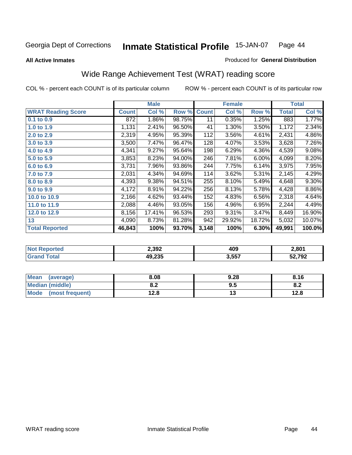### **All Active Inmates**

### Produced for **General Distribution**

# Wide Range Achievement Test (WRAT) reading score

|                           |              | <b>Male</b> |        |              | <b>Female</b> |        |              | <b>Total</b> |
|---------------------------|--------------|-------------|--------|--------------|---------------|--------|--------------|--------------|
| <b>WRAT Reading Score</b> | <b>Count</b> | Col %       | Row %  | <b>Count</b> | Col %         | Row %  | <b>Total</b> | Col %        |
| 0.1 to 0.9                | 872          | 1.86%       | 98.75% | 11           | 0.35%         | 1.25%  | 883          | 1.77%        |
| 1.0 to 1.9                | 1,131        | 2.41%       | 96.50% | 41           | 1.30%         | 3.50%  | 1,172        | 2.34%        |
| 2.0 to 2.9                | 2,319        | 4.95%       | 95.39% | 112          | 3.56%         | 4.61%  | 2,431        | 4.86%        |
| 3.0 to 3.9                | 3,500        | 7.47%       | 96.47% | 128          | 4.07%         | 3.53%  | 3,628        | 7.26%        |
| 4.0 to 4.9                | 4,341        | 9.27%       | 95.64% | 198          | 6.29%         | 4.36%  | 4,539        | 9.08%        |
| 5.0 to 5.9                | 3,853        | 8.23%       | 94.00% | 246          | 7.81%         | 6.00%  | 4,099        | 8.20%        |
| 6.0 to 6.9                | 3,731        | 7.96%       | 93.86% | 244          | 7.75%         | 6.14%  | 3,975        | 7.95%        |
| 7.0 to 7.9                | 2,031        | 4.34%       | 94.69% | 114          | 3.62%         | 5.31%  | 2,145        | 4.29%        |
| 8.0 to 8.9                | 4,393        | 9.38%       | 94.51% | 255          | 8.10%         | 5.49%  | 4,648        | $9.30\%$     |
| 9.0 to 9.9                | 4,172        | 8.91%       | 94.22% | 256          | 8.13%         | 5.78%  | 4,428        | 8.86%        |
| 10.0 to 10.9              | 2,166        | 4.62%       | 93.44% | 152          | 4.83%         | 6.56%  | 2,318        | 4.64%        |
| 11.0 to 11.9              | 2,088        | 4.46%       | 93.05% | 156          | 4.96%         | 6.95%  | 2,244        | 4.49%        |
| 12.0 to 12.9              | 8,156        | 17.41%      | 96.53% | 293          | 9.31%         | 3.47%  | 8,449        | 16.90%       |
| 13                        | 4,090        | 8.73%       | 81.28% | 942          | 29.92%        | 18.72% | 5,032        | 10.07%       |
| <b>Total Reported</b>     | 46,843       | 100%        | 93.70% | 3,148        | 100%          | 6.30%  | 49,991       | 100.0%       |

| 2,392            | 409   | 2,801  |
|------------------|-------|--------|
| אמר 10<br>טט איט | 3,557 | 52,792 |

| <b>Mean</b><br>(average) | 8.08           | 9.28 | 8.16 |
|--------------------------|----------------|------|------|
| Median (middle)          | י ה<br>0.Z     | 9.5  | О.Д  |
| Mode<br>(most frequent)  | 1 2 9<br>I ∠.O | יי   | 12.8 |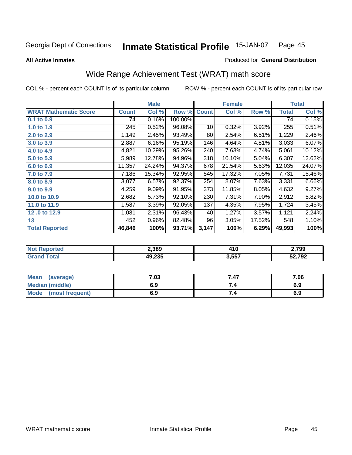**All Active Inmates**

### Produced for **General Distribution**

# Wide Range Achievement Test (WRAT) math score

|                              |              | <b>Male</b> |         |              | <b>Female</b> |        |              | <b>Total</b> |
|------------------------------|--------------|-------------|---------|--------------|---------------|--------|--------------|--------------|
| <b>WRAT Mathematic Score</b> | <b>Count</b> | Col %       | Row %   | <b>Count</b> | Col %         | Row %  | <b>Total</b> | Col %        |
| 0.1 to 0.9                   | 74           | 0.16%       | 100.00% |              |               |        | 74           | 0.15%        |
| 1.0 to 1.9                   | 245          | 0.52%       | 96.08%  | 10           | 0.32%         | 3.92%  | 255          | 0.51%        |
| 2.0 to 2.9                   | 1,149        | 2.45%       | 93.49%  | 80           | 2.54%         | 6.51%  | 1,229        | 2.46%        |
| 3.0 to 3.9                   | 2,887        | 6.16%       | 95.19%  | 146          | 4.64%         | 4.81%  | 3,033        | 6.07%        |
| 4.0 to 4.9                   | 4,821        | 10.29%      | 95.26%  | 240          | 7.63%         | 4.74%  | 5,061        | 10.12%       |
| 5.0 to 5.9                   | 5,989        | 12.78%      | 94.96%  | 318          | 10.10%        | 5.04%  | 6,307        | 12.62%       |
| 6.0 to 6.9                   | 11,357       | 24.24%      | 94.37%  | 678          | 21.54%        | 5.63%  | 12,035       | 24.07%       |
| 7.0 to 7.9                   | 7,186        | 15.34%      | 92.95%  | 545          | 17.32%        | 7.05%  | 7,731        | 15.46%       |
| 8.0 to 8.9                   | 3,077        | 6.57%       | 92.37%  | 254          | 8.07%         | 7.63%  | 3,331        | 6.66%        |
| 9.0 to 9.9                   | 4,259        | 9.09%       | 91.95%  | 373          | 11.85%        | 8.05%  | 4,632        | 9.27%        |
| 10.0 to 10.9                 | 2,682        | 5.73%       | 92.10%  | 230          | 7.31%         | 7.90%  | 2,912        | 5.82%        |
| 11.0 to 11.9                 | 1,587        | 3.39%       | 92.05%  | 137          | 4.35%         | 7.95%  | 1,724        | 3.45%        |
| 12.0 to 12.9                 | 1,081        | 2.31%       | 96.43%  | 40           | 1.27%         | 3.57%  | 1,121        | 2.24%        |
| 13                           | 452          | 0.96%       | 82.48%  | 96           | 3.05%         | 17.52% | 548          | 1.10%        |
| <b>Total Reported</b>        | 46,846       | 100%        | 93.71%  | 3,147        | 100%          | 6.29%  | 49,993       | 100%         |

| NO | 2,389                | . .<br>$+10$ | 2,799  |
|----|----------------------|--------------|--------|
|    | $AQ$ $235$<br>49.ZJJ | 3,557        | 52,792 |

| Mean<br>(average)       | 7.03 | 7.47 | 7.06 |
|-------------------------|------|------|------|
| <b>Median (middle)</b>  | 6.9  |      | 6.9  |
| Mode<br>(most frequent) | 6.9  | 7.4  | 6.9  |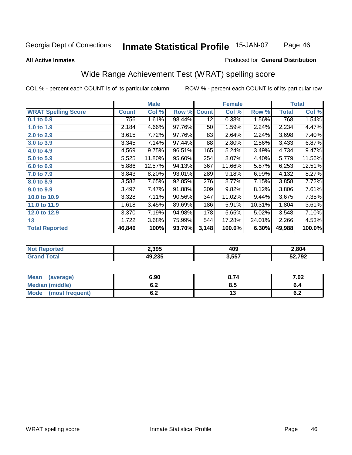### **All Active Inmates**

### Produced for **General Distribution**

# Wide Range Achievement Test (WRAT) spelling score

|                            |              | <b>Male</b> |        |              | <b>Female</b> |        |                    | <b>Total</b> |
|----------------------------|--------------|-------------|--------|--------------|---------------|--------|--------------------|--------------|
| <b>WRAT Spelling Score</b> | <b>Count</b> | Col %       | Row %  | <b>Count</b> | Col %         | Row %  | <b>Total</b>       | Col %        |
| $0.1$ to $0.9$             | 756          | 1.61%       | 98.44% | 12           | 0.38%         | 1.56%  | 768                | 1.54%        |
| 1.0 to 1.9                 | 2,184        | 4.66%       | 97.76% | 50           | 1.59%         | 2.24%  | 2,234              | 4.47%        |
| 2.0 to 2.9                 | 3,615        | 7.72%       | 97.76% | 83           | 2.64%         | 2.24%  | 3,698              | 7.40%        |
| 3.0 to 3.9                 | 3,345        | 7.14%       | 97.44% | 88           | 2.80%         | 2.56%  | 3,433              | 6.87%        |
| 4.0 to 4.9                 | 4,569        | 9.75%       | 96.51% | 165          | 5.24%         | 3.49%  | 4,734              | 9.47%        |
| 5.0 to 5.9                 | 5,525        | 11.80%      | 95.60% | 254          | 8.07%         | 4.40%  | 5,779              | 11.56%       |
| 6.0 to 6.9                 | 5,886        | 12.57%      | 94.13% | 367          | 11.66%        | 5.87%  | 6,253              | 12.51%       |
| 7.0 to 7.9                 | 3,843        | 8.20%       | 93.01% | 289          | 9.18%         | 6.99%  | 4,132              | 8.27%        |
| 8.0 to 8.9                 | 3,582        | 7.65%       | 92.85% | 276          | 8.77%         | 7.15%  | $\overline{3,858}$ | 7.72%        |
| 9.0 to 9.9                 | 3,497        | 7.47%       | 91.88% | 309          | 9.82%         | 8.12%  | 3,806              | 7.61%        |
| 10.0 to 10.9               | 3,328        | 7.11%       | 90.56% | 347          | 11.02%        | 9.44%  | 3,675              | 7.35%        |
| 11.0 to 11.9               | 1,618        | 3.45%       | 89.69% | 186          | 5.91%         | 10.31% | 1,804              | 3.61%        |
| 12.0 to 12.9               | 3,370        | 7.19%       | 94.98% | 178          | 5.65%         | 5.02%  | 3,548              | 7.10%        |
| 13                         | 1,722        | 3.68%       | 75.99% | 544          | 17.28%        | 24.01% | 2,266              | 4.53%        |
| <b>Total Reported</b>      | 46,840       | 100%        | 93.70% | 3,148        | 100.0%        | 6.30%  | 49,988             | 100.0%       |

| 2,395            | 409<br>__ | 2,804  |
|------------------|-----------|--------|
| 19 つつら<br>79.ZJJ | 3,557     | 52,792 |

| <b>Mean</b><br>(average)       | 6.90       | 8.74 | 7.02 |
|--------------------------------|------------|------|------|
| <b>Median (middle)</b>         | ο.Ζ        | ၓ.ͻ  | o.4  |
| <b>Mode</b><br>(most frequent) | . .<br>U.Z | 1 V  | ν.Ζ  |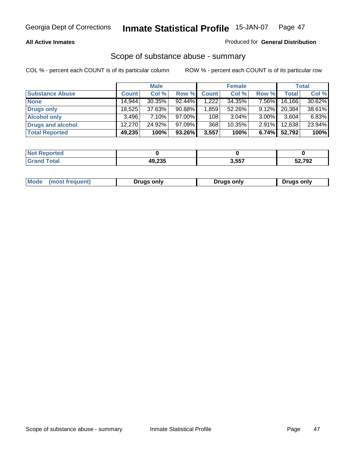### **All Active Inmates**

### Produced for **General Distribution**

# Scope of substance abuse - summary

|                        |              | <b>Male</b> |           |              | <b>Female</b> |          |              | Total  |
|------------------------|--------------|-------------|-----------|--------------|---------------|----------|--------------|--------|
| <b>Substance Abuse</b> | <b>Count</b> | Col %       | Row %     | <b>Count</b> | Col %         | Row %    | <b>Total</b> | Col %  |
| <b>None</b>            | 14.944       | $30.35\%$   | $92.44\%$ | 1,222        | 34.35%        | 7.56%    | 16,166       | 30.62% |
| Drugs only             | 18.525       | 37.63%      | 90.88%    | 1.859        | 52.26%        | $9.12\%$ | 20.384       | 38.61% |
| <b>Alcohol only</b>    | 3.496        | $7.10\%$    | $97.00\%$ | 108          | $3.04\%$      | $3.00\%$ | 3,604        | 6.83%  |
| Drugs and alcohol      | 12,270       | 24.92%      | $97.09\%$ | 368          | $10.35\%$     | $2.91\%$ | 12,638       | 23.94% |
| <b>Total Reported</b>  | 49,235       | 100%        | 93.26%    | 3,557        | 100%          | 6.74%    | 52,792       | 100%   |

| <b>Not</b><br><b>Reported</b> |        |       |        |
|-------------------------------|--------|-------|--------|
| <b>Total</b>                  | 49,235 | 3,557 | 52,792 |

|  | Mode<br>(most frequent) | Drugs only | Drugs only | Drugs only |
|--|-------------------------|------------|------------|------------|
|--|-------------------------|------------|------------|------------|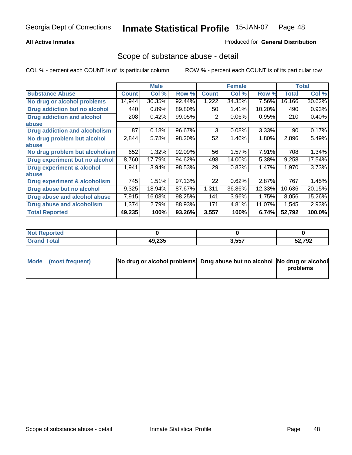### **All Active Inmates**

### Produced for **General Distribution**

# Scope of substance abuse - detail

|                                      |              | <b>Male</b> |        |              | <b>Female</b> |        |              | <b>Total</b> |
|--------------------------------------|--------------|-------------|--------|--------------|---------------|--------|--------------|--------------|
| <b>Substance Abuse</b>               | <b>Count</b> | Col %       | Row %  | <b>Count</b> | Col %         | Row %  | <b>Total</b> | Col %        |
| No drug or alcohol problems          | 14,944       | 30.35%      | 92.44% | 1,222        | 34.35%        | 7.56%  | 16,166       | 30.62%       |
| Drug addiction but no alcohol        | 440          | 0.89%       | 89.80% | 50           | 1.41%         | 10.20% | 490          | 0.93%        |
| <b>Drug addiction and alcohol</b>    | 208          | 0.42%       | 99.05% | 2            | 0.06%         | 0.95%  | 210          | 0.40%        |
| abuse                                |              |             |        |              |               |        |              |              |
| <b>Drug addiction and alcoholism</b> | 87           | 0.18%       | 96.67% | 3            | 0.08%         | 3.33%  | 90           | 0.17%        |
| No drug problem but alcohol          | 2,844        | 5.78%       | 98.20% | 52           | 1.46%         | 1.80%  | 2,896        | 5.49%        |
| abuse                                |              |             |        |              |               |        |              |              |
| No drug problem but alcoholism       | 652          | 1.32%       | 92.09% | 56           | 1.57%         | 7.91%  | 708          | 1.34%        |
| Drug experiment but no alcohol       | 8,760        | 17.79%      | 94.62% | 498          | 14.00%        | 5.38%  | 9,258        | 17.54%       |
| <b>Drug experiment &amp; alcohol</b> | 1,941        | 3.94%       | 98.53% | 29           | 0.82%         | 1.47%  | 1,970        | 3.73%        |
| <b>labuse</b>                        |              |             |        |              |               |        |              |              |
| Drug experiment & alcoholism         | 745          | 1.51%       | 97.13% | 22           | 0.62%         | 2.87%  | 767          | 1.45%        |
| Drug abuse but no alcohol            | 9,325        | 18.94%      | 87.67% | 1,311        | 36.86%        | 12.33% | 10,636       | 20.15%       |
| Drug abuse and alcohol abuse         | 7,915        | 16.08%      | 98.25% | 141          | 3.96%         | 1.75%  | 8,056        | 15.26%       |
| <b>Drug abuse and alcoholism</b>     | 1,374        | 2.79%       | 88.93% | 171          | 4.81%         | 11.07% | 1,545        | 2.93%        |
| <b>Total Reported</b>                | 49,235       | 100%        | 93.26% | 3,557        | 100%          | 6.74%  | 52,792       | 100.0%       |

| Reported<br><b>NOT</b> |        |       |        |
|------------------------|--------|-------|--------|
| <b>cotal</b>           | 49.235 | 3,557 | 12,792 |

| Mode (most frequent) | No drug or alcohol problems Drug abuse but no alcohol No drug or alcohol |          |
|----------------------|--------------------------------------------------------------------------|----------|
|                      |                                                                          | problems |
|                      |                                                                          |          |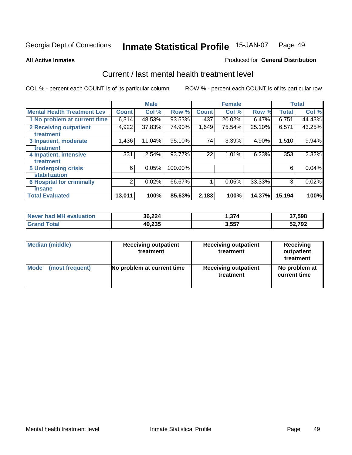**All Active Inmates**

### Produced for **General Distribution**

# Current / last mental health treatment level

|                                    |                | <b>Male</b> |         |              | <b>Female</b> |          |              | <b>Total</b> |
|------------------------------------|----------------|-------------|---------|--------------|---------------|----------|--------------|--------------|
| <b>Mental Health Treatment Lev</b> | <b>Count</b>   | Col%        | Row %   | <b>Count</b> | Col%          | Row %    | <b>Total</b> | Col %        |
| 1 No problem at current time       | 6,314          | 48.53%      | 93.53%  | 437          | 20.02%        | $6.47\%$ | 6,751        | 44.43%       |
| <b>2 Receiving outpatient</b>      | 4,922          | 37.83%      | 74.90%  | 1,649        | 75.54%        | 25.10%   | 6,571        | 43.25%       |
| treatment                          |                |             |         |              |               |          |              |              |
| 3 Inpatient, moderate              | 1,436          | 11.04%      | 95.10%  | 74           | 3.39%         | 4.90%    | 1,510        | 9.94%        |
| treatment                          |                |             |         |              |               |          |              |              |
| 4 Inpatient, intensive             | 331            | 2.54%       | 93.77%  | 22           | 1.01%         | 6.23%    | 353          | 2.32%        |
| treatment                          |                |             |         |              |               |          |              |              |
| <b>5 Undergoing crisis</b>         | 6              | 0.05%       | 100.00% |              |               |          | 6            | 0.04%        |
| stabilization                      |                |             |         |              |               |          |              |              |
| <b>6 Hospital for criminally</b>   | $\overline{2}$ | 0.02%       | 66.67%  |              | 0.05%         | 33.33%   | 3            | 0.02%        |
| insane                             |                |             |         |              |               |          |              |              |
| <b>Total Evaluated</b>             | 13,011         | 100%        | 85.63%  | 2,183        | 100%          | 14.37%   | 15,194       | 100%         |

| Never had MH evaluation     | 36,224 | 1,374 | 37,598 |
|-----------------------------|--------|-------|--------|
| $\tau$ otal<br><b>Grand</b> | 49,235 | 3,557 | 52,792 |

| <b>Median (middle)</b> | <b>Receiving outpatient</b><br>treatment | <b>Receiving outpatient</b><br>treatment | <b>Receiving</b><br>outpatient<br>treatment |  |
|------------------------|------------------------------------------|------------------------------------------|---------------------------------------------|--|
| <b>Mode</b>            | No problem at current time               | <b>Receiving outpatient</b>              | No problem at                               |  |
| (most frequent)        |                                          | treatment                                | current time                                |  |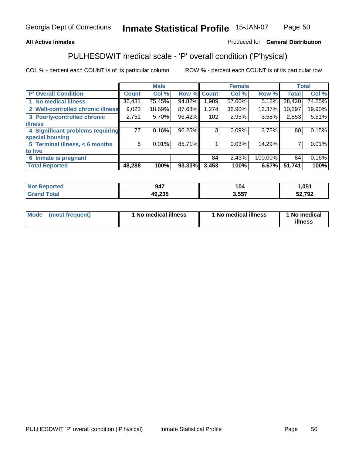## **All Active Inmates**

## Produced for **General Distribution**

# PULHESDWIT medical scale - 'P' overall condition ('P'hysical)

|                                   |              | <b>Male</b> |        |              | <b>Female</b> |         |              | <b>Total</b> |
|-----------------------------------|--------------|-------------|--------|--------------|---------------|---------|--------------|--------------|
| 'P' Overall Condition             | <b>Count</b> | Col %       | Row %  | <b>Count</b> | Col %         | Row %   | <b>Total</b> | Col %        |
| 1 No medical illness              | 36,431       | 75.45%      | 94.82% | 1,989        | 57.60%        | 5.18%   | 38,420       | 74.25%       |
| 2 Well-controlled chronic illness | 9,023        | 18.69%      | 87.63% | 1,274        | 36.90%        | 12.37%  | 10,297       | 19.90%       |
| 3 Poorly-controlled chronic       | 2,751        | 5.70%       | 96.42% | 102          | 2.95%         | 3.58%   | 2,853        | 5.51%        |
| <b>illness</b>                    |              |             |        |              |               |         |              |              |
| 4 Significant problems requiring  | 77           | 0.16%       | 96.25% | 3            | 0.09%         | 3.75%   | 80           | 0.15%        |
| special housing                   |              |             |        |              |               |         |              |              |
| 5 Terminal illness, < 6 months    | 6            | 0.01%       | 85.71% |              | 0.03%         | 14.29%  |              | 0.01%        |
| to live                           |              |             |        |              |               |         |              |              |
| Inmate is pregnant<br>6           |              |             |        | 84           | 2.43%         | 100.00% | 84           | 0.16%        |
| <b>Total Reported</b>             | 48,288       | 100%        | 93.33% | 3,453        | 100%          | 6.67%   | 51,741       | 100%         |

| <b>Not</b><br>Reported       | 947    | 104   | 051,ا  |
|------------------------------|--------|-------|--------|
| <b>Total</b><br><b>Grand</b> | 49,235 | 3,557 | 52,792 |

| Mode (most frequent) | 1 No medical illness | 1 No medical illness | 1 No medical |
|----------------------|----------------------|----------------------|--------------|
|                      |                      |                      | illness      |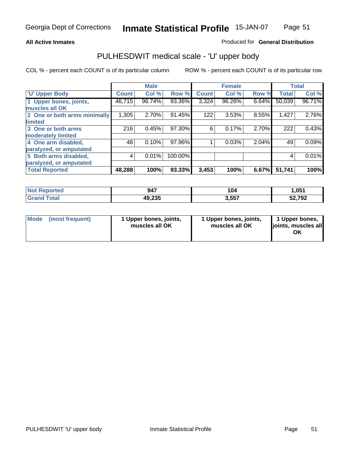### **All Active Inmates**

### Produced for **General Distribution**

# PULHESDWIT medical scale - 'U' upper body

|                              |              | <b>Male</b> |         |              | <b>Female</b> |       |              | <b>Total</b> |
|------------------------------|--------------|-------------|---------|--------------|---------------|-------|--------------|--------------|
| <b>U' Upper Body</b>         | <b>Count</b> | Col %       | Row %   | <b>Count</b> | Col %         | Row % | <b>Total</b> | Col %        |
| 1 Upper bones, joints,       | 46,715       | 96.74%      | 93.36%  | 3,324        | 96.26%        | 6.64% | 50,039       | 96.71%       |
| muscles all OK               |              |             |         |              |               |       |              |              |
| 2 One or both arms minimally | 1,305        | 2.70%       | 91.45%  | 122          | 3.53%         | 8.55% | 1,427        | 2.76%        |
| limited                      |              |             |         |              |               |       |              |              |
| 3 One or both arms           | 216          | 0.45%       | 97.30%  | 6            | 0.17%         | 2.70% | 222          | 0.43%        |
| moderately limited           |              |             |         |              |               |       |              |              |
| 4 One arm disabled,          | 48           | 0.10%       | 97.96%  |              | 0.03%         | 2.04% | 49           | 0.09%        |
| paralyzed, or amputated      |              |             |         |              |               |       |              |              |
| 5 Both arms disabled,        | 4            | 0.01%       | 100.00% |              |               |       | 4            | 0.01%        |
| paralyzed, or amputated      |              |             |         |              |               |       |              |              |
| <b>Total Reported</b>        | 48,288       | 100%        | 93.33%  | 3,453        | 100%          | 6.67% | 51,741       | 100%         |

| <b>Not Reported</b>  | 947    | 104   | 1.051  |
|----------------------|--------|-------|--------|
| $\tau$ otal<br>Grand | 49,235 | 3,557 | 52,792 |

| <b>Mode</b> | (most frequent) | 1 Upper bones, joints,<br>muscles all OK | 1 Upper bones, joints,<br>muscles all OK | 1 Upper bones,<br>joints, muscles all<br>ΟK |
|-------------|-----------------|------------------------------------------|------------------------------------------|---------------------------------------------|
|-------------|-----------------|------------------------------------------|------------------------------------------|---------------------------------------------|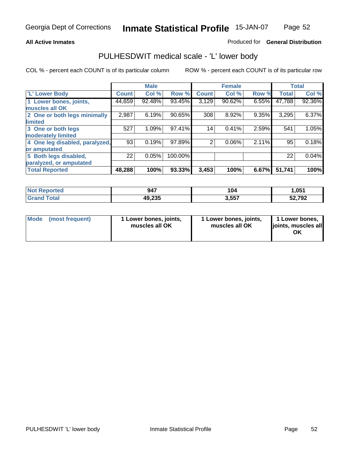### **All Active Inmates**

### Produced for **General Distribution**

# PULHESDWIT medical scale - 'L' lower body

|                                |              | <b>Male</b> |         |              | <b>Female</b> |       |              | <b>Total</b> |
|--------------------------------|--------------|-------------|---------|--------------|---------------|-------|--------------|--------------|
| 'L' Lower Body                 | <b>Count</b> | Col %       | Row %   | <b>Count</b> | Col %         | Row % | <b>Total</b> | Col %        |
| 1 Lower bones, joints,         | 44,659       | 92.48%      | 93.45%  | 3,129        | 90.62%        | 6.55% | 47,788       | 92.36%       |
| muscles all OK                 |              |             |         |              |               |       |              |              |
| 2 One or both legs minimally   | 2,987        | 6.19%       | 90.65%  | 308          | 8.92%         | 9.35% | 3,295        | 6.37%        |
| limited                        |              |             |         |              |               |       |              |              |
| 3 One or both legs             | 527          | 1.09%       | 97.41%  | 14           | 0.41%         | 2.59% | 541          | 1.05%        |
| moderately limited             |              |             |         |              |               |       |              |              |
| 4 One leg disabled, paralyzed, | 93           | 0.19%       | 97.89%  | 2            | 0.06%         | 2.11% | 95           | 0.18%        |
| or amputated                   |              |             |         |              |               |       |              |              |
| 5 Both legs disabled,          | 22           | 0.05%       | 100.00% |              |               |       | 22           | 0.04%        |
| paralyzed, or amputated        |              |             |         |              |               |       |              |              |
| <b>Total Reported</b>          | 48,288       | 100%        | 93.33%  | 3,453        | 100%          | 6.67% | 51,741       | 100%         |

| <b>Reported</b><br><b>NOT</b> F | 947    | 104   | 1,051  |
|---------------------------------|--------|-------|--------|
| <b>Total</b><br>Gra             | 49,235 | 3.557 | 52,792 |

|  | Mode (most frequent) | 1 Lower bones, joints,<br>muscles all OK | 1 Lower bones, joints,<br>muscles all OK | 1 Lower bones,<br>joints, muscles all<br>OK |
|--|----------------------|------------------------------------------|------------------------------------------|---------------------------------------------|
|--|----------------------|------------------------------------------|------------------------------------------|---------------------------------------------|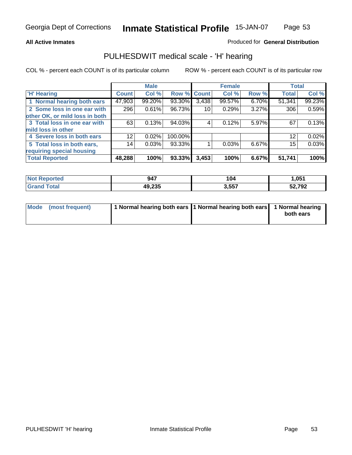### **All Active Inmates**

### Produced for **General Distribution**

# PULHESDWIT medical scale - 'H' hearing

|                                |                 | <b>Male</b> |             |       | <b>Female</b> |       | <b>Total</b> |        |
|--------------------------------|-----------------|-------------|-------------|-------|---------------|-------|--------------|--------|
| <b>H'</b> Hearing              | <b>Count</b>    | Col %       | Row % Count |       | Col %         | Row % | <b>Total</b> | Col %  |
| 1 Normal hearing both ears     | 47,903          | 99.20%      | 93.30%      | 3,438 | 99.57%        | 6.70% | 51,341       | 99.23% |
| 2 Some loss in one ear with    | 296             | 0.61%       | 96.73%      | 10    | 0.29%         | 3.27% | 306          | 0.59%  |
| other OK, or mild loss in both |                 |             |             |       |               |       |              |        |
| 3 Total loss in one ear with   | 63              | 0.13%       | 94.03%      | 4     | $0.12\%$      | 5.97% | 67           | 0.13%  |
| mild loss in other             |                 |             |             |       |               |       |              |        |
| 4 Severe loss in both ears     | 12 <sub>1</sub> | $0.02\%$    | 100.00%     |       |               |       | 12           | 0.02%  |
| 5 Total loss in both ears,     | 14              | 0.03%       | 93.33%      |       | 0.03%         | 6.67% | 15           | 0.03%  |
| requiring special housing      |                 |             |             |       |               |       |              |        |
| <b>Total Reported</b>          | 48,288          | 100%        | 93.33%      | 3,453 | 100%          | 6.67% | 51,741       | 100%   |

| r teo | 947                  | 104   | .051   |
|-------|----------------------|-------|--------|
|       | $AO$ $22F$<br>49.ZJJ | 3,557 | 52,792 |

| Mode (most frequent) | 1 Normal hearing both ears 11 Normal hearing both ears 1 Normal hearing |           |
|----------------------|-------------------------------------------------------------------------|-----------|
|                      |                                                                         | both ears |
|                      |                                                                         |           |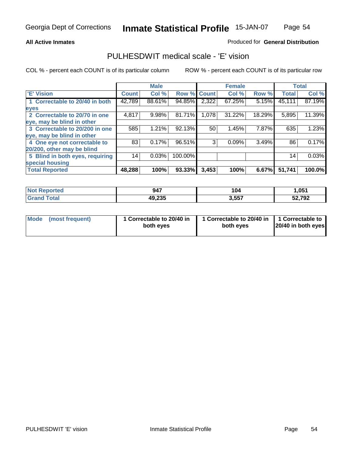### **All Active Inmates**

### Produced for **General Distribution**

# PULHESDWIT medical scale - 'E' vision

|                                 |              | <b>Male</b> |             |       | <b>Female</b> |        |              | <b>Total</b> |
|---------------------------------|--------------|-------------|-------------|-------|---------------|--------|--------------|--------------|
| 'E' Vision                      | <b>Count</b> | Col %       | Row % Count |       | Col %         | Row %  | <b>Total</b> | Col %        |
| 1 Correctable to 20/40 in both  | 42,789       | 88.61%      | 94.85%      | 2,322 | 67.25%        | 5.15%  | 45,111       | 87.19%       |
| eyes                            |              |             |             |       |               |        |              |              |
| 2 Correctable to 20/70 in one   | 4,817        | 9.98%       | 81.71%      | 1,078 | 31.22%        | 18.29% | 5,895        | 11.39%       |
| eye, may be blind in other      |              |             |             |       |               |        |              |              |
| 3 Correctable to 20/200 in one  | 585          | 1.21%       | 92.13%      | 50    | 1.45%         | 7.87%  | 635          | 1.23%        |
| eye, may be blind in other      |              |             |             |       |               |        |              |              |
| 4 One eye not correctable to    | 83           | 0.17%       | 96.51%      | 3     | 0.09%         | 3.49%  | 86           | 0.17%        |
| 20/200, other may be blind      |              |             |             |       |               |        |              |              |
| 5 Blind in both eyes, requiring | 14           | 0.03%       | 100.00%     |       |               |        | 14           | 0.03%        |
| special housing                 |              |             |             |       |               |        |              |              |
| <b>Total Reported</b>           | 48,288       | 100%        | 93.33%      | 3,453 | 100%          | 6.67%  | 51,741       | 100.0%       |

| <b>Not Reported</b> | 947    | 104   | 051, 1 |
|---------------------|--------|-------|--------|
| <sup>-</sup> ota⊦   | 49,235 | 3,557 | 52,792 |

| Mode | (most frequent) | 1 Correctable to 20/40 in<br>both eves | 1 Correctable to 20/40 in   1 Correctable to<br>both eves | 20/40 in both eyes |
|------|-----------------|----------------------------------------|-----------------------------------------------------------|--------------------|
|      |                 |                                        |                                                           |                    |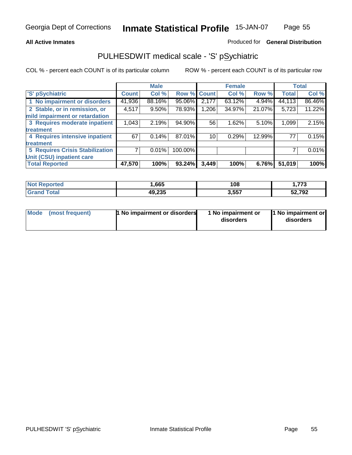### **All Active Inmates**

### Produced for **General Distribution**

# PULHESDWIT medical scale - 'S' pSychiatric

|                                        |              | <b>Male</b> |         |              | <b>Female</b> |        |              | <b>Total</b> |
|----------------------------------------|--------------|-------------|---------|--------------|---------------|--------|--------------|--------------|
| 'S' pSychiatric                        | <b>Count</b> | Col %       | Row %   | <b>Count</b> | Col %         | Row %  | <b>Total</b> | Col %        |
| 1 No impairment or disorders           | 41,936       | 88.16%      | 95.06%  | 2,177        | $63.12\%$     | 4.94%  | 44,113       | 86.46%       |
| 2 Stable, or in remission, or          | 4,517        | $9.50\%$    | 78.93%  | 1,206        | 34.97%        | 21.07% | 5,723        | 11.22%       |
| mild impairment or retardation         |              |             |         |              |               |        |              |              |
| 3 Requires moderate inpatient          | 1,043        | 2.19%       | 94.90%  | 56           | 1.62%         | 5.10%  | 1,099        | 2.15%        |
| treatment                              |              |             |         |              |               |        |              |              |
| 4 Requires intensive inpatient         | 67           | 0.14%       | 87.01%  | 10           | 0.29%         | 12.99% | 77           | 0.15%        |
| treatment                              |              |             |         |              |               |        |              |              |
| <b>5 Requires Crisis Stabilization</b> |              | 0.01%       | 100.00% |              |               |        |              | 0.01%        |
| Unit (CSU) inpatient care              |              |             |         |              |               |        |              |              |
| <b>Total Reported</b>                  | 47,570       | 100%        | 93.24%  | 3,449        | 100%          | 6.76%  | 51,019       | 100%         |

| <b>Not Reported</b>    | .665   | 108   | 1,773  |
|------------------------|--------|-------|--------|
| $\tau$ otal<br>' Grand | 49,235 | 3,557 | 52,792 |

| Mode (most frequent) | <b>1</b> No impairment or disorders | 1 No impairment or<br>disorders | 1 No impairment or<br>disorders |
|----------------------|-------------------------------------|---------------------------------|---------------------------------|
|                      |                                     |                                 |                                 |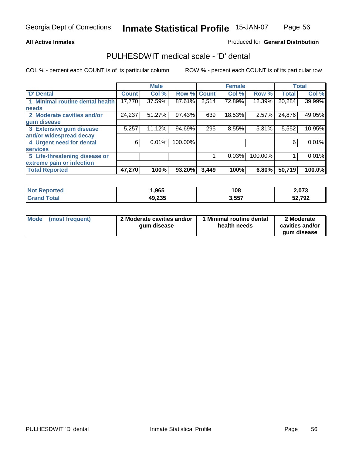### **All Active Inmates**

### Produced for **General Distribution**

# PULHESDWIT medical scale - 'D' dental

|                                 |              | <b>Male</b> |             |       | <b>Female</b> |          |              | <b>Total</b> |
|---------------------------------|--------------|-------------|-------------|-------|---------------|----------|--------------|--------------|
| 'D' Dental                      | <b>Count</b> | Col %       | Row % Count |       | Col %         | Row %    | <b>Total</b> | Col %        |
| 1 Minimal routine dental health | 17,770       | 37.59%      | 87.61%      | 2,514 | 72.89%        | 12.39%   | 20,284       | 39.99%       |
| <b>needs</b>                    |              |             |             |       |               |          |              |              |
| 2 Moderate cavities and/or      | 24,237       | 51.27%      | 97.43%      | 639   | 18.53%        | 2.57%    | 24,876       | 49.05%       |
| gum disease                     |              |             |             |       |               |          |              |              |
| 3 Extensive gum disease         | 5,257        | 11.12%      | 94.69%      | 295   | 8.55%         | $5.31\%$ | 5,552        | 10.95%       |
| and/or widespread decay         |              |             |             |       |               |          |              |              |
| 4 Urgent need for dental        | 6            | 0.01%       | 100.00%     |       |               |          | 6            | 0.01%        |
| <b>services</b>                 |              |             |             |       |               |          |              |              |
| 5 Life-threatening disease or   |              |             |             |       | 0.03%         | 100.00%  |              | 0.01%        |
| extreme pain or infection       |              |             |             |       |               |          |              |              |
| <b>Total Reported</b>           | 47,270       | 100%        | 93.20%      | 3,449 | 100%          | 6.80%    | 50,719       | 100.0%       |

| <b>Not Reported</b> | ,965   | 108   | 2,073  |
|---------------------|--------|-------|--------|
| <b>Tota</b>         | 49,235 | 3,557 | 52,792 |

| <b>Mode</b> | (most frequent) | 2 Moderate cavities and/or<br>qum disease | 1 Minimal routine dental<br>health needs | 2 Moderate<br>cavities and/or |
|-------------|-----------------|-------------------------------------------|------------------------------------------|-------------------------------|
|             |                 |                                           |                                          | aum disease                   |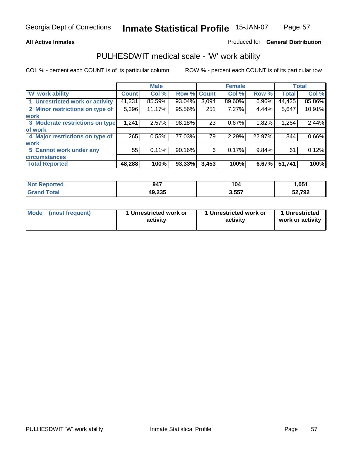### **All Active Inmates**

### Produced for **General Distribution**

# PULHESDWIT medical scale - 'W' work ability

|                                 |              | <b>Male</b> |        |              | <b>Female</b> |          |              | <b>Total</b> |
|---------------------------------|--------------|-------------|--------|--------------|---------------|----------|--------------|--------------|
| W' work ability                 | <b>Count</b> | Col %       | Row %  | <b>Count</b> | Col %         | Row %    | <b>Total</b> | Col %        |
| 1 Unrestricted work or activity | 41,331       | 85.59%      | 93.04% | 3,094        | 89.60%        | 6.96%    | 44,425       | 85.86%       |
| 2 Minor restrictions on type of | 5,396        | 11.17%      | 95.56% | 251          | 7.27%         | 4.44%    | 5,647        | 10.91%       |
| <b>work</b>                     |              |             |        |              |               |          |              |              |
| 3 Moderate restrictions on type | 1,241        | 2.57%       | 98.18% | 23           | 0.67%         | 1.82%    | 1,264        | 2.44%        |
| of work                         |              |             |        |              |               |          |              |              |
| 4 Major restrictions on type of | 265          | 0.55%       | 77.03% | 79           | 2.29%         | 22.97%   | 344          | 0.66%        |
| <b>work</b>                     |              |             |        |              |               |          |              |              |
| 5 Cannot work under any         | 55           | 0.11%       | 90.16% | 6            | 0.17%         | $9.84\%$ | 61           | 0.12%        |
| <b>circumstances</b>            |              |             |        |              |               |          |              |              |
| <b>Total Reported</b>           | 48,288       | 100%        | 93.33% | 3,453        | 100%          | 6.67%    | 51,741       | 100%         |

| <b>Not Reported</b>          | 947    | 104   | .051   |
|------------------------------|--------|-------|--------|
| <b>Total</b><br><b>Grand</b> | 49,235 | 3,557 | 52,792 |

| Mode | (most frequent) | 1 Unrestricted work or<br>activity | 1 Unrestricted work or<br>activity | 1 Unrestricted<br>work or activity |
|------|-----------------|------------------------------------|------------------------------------|------------------------------------|
|------|-----------------|------------------------------------|------------------------------------|------------------------------------|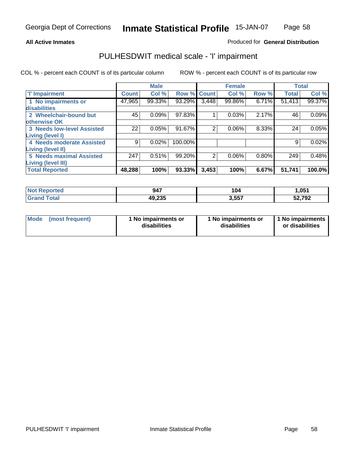### **All Active Inmates**

## Produced for **General Distribution**

# PULHESDWIT medical scale - 'I' impairment

|                                   |              | <b>Male</b> |         |              | <b>Female</b> |       |              | <b>Total</b> |
|-----------------------------------|--------------|-------------|---------|--------------|---------------|-------|--------------|--------------|
| <b>T' Impairment</b>              | <b>Count</b> | Col %       | Row %   | <b>Count</b> | Col %         | Row % | <b>Total</b> | Col %        |
| 1 No impairments or               | 47,965       | 99.33%      | 93.29%  | 3,448        | 99.86%        | 6.71% | 51,413       | 99.37%       |
| disabilities                      |              |             |         |              |               |       |              |              |
| 2 Wheelchair-bound but            | 45           | 0.09%       | 97.83%  |              | 0.03%         | 2.17% | 46           | 0.09%        |
| otherwise OK                      |              |             |         |              |               |       |              |              |
| <b>3 Needs low-level Assisted</b> | 22           | 0.05%       | 91.67%  | 2            | 0.06%         | 8.33% | 24           | 0.05%        |
| <b>Living (level I)</b>           |              |             |         |              |               |       |              |              |
| 4 Needs moderate Assisted         | 9            | 0.02%       | 100.00% |              |               |       | 9            | 0.02%        |
| <b>Living (level II)</b>          |              |             |         |              |               |       |              |              |
| <b>5 Needs maximal Assisted</b>   | 247          | 0.51%       | 99.20%  | 2            | 0.06%         | 0.80% | 249          | 0.48%        |
| <b>Living (level III)</b>         |              |             |         |              |               |       |              |              |
| <b>Total Reported</b>             | 48,288       | 100%        | 93.33%  | 3,453        | 100%          | 6.67% | 51,741       | 100.0%       |

| oorted<br><b>Not</b> | 947    | 104   | 051, ا        |
|----------------------|--------|-------|---------------|
| 'otal<br><b>Gret</b> | 49,235 | 3,557 | 52,792<br>ЭZ. |

| Mode | (most frequent) | 1 No impairments or<br>disabilities | 1 No impairments or<br>disabilities | 1 No impairments<br>or disabilities |
|------|-----------------|-------------------------------------|-------------------------------------|-------------------------------------|
|------|-----------------|-------------------------------------|-------------------------------------|-------------------------------------|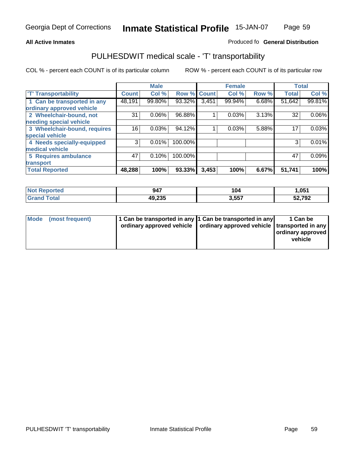#### **Inmate Statistical Profile** 15-JAN-07 Page Page 59

### **All Active Inmates Allowski** Produced fo **General Distribution**

# PULHESDWIT medical scale - 'T' transportability

|                              |              | <b>Male</b> |         |              | <b>Female</b> |       | <b>Total</b> |        |
|------------------------------|--------------|-------------|---------|--------------|---------------|-------|--------------|--------|
| <b>T' Transportability</b>   | <b>Count</b> | Col %       | Row %   | <b>Count</b> | Col %         | Row % | <b>Total</b> | Col %  |
| 1 Can be transported in any  | 48,191       | 99.80%      | 93.32%  | 3,451        | 99.94%        | 6.68% | 51,642       | 99.81% |
| ordinary approved vehicle    |              |             |         |              |               |       |              |        |
| 2 Wheelchair-bound, not      | 31           | 0.06%       | 96.88%  |              | 0.03%         | 3.13% | 32           | 0.06%  |
| needing special vehicle      |              |             |         |              |               |       |              |        |
| 3 Wheelchair-bound, requires | 16           | 0.03%       | 94.12%  |              | 0.03%         | 5.88% | 17           | 0.03%  |
| special vehicle              |              |             |         |              |               |       |              |        |
| 4 Needs specially-equipped   | 3            | 0.01%       | 100.00% |              |               |       | 3            | 0.01%  |
| medical vehicle              |              |             |         |              |               |       |              |        |
| <b>5 Requires ambulance</b>  | 47           | 0.10%       | 100.00% |              |               |       | 47           | 0.09%  |
| transport                    |              |             |         |              |               |       |              |        |
| <b>Total Reported</b>        | 48,288       | 100%        | 93.33%  | 3,453        | 100%          | 6.67% | 51,741       | 100%   |

| <b>Not</b><br>Reported       | 947    | 104   | 051,،  |
|------------------------------|--------|-------|--------|
| <b>Total</b><br><b>Grand</b> | 49,235 | 3,557 | 52,792 |

| Mode (most frequent) | 1 Can be transported in any 1 Can be transported in any | ordinary approved vehicle   ordinary approved vehicle   transported in any | 1 Can be<br>  ordinary approved  <br>vehicle |
|----------------------|---------------------------------------------------------|----------------------------------------------------------------------------|----------------------------------------------|
|                      |                                                         |                                                                            |                                              |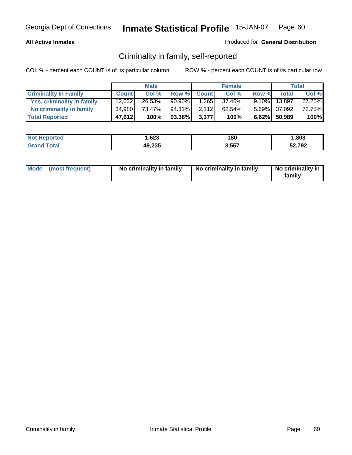### **All Active Inmates**

### Produced for **General Distribution**

# Criminality in family, self-reported

|                              |              | <b>Male</b> |           |              | <b>Female</b> |       |                 | <b>Total</b> |
|------------------------------|--------------|-------------|-----------|--------------|---------------|-------|-----------------|--------------|
| <b>Criminality In Family</b> | <b>Count</b> | Col %       | Row %     | <b>Count</b> | Col %         | Row % | <b>Total</b>    | Col %        |
| Yes, criminality in family   | 12,632       | 26.53%      | $90.90\%$ | 1.265        | 37.46%        |       | $9.10\%$ 13,897 | 27.25%       |
| No criminality in family     | 34,980       | 73.47%      | 94.31%    | 2,112        | 62.54%        |       | 5.69% 37,092    | 72.75%       |
| <b>Total Reported</b>        | 47,612       | 100%        | 93.38%    | 3,377        | 100%          |       | 6.62% 50,989    | 100%         |

| <b>Not Reported</b>     | .623   | 180   | .803   |
|-------------------------|--------|-------|--------|
| <b>Total</b><br>l Grand | 49,235 | 3,557 | 52,792 |

| Mode (most frequent) |  | No criminality in family | No criminality in family | No criminality in<br>family |
|----------------------|--|--------------------------|--------------------------|-----------------------------|
|----------------------|--|--------------------------|--------------------------|-----------------------------|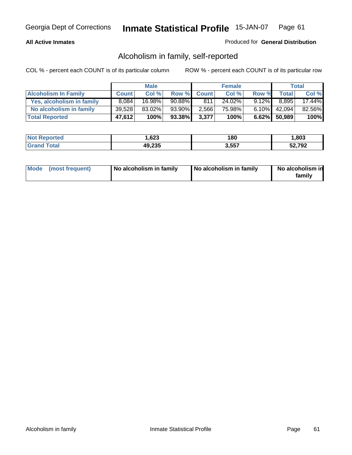### **All Active Inmates**

### Produced for **General Distribution**

# Alcoholism in family, self-reported

|                             |              | <b>Male</b> |           |              | <b>Female</b> |          |              | <b>Total</b> |
|-----------------------------|--------------|-------------|-----------|--------------|---------------|----------|--------------|--------------|
| <b>Alcoholism In Family</b> | <b>Count</b> | Col %       | Row %     | <b>Count</b> | Col %         | Row %    | <b>Total</b> | Col %        |
| Yes, alcoholism in family   | 8.084        | 16.98%      | $90.88\%$ | 811          | 24.02%        | $9.12\%$ | 8,895        | 17.44%       |
| No alcoholism in family     | 39,528       | 83.02%      | 93.90%    | 2.566        | 75.98%        | $6.10\%$ | 42,094       | 82.56%       |
| <b>Total Reported</b>       | 47,612       | 100%        | 93.38%    | 3,377        | 100%          |          | 6.62% 50,989 | 100%         |

| <b>Not Reported</b>     | .623   | 180   | .803   |
|-------------------------|--------|-------|--------|
| <b>Total</b><br>l Grand | 49,235 | 3,557 | 52,792 |

|  | Mode (most frequent) | No alcoholism in family | No alcoholism in family | No alcoholism in<br>family |
|--|----------------------|-------------------------|-------------------------|----------------------------|
|--|----------------------|-------------------------|-------------------------|----------------------------|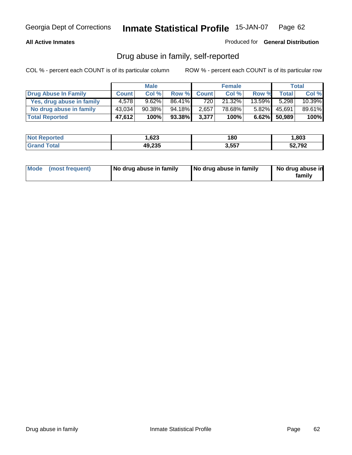### **All Active Inmates**

Produced for **General Distribution**

# Drug abuse in family, self-reported

|                           |              | <b>Male</b> |        |              | <b>Female</b> |           |              | Total  |
|---------------------------|--------------|-------------|--------|--------------|---------------|-----------|--------------|--------|
| Drug Abuse In Family      | <b>Count</b> | Col %       | Row %  | <b>Count</b> | Col %         | Row %     | Totall       | Col %  |
| Yes, drug abuse in family | 4.578        | 9.62%       | 86.41% | 720          | 21.32%        | $13.59\%$ | 5.298        | 10.39% |
| No drug abuse in family   | 43,034       | 90.38%      | 94.18% | 2,657        | 78.68%        | $5.82\%$  | 45,691       | 89.61% |
| <b>Total Reported</b>     | 47,612       | 100%        | 93.38% | 3,377        | 100%          |           | 6.62% 50,989 | 100%   |

| <b>Not</b><br><b>Reported</b> | 623, ا | 180   | ,803   |
|-------------------------------|--------|-------|--------|
| <b>ofa</b>                    | 49,235 | 3,557 | 52,792 |

|  | Mode (most frequent) | No drug abuse in family | No drug abuse in family | No drug abuse in<br>family |
|--|----------------------|-------------------------|-------------------------|----------------------------|
|--|----------------------|-------------------------|-------------------------|----------------------------|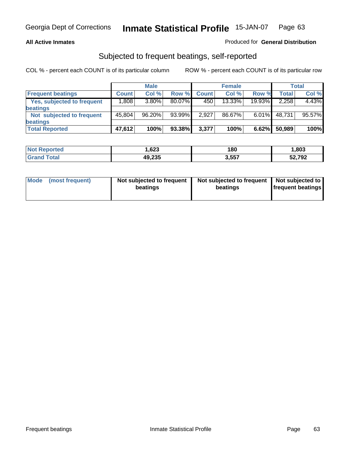### **All Active Inmates**

## Produced for **General Distribution**

# Subjected to frequent beatings, self-reported

|                                   |                   | <b>Male</b> |        |              | <b>Female</b> |          |        | Total  |
|-----------------------------------|-------------------|-------------|--------|--------------|---------------|----------|--------|--------|
| <b>Frequent beatings</b>          | <b>Count</b>      | Col %       | Row %  | <b>Count</b> | Col%          | Row %    | Total  | Col %  |
| <b>Yes, subjected to frequent</b> | .808 <sup>1</sup> | 3.80%       | 80.07% | 450          | 13.33%        | 19.93%   | 2,258  | 4.43%  |
| <b>beatings</b>                   |                   |             |        |              |               |          |        |        |
| Not subjected to frequent         | 45.804            | 96.20%      | 93.99% | 2,927        | 86.67%        | $6.01\%$ | 48.731 | 95.57% |
| <b>beatings</b>                   |                   |             |        |              |               |          |        |        |
| <b>Total Reported</b>             | 47,612            | 100%        | 93.38% | 3,377        | 100%          | 6.62%    | 50,989 | 100%   |

| rted<br>NO. | 623, ا | 180   | ,803   |
|-------------|--------|-------|--------|
|             | 49,235 | 3.557 | 52,792 |

| <b>Mode</b> | (most frequent) | Not subjected to frequent<br>beatings | Not subjected to frequent<br>beatings | Not subjected to<br>frequent beatings |
|-------------|-----------------|---------------------------------------|---------------------------------------|---------------------------------------|
|             |                 |                                       |                                       |                                       |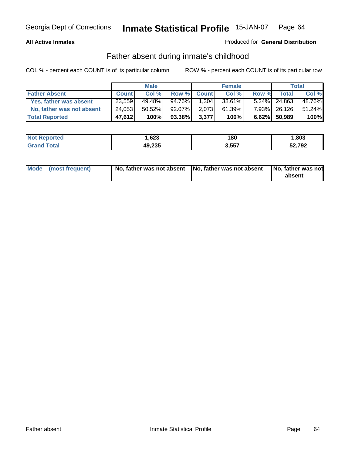### **All Active Inmates**

## Produced for **General Distribution**

# Father absent during inmate's childhood

|                           |              | <b>Male</b> |        |              | <b>Female</b> |       |              | Total  |
|---------------------------|--------------|-------------|--------|--------------|---------------|-------|--------------|--------|
| <b>Father Absent</b>      | <b>Count</b> | Col %       | Row %  | <b>Count</b> | Col %         | Row % | <b>Total</b> | Col %  |
| Yes, father was absent    | 23,559       | 49.48%      | 94.76% | 1,304        | 38.61%        |       | 5.24% 24,863 | 48.76% |
| No, father was not absent | 24,053       | 50.52%      | 92.07% | 2,073        | 61.39%        |       | 7.93% 26,126 | 51.24% |
| <b>Total Reported</b>     | 47,612       | 100%        | 93.38% | 3,377        | 100%          |       | 6.62% 50,989 | 100%   |

| <b>Not Reported</b> | 623, ا | 180   | ,803   |
|---------------------|--------|-------|--------|
| <b>Srand Total</b>  | 49,235 | 3,557 | 52,792 |

| Mode (most frequent) |  | 「No, father was not absent ┃No, father was not absent ┃No, father was not | absent |
|----------------------|--|---------------------------------------------------------------------------|--------|
|----------------------|--|---------------------------------------------------------------------------|--------|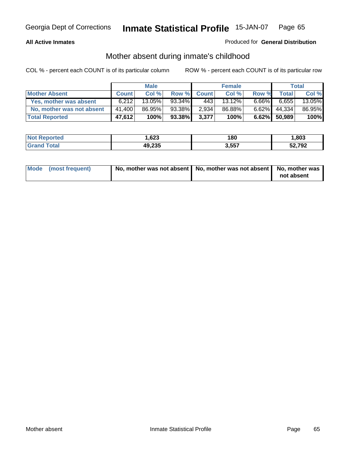### **All Active Inmates**

## Produced for **General Distribution**

# Mother absent during inmate's childhood

|                           |              | <b>Male</b> |        |              | <b>Female</b> |          |              | Total  |
|---------------------------|--------------|-------------|--------|--------------|---------------|----------|--------------|--------|
| <b>Mother Absent</b>      | <b>Count</b> | Col %       | Row %  | <b>Count</b> | Col %         | Row %    | <b>Total</b> | Col %  |
| Yes, mother was absent    | 6.212        | 13.05%      | 93.34% | 4431         | 13.12%        | $6.66\%$ | 6.655        | 13.05% |
| No, mother was not absent | 41,400       | 86.95%      | 93.38% | 2,934        | 86.88%        | $6.62\%$ | 44,334       | 86.95% |
| <b>Total Reported</b>     | 47,612       | 100%        | 93.38% | 3,377        | 100%          |          | 6.62% 50,989 | 100%   |

| <b>Not Reported</b> | 623, ا | 180   | ,803   |
|---------------------|--------|-------|--------|
| <b>Srand Total</b>  | 49,235 | 3,557 | 52,792 |

| Mode (most frequent) | No, mother was not absent   No, mother was not absent   No, mother was | not absent |
|----------------------|------------------------------------------------------------------------|------------|
|----------------------|------------------------------------------------------------------------|------------|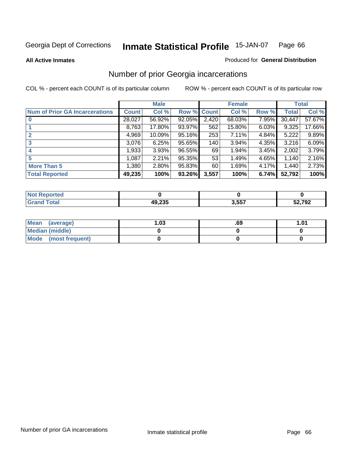**All Active Inmates**

### Produced for **General Distribution**

# Number of prior Georgia incarcerations

|                                       |              | <b>Male</b> |                    |       | <b>Female</b> |       |        | <b>Total</b> |
|---------------------------------------|--------------|-------------|--------------------|-------|---------------|-------|--------|--------------|
| <b>Num of Prior GA Incarcerations</b> | <b>Count</b> | Col %       | <b>Row % Count</b> |       | Col %         | Row % | Total  | Col %        |
| $\bf{0}$                              | 28,027       | 56.92%      | 92.05%             | 2,420 | 68.03%        | 7.95% | 30,447 | 57.67%       |
|                                       | 8,763        | 17.80%      | 93.97%             | 562   | 15.80%        | 6.03% | 9,325  | 17.66%       |
|                                       | 4,969        | 10.09%      | 95.16%             | 253   | 7.11%         | 4.84% | 5,222  | 9.89%        |
| 3                                     | 3,076        | 6.25%       | 95.65%             | 140   | 3.94%         | 4.35% | 3,216  | 6.09%        |
|                                       | 1,933        | 3.93%       | 96.55%             | 69    | 1.94%         | 3.45% | 2,002  | 3.79%        |
| 5                                     | 1,087        | 2.21%       | 95.35%             | 53    | 1.49%         | 4.65% | 1,140  | 2.16%        |
| <b>More Than 5</b>                    | 1,380        | 2.80%       | 95.83%             | 60    | 1.69%         | 4.17% | 1,440  | 2.73%        |
| <b>Total Reported</b>                 | 49,235       | 100%        | 93.26%             | 3,557 | 100%          | 6.74% | 52,792 | 100%         |

| Reported<br>' NOT            |                         |       |        |
|------------------------------|-------------------------|-------|--------|
| <b>Total</b><br><b>Grand</b> | <b>AQ 235</b><br>ーン・ムソー | 3,557 | 52,792 |

| Mean (average)       | l.O3 | .69 | 1.01 |
|----------------------|------|-----|------|
| Median (middle)      |      |     |      |
| Mode (most frequent) |      |     |      |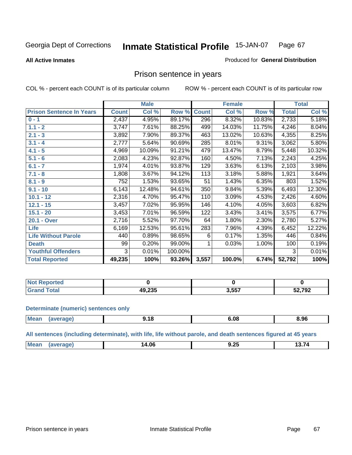Produced for **General Distribution**

### **All Active Inmates**

# Prison sentence in years

COL % - percent each COUNT is of its particular column ROW % - percent each COUNT is of its particular row

|                                 |              | <b>Male</b> |         |              | <b>Female</b> |        |              | <b>Total</b> |
|---------------------------------|--------------|-------------|---------|--------------|---------------|--------|--------------|--------------|
| <b>Prison Sentence In Years</b> | <b>Count</b> | Col %       | Row %   | <b>Count</b> | Col %         | Row %  | <b>Total</b> | Col %        |
| $0 - 1$                         | 2,437        | 4.95%       | 89.17%  | 296          | 8.32%         | 10.83% | 2,733        | 5.18%        |
| $1.1 - 2$                       | 3,747        | 7.61%       | 88.25%  | 499          | 14.03%        | 11.75% | 4,246        | 8.04%        |
| $2.1 - 3$                       | 3,892        | 7.90%       | 89.37%  | 463          | 13.02%        | 10.63% | 4,355        | 8.25%        |
| $3.1 - 4$                       | 2,777        | 5.64%       | 90.69%  | 285          | 8.01%         | 9.31%  | 3,062        | 5.80%        |
| $4.1 - 5$                       | 4,969        | 10.09%      | 91.21%  | 479          | 13.47%        | 8.79%  | 5,448        | 10.32%       |
| $5.1 - 6$                       | 2,083        | 4.23%       | 92.87%  | 160          | 4.50%         | 7.13%  | 2,243        | 4.25%        |
| $6.1 - 7$                       | 1,974        | 4.01%       | 93.87%  | 129          | 3.63%         | 6.13%  | 2,103        | 3.98%        |
| $7.1 - 8$                       | 1,808        | 3.67%       | 94.12%  | 113          | 3.18%         | 5.88%  | 1,921        | 3.64%        |
| $8.1 - 9$                       | 752          | 1.53%       | 93.65%  | 51           | 1.43%         | 6.35%  | 803          | 1.52%        |
| $9.1 - 10$                      | 6,143        | 12.48%      | 94.61%  | 350          | 9.84%         | 5.39%  | 6,493        | 12.30%       |
| $10.1 - 12$                     | 2,316        | 4.70%       | 95.47%  | 110          | 3.09%         | 4.53%  | 2,426        | 4.60%        |
| $12.1 - 15$                     | 3,457        | 7.02%       | 95.95%  | 146          | 4.10%         | 4.05%  | 3,603        | 6.82%        |
| $15.1 - 20$                     | 3,453        | 7.01%       | 96.59%  | 122          | 3.43%         | 3.41%  | 3,575        | 6.77%        |
| 20.1 - Over                     | 2,716        | 5.52%       | 97.70%  | 64           | 1.80%         | 2.30%  | 2,780        | 5.27%        |
| <b>Life</b>                     | 6,169        | 12.53%      | 95.61%  | 283          | 7.96%         | 4.39%  | 6,452        | 12.22%       |
| <b>Life Without Parole</b>      | 440          | 0.89%       | 98.65%  | 6            | 0.17%         | 1.35%  | 446          | 0.84%        |
| <b>Death</b>                    | 99           | 0.20%       | 99.00%  |              | 0.03%         | 1.00%  | 100          | 0.19%        |
| <b>Youthful Offenders</b>       | 3            | 0.01%       | 100.00% |              |               |        | 3            | 0.01%        |
| <b>Total Reported</b>           | 49,235       | 100%        | 93.26%  | 3,557        | 100.0%        | 6.74%  | 52,792       | 100%         |

| <b>NOT</b><br>portea |                  |       |        |
|----------------------|------------------|-------|--------|
| ota<br>. Gr          | AO 225<br>49,∠ວວ | 3,557 | 52,792 |

### **Determinate (numeric) sentences only**

| Mean | "апе. | . O<br>- 1 | 30. | 8.96 |
|------|-------|------------|-----|------|
|      |       |            |     |      |

**All sentences (including determinate), with life, life without parole, and death sentences figured at 45 years**

| М<br>$\sim$ $-$<br>--<br>l 06<br>J.ZJ<br>$\mathbf{r}$<br>___ |  |  |  |
|--------------------------------------------------------------|--|--|--|
|                                                              |  |  |  |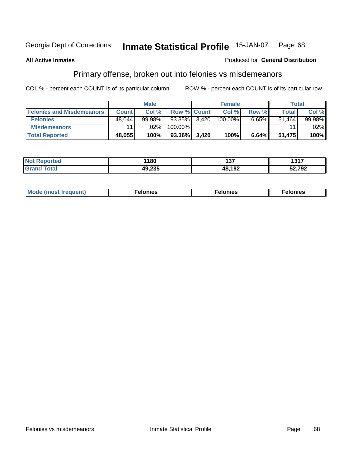### **All Active Inmates**

### Produced for **General Distribution**

# Primary offense, broken out into felonies vs misdemeanors

|                                  |                 | <b>Male</b> |                    |       | <b>Female</b> |       | Total        |        |
|----------------------------------|-----------------|-------------|--------------------|-------|---------------|-------|--------------|--------|
| <b>Felonies and Misdemeanors</b> | <b>Count</b>    | Col%        | <b>Row % Count</b> |       | Col %         | Row % | <b>Total</b> | Col %  |
| <b>Felonies</b>                  | 48.044          | $99.98\%$   | $93.35\%$ 3,420    |       | 100.00%       | 6.65% | 51.464       | 99.98% |
| <b>Misdemeanors</b>              | 11 <sub>1</sub> | $.02\%$     | 100.00%            |       |               |       |              | .02%   |
| <b>Total Reported</b>            | 48,055          | 100%        | 93.36%             | 3,420 | 100%          | 6.64% | 51,475       | 100%   |

| <b>Not</b> | 1180 | 4.27                       | 4947    |
|------------|------|----------------------------|---------|
| eported    |      | י טו                       | 1 J I 1 |
| Grar       | הה   | $AB$ 10 $\degree$<br>1 J 4 | 52,792  |

| <b>Mode (most frequent)</b> | elonies | elonies | lonies<br>- - - |
|-----------------------------|---------|---------|-----------------|
|                             |         |         |                 |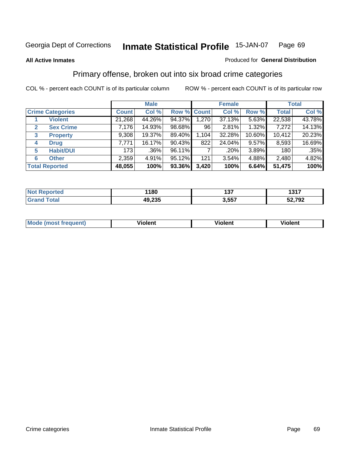### **All Active Inmates**

### Produced for **General Distribution**

# Primary offense, broken out into six broad crime categories

|                                  |              | <b>Male</b> |             |       | <b>Female</b> |        |              | <b>Total</b> |  |
|----------------------------------|--------------|-------------|-------------|-------|---------------|--------|--------------|--------------|--|
| <b>Crime Categories</b>          | <b>Count</b> | Col %       | Row % Count |       | Col %         | Row %  | <b>Total</b> | Col %        |  |
| <b>Violent</b>                   | 21,268       | 44.26%      | 94.37%      | 1,270 | 37.13%        | 5.63%  | 22,538       | 43.78%       |  |
| <b>Sex Crime</b><br>$\mathbf{2}$ | 7,176        | 14.93%      | 98.68%      | 96    | 2.81%         | 1.32%  | 7,272        | 14.13%       |  |
| $\mathbf{3}$<br><b>Property</b>  | 9,308        | 19.37%      | 89.40%      | 1,104 | 32.28%        | 10.60% | 10,412       | 20.23%       |  |
| <b>Drug</b><br>4                 | 7,771        | 16.17%      | 90.43%      | 822   | 24.04%        | 9.57%  | 8,593        | 16.69%       |  |
| <b>Habit/DUI</b><br>5            | 173          | $.36\%$     | 96.11%      |       | .20%          | 3.89%  | 180          | $.35\%$      |  |
| <b>Other</b><br>6                | 2,359        | 4.91%       | 95.12%      | 121   | 3.54%         | 4.88%  | 2,480        | 4.82%        |  |
| <b>Total Reported</b>            | 48,055       | 100%        | 93.36%      | 3,420 | 100%          | 6.64%  | 51,475       | 100%         |  |

| 180    | .<br>ּשׁ<br>___ | 4947<br>1917 |
|--------|-----------------|--------------|
| 49,235 | 2 557<br>. טטוי | 52,792       |

| <b>Mo</b><br>uenti | .<br>วlent | $- -$<br>Violent | --<br>Violent |
|--------------------|------------|------------------|---------------|
|                    |            |                  |               |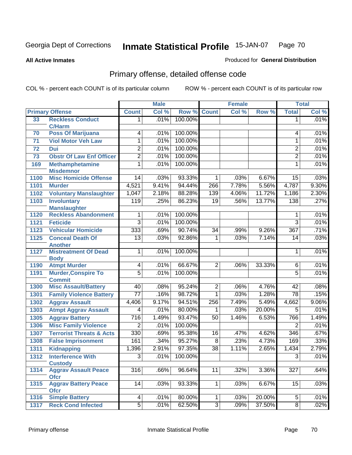**All Active Inmates**

### Produced for **General Distribution**

# Primary offense, detailed offense code

|      |                                                  | <b>Male</b>     |       | <b>Female</b> |                 |       | <b>Total</b> |                  |       |
|------|--------------------------------------------------|-----------------|-------|---------------|-----------------|-------|--------------|------------------|-------|
|      | <b>Primary Offense</b>                           | <b>Count</b>    | Col % | Row %         | <b>Count</b>    | Col % | Row %        | <b>Total</b>     | Col % |
| 33   | <b>Reckless Conduct</b>                          | 1.              | .01%  | 100.00%       |                 |       |              | 1                | .01%  |
|      | <b>C/Harm</b>                                    |                 |       |               |                 |       |              |                  |       |
| 70   | <b>Poss Of Marijuana</b>                         | 4               | .01%  | 100.00%       |                 |       |              | 4                | .01%  |
| 71   | <b>Viol Motor Veh Law</b>                        | 1               | .01%  | 100.00%       |                 |       |              | 1                | .01%  |
| 72   | <b>Dui</b>                                       | $\overline{2}$  | .01%  | 100.00%       |                 |       |              | $\overline{2}$   | .01%  |
| 73   | <b>Obstr Of Law Enf Officer</b>                  | $\overline{2}$  | .01%  | 100.00%       |                 |       |              | $\overline{2}$   | .01%  |
| 169  | <b>Methamphetamine</b>                           | 1               | .01%  | 100.00%       |                 |       |              | 1                | .01%  |
| 1100 | <b>Misdemnor</b><br><b>Misc Homicide Offense</b> | 14              | .03%  | 93.33%        | 1               | .03%  | 6.67%        | 15               | .03%  |
| 1101 | <b>Murder</b>                                    | 4,521           | 9.41% | 94.44%        | 266             | 7.78% | 5.56%        | 4,787            | 9.30% |
|      |                                                  |                 | 2.18% | 88.28%        | 139             | 4.06% | 11.72%       |                  | 2.30% |
| 1102 | <b>Voluntary Manslaughter</b>                    | 1,047           |       |               |                 |       |              | 1,186            |       |
| 1103 | <b>Involuntary</b><br><b>Manslaughter</b>        | 119             | .25%  | 86.23%        | $\overline{19}$ | .56%  | 13.77%       | 138              | .27%  |
| 1120 | <b>Reckless Abandonment</b>                      | 1               | .01%  | 100.00%       |                 |       |              | 1                | .01%  |
| 1121 | <b>Feticide</b>                                  | $\overline{3}$  | .01%  | 100.00%       |                 |       |              | $\overline{3}$   | .01%  |
| 1123 | <b>Vehicular Homicide</b>                        | 333             | .69%  | 90.74%        | $\overline{34}$ | .99%  | 9.26%        | 367              | .71%  |
| 1125 | <b>Conceal Death Of</b>                          | $\overline{13}$ | .03%  | 92.86%        | 1               | .03%  | 7.14%        | $\overline{14}$  | .03%  |
|      | <b>Another</b>                                   |                 |       |               |                 |       |              |                  |       |
| 1127 | <b>Mistreatment Of Dead</b>                      | 1               | .01%  | 100.00%       |                 |       |              | 1                | .01%  |
|      | <b>Body</b>                                      |                 |       |               |                 |       |              |                  |       |
| 1190 | <b>Atmpt Murder</b>                              | 4               | .01%  | 66.67%        | $\overline{2}$  | .06%  | 33.33%       | 6                | .01%  |
| 1191 | <b>Murder, Conspire To</b>                       | $\overline{5}$  | .01%  | 100.00%       |                 |       |              | $\overline{5}$   | .01%  |
|      | <b>Commit</b>                                    |                 |       |               |                 |       |              |                  |       |
| 1300 | <b>Misc Assault/Battery</b>                      | 40              | .08%  | 95.24%        | 2               | .06%  | 4.76%        | 42               | .08%  |
| 1301 | <b>Family Violence Battery</b>                   | $\overline{77}$ | .16%  | 98.72%        | 1               | .03%  | 1.28%        | $\overline{78}$  | .15%  |
| 1302 | <b>Aggrav Assault</b>                            | 4,406           | 9.17% | 94.51%        | 256             | 7.49% | 5.49%        | 4,662            | 9.06% |
| 1303 | <b>Atmpt Aggrav Assault</b>                      | $\overline{4}$  | .01%  | 80.00%        | 1               | .03%  | 20.00%       | $\overline{5}$   | .01%  |
| 1305 | <b>Aggrav Battery</b>                            | 716             | 1.49% | 93.47%        | $\overline{50}$ | 1.46% | 6.53%        | 766              | 1.49% |
| 1306 | <b>Misc Family Violence</b>                      | $\overline{2}$  | .01%  | 100.00%       |                 |       |              | $\overline{2}$   | .01%  |
| 1307 | <b>Terrorist Threats &amp; Acts</b>              | 330             | .69%  | 95.38%        | $\overline{16}$ | .47%  | 4.62%        | 346              | .67%  |
| 1308 | <b>False Imprisonment</b>                        | 161             | .34%  | 95.27%        | $\overline{8}$  | .23%  | 4.73%        | 169              | .33%  |
| 1311 | <b>Kidnapping</b>                                | 1,396           | 2.91% | 97.35%        | $\overline{38}$ | 1.11% | 2.65%        | 1,434            | 2.79% |
| 1312 | <b>Interference With</b>                         | $\overline{3}$  | .01%  | 100.00%       |                 |       |              | $\overline{3}$   | .01%  |
|      | <b>Custody</b>                                   |                 |       |               |                 |       |              |                  |       |
| 1314 | <b>Aggrav Assault Peace</b>                      | 316             | .66%  | 96.64%        | 11              | .32%  | 3.36%        | $\overline{327}$ | .64%  |
|      | <b>Ofcr</b><br><b>Aggrav Battery Peace</b>       | 14              | .03%  | 93.33%        |                 | .03%  | 6.67%        | 15               | .03%  |
| 1315 | <b>Ofcr</b>                                      |                 |       |               |                 |       |              |                  |       |
| 1316 | <b>Simple Battery</b>                            | 4               | .01%  | 80.00%        | 1               | .03%  | 20.00%       | 5                | .01%  |
| 1317 | <b>Reck Cond Infected</b>                        | $\overline{5}$  | .01%  | 62.50%        | $\overline{3}$  | .09%  | 37.50%       | 8                | .02%  |
|      |                                                  |                 |       |               |                 |       |              |                  |       |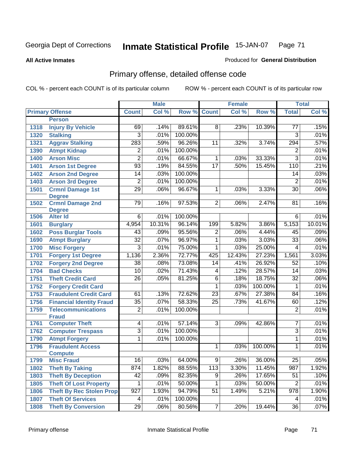**All Active Inmates**

### Produced for **General Distribution**

# Primary offense, detailed offense code

|      |                                  |                 | <b>Male</b> |         |                 | <b>Female</b> |         |                 | <b>Total</b> |
|------|----------------------------------|-----------------|-------------|---------|-----------------|---------------|---------|-----------------|--------------|
|      | <b>Primary Offense</b>           | <b>Count</b>    | Col %       | Row %   | <b>Count</b>    | Col %         | Row %   | <b>Total</b>    | Col %        |
|      | <b>Person</b>                    |                 |             |         |                 |               |         |                 |              |
| 1318 | <b>Injury By Vehicle</b>         | 69              | .14%        | 89.61%  | 8               | .23%          | 10.39%  | $\overline{77}$ | .15%         |
| 1320 | <b>Stalking</b>                  | 3               | .01%        | 100.00% |                 |               |         | 3               | .01%         |
| 1321 | <b>Aggrav Stalking</b>           | 283             | .59%        | 96.26%  | 11              | .32%          | 3.74%   | 294             | .57%         |
| 1390 | <b>Atmpt Kidnap</b>              | $\overline{2}$  | .01%        | 100.00% |                 |               |         | 2               | .01%         |
| 1400 | <b>Arson Misc</b>                | $\overline{2}$  | .01%        | 66.67%  | $\mathbf{1}$    | .03%          | 33.33%  | $\overline{3}$  | .01%         |
| 1401 | <b>Arson 1st Degree</b>          | 93              | .19%        | 84.55%  | $\overline{17}$ | .50%          | 15.45%  | 110             | .21%         |
| 1402 | <b>Arson 2nd Degree</b>          | $\overline{14}$ | .03%        | 100.00% |                 |               |         | 14              | .03%         |
| 1403 | <b>Arson 3rd Degree</b>          | $\overline{2}$  | .01%        | 100.00% |                 |               |         | $\overline{2}$  | .01%         |
| 1501 | <b>Crmnl Damage 1st</b>          | $\overline{29}$ | .06%        | 96.67%  | 1               | .03%          | 3.33%   | $\overline{30}$ | .06%         |
|      | <b>Degree</b>                    |                 |             |         |                 |               |         |                 |              |
| 1502 | <b>Crmnl Damage 2nd</b>          | 79              | .16%        | 97.53%  | $\overline{2}$  | .06%          | 2.47%   | 81              | .16%         |
| 1506 | <b>Degree</b><br><b>Alter Id</b> | $6\overline{6}$ | .01%        | 100.00% |                 |               |         | $6\overline{6}$ | .01%         |
| 1601 | <b>Burglary</b>                  | 4,954           | 10.31%      | 96.14%  | 199             | 5.82%         | 3.86%   | 5,153           | 10.01%       |
| 1602 | <b>Poss Burglar Tools</b>        | 43              | .09%        | 95.56%  | $\overline{2}$  | .06%          | 4.44%   | 45              | .09%         |
| 1690 | <b>Atmpt Burglary</b>            | $\overline{32}$ | .07%        | 96.97%  | $\overline{1}$  | .03%          | 3.03%   | $\overline{33}$ | .06%         |
| 1700 | <b>Misc Forgery</b>              | $\overline{3}$  | .01%        | 75.00%  | $\overline{1}$  | .03%          | 25.00%  | $\overline{4}$  | .01%         |
| 1701 | <b>Forgery 1st Degree</b>        | 1,136           | 2.36%       | 72.77%  | 425             | 12.43%        | 27.23%  | 1,561           | 3.03%        |
| 1702 | <b>Forgery 2nd Degree</b>        | $\overline{38}$ | .08%        | 73.08%  | $\overline{14}$ | .41%          | 26.92%  | 52              | .10%         |
| 1704 | <b>Bad Checks</b>                | 10              | .02%        | 71.43%  | 4               | .12%          | 28.57%  | 14              | .03%         |
| 1751 | <b>Theft Credit Card</b>         | $\overline{26}$ | .05%        | 81.25%  | $\overline{6}$  | .18%          | 18.75%  | $\overline{32}$ | .06%         |
| 1752 | <b>Forgery Credit Card</b>       |                 |             |         | 1               | .03%          | 100.00% | 1               | .01%         |
| 1753 | <b>Fraudulent Credit Card</b>    | 61              | .13%        | 72.62%  | $\overline{23}$ | .67%          | 27.38%  | 84              | .16%         |
| 1756 | <b>Financial Identity Fraud</b>  | $\overline{35}$ | .07%        | 58.33%  | $\overline{25}$ | .73%          | 41.67%  | 60              | .12%         |
| 1759 | <b>Telecommunications</b>        | $\overline{2}$  | .01%        | 100.00% |                 |               |         | $\overline{2}$  | .01%         |
|      | <b>Fraud</b>                     |                 |             |         |                 |               |         |                 |              |
| 1761 | <b>Computer Theft</b>            | $\overline{4}$  | .01%        | 57.14%  | $\overline{3}$  | .09%          | 42.86%  | 7               | .01%         |
| 1762 | <b>Computer Trespass</b>         | $\overline{3}$  | .01%        | 100.00% |                 |               |         | $\overline{3}$  | .01%         |
| 1790 | <b>Atmpt Forgery</b>             | 1               | .01%        | 100.00% |                 |               |         | 1               | .01%         |
| 1796 | <b>Fraudulent Access</b>         |                 |             |         | 1               | .03%          | 100.00% | 1               | .01%         |
|      | <b>Compute</b>                   |                 |             |         |                 |               |         |                 |              |
| 1799 | <b>Misc Fraud</b>                | 16              | .03%        | 64.00%  | 9               | .26%          | 36.00%  | 25              | $.05\%$      |
| 1802 | <b>Theft By Taking</b>           | 874             | 1.82%       | 88.55%  | 113             | 3.30%         | 11.45%  | 987             | 1.92%        |
| 1803 | <b>Theft By Deception</b>        | 42              | .09%        | 82.35%  | 9               | .26%          | 17.65%  | 51              | .10%         |
| 1805 | <b>Theft Of Lost Property</b>    | 1               | .01%        | 50.00%  | $\mathbf{1}$    | .03%          | 50.00%  | $\overline{2}$  | .01%         |
| 1806 | <b>Theft By Rec Stolen Prop</b>  | 927             | 1.93%       | 94.79%  | 51              | 1.49%         | 5.21%   | 978             | 1.90%        |
| 1807 | <b>Theft Of Services</b>         | 4               | .01%        | 100.00% |                 |               |         | 4               | .01%         |
| 1808 | <b>Theft By Conversion</b>       | $\overline{29}$ | .06%        | 80.56%  | $\overline{7}$  | .20%          | 19.44%  | 36              | .07%         |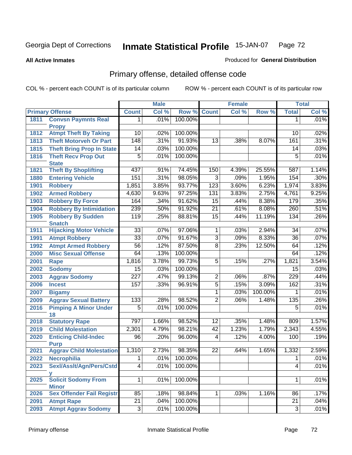**All Active Inmates**

### Produced for **General Distribution**

# Primary offense, detailed offense code

|      |                                            | <b>Male</b>         |       | <b>Female</b> |                 |       | <b>Total</b> |                 |       |
|------|--------------------------------------------|---------------------|-------|---------------|-----------------|-------|--------------|-----------------|-------|
|      | <b>Primary Offense</b>                     | <b>Count</b>        | Col % | Row %         | <b>Count</b>    | Col % | Row %        | <b>Total</b>    | Col % |
| 1811 | <b>Convsn Paymnts Real</b>                 | 1                   | .01%  | 100.00%       |                 |       |              | $\mathbf 1$     | .01%  |
|      | <b>Propy</b>                               |                     |       |               |                 |       |              |                 |       |
| 1812 | <b>Atmpt Theft By Taking</b>               | 10                  | .02%  | 100.00%       |                 |       |              | 10              | .02%  |
| 1813 | <b>Theft Motorveh Or Part</b>              | $\overline{148}$    | .31%  | 91.93%        | $\overline{13}$ | .38%  | 8.07%        | 161             | .31%  |
| 1815 | <b>Theft Bring Prop In State</b>           | 14                  | .03%  | 100.00%       |                 |       |              | 14              | .03%  |
| 1816 | <b>Theft Recv Prop Out</b><br><b>State</b> | $\overline{5}$      | .01%  | 100.00%       |                 |       |              | $\overline{5}$  | .01%  |
| 1821 | <b>Theft By Shoplifting</b>                | 437                 | .91%  | 74.45%        | 150             | 4.39% | 25.55%       | 587             | 1.14% |
| 1880 | <b>Entering Vehicle</b>                    | 151                 | .31%  | 98.05%        | $\overline{3}$  | .09%  | 1.95%        | 154             | .30%  |
| 1901 | <b>Robbery</b>                             | 1,851               | 3.85% | 93.77%        | 123             | 3.60% | 6.23%        | 1,974           | 3.83% |
| 1902 | <b>Armed Robbery</b>                       | 4,630               | 9.63% | 97.25%        | 131             | 3.83% | 2.75%        | 4,761           | 9.25% |
| 1903 | <b>Robbery By Force</b>                    | 164                 | .34%  | 91.62%        | $\overline{15}$ | .44%  | 8.38%        | 179             | .35%  |
| 1904 | <b>Robbery By Intimidation</b>             | 239                 | .50%  | 91.92%        | 21              | .61%  | 8.08%        | 260             | .51%  |
| 1905 | <b>Robbery By Sudden</b>                   | 119                 | .25%  | 88.81%        | $\overline{15}$ | .44%  | 11.19%       | 134             | .26%  |
|      | <b>Snatch</b>                              |                     |       |               |                 |       |              |                 |       |
| 1911 | <b>Hijacking Motor Vehicle</b>             | $\overline{33}$     | .07%  | 97.06%        | $\mathbf{1}$    | .03%  | 2.94%        | 34              | .07%  |
| 1991 | <b>Atmpt Robbery</b>                       | $\overline{33}$     | .07%  | 91.67%        | $\overline{3}$  | .09%  | 8.33%        | $\overline{36}$ | .07%  |
| 1992 | <b>Atmpt Armed Robbery</b>                 | $\overline{56}$     | .12%  | 87.50%        | $\overline{8}$  | .23%  | 12.50%       | 64              | .12%  |
| 2000 | <b>Misc Sexual Offense</b>                 | 64                  | .13%  | 100.00%       |                 |       |              | 64              | .12%  |
| 2001 | Rape                                       | 1,816               | 3.78% | 99.73%        | $\overline{5}$  | .15%  | .27%         | 1,821           | 3.54% |
| 2002 | <b>Sodomy</b>                              | 15                  | .03%  | 100.00%       |                 |       |              | 15              | .03%  |
| 2003 | <b>Aggrav Sodomy</b>                       | $\overline{227}$    | .47%  | 99.13%        | $\overline{c}$  | .06%  | .87%         | 229             | .44%  |
| 2006 | <b>Incest</b>                              | 157                 | .33%  | 96.91%        | $\overline{5}$  | .15%  | 3.09%        | 162             | .31%  |
| 2007 | <b>Bigamy</b>                              |                     |       |               | 1               | .03%  | 100.00%      | 1               | .01%  |
| 2009 | <b>Aggrav Sexual Battery</b>               | 133                 | .28%  | 98.52%        | $\overline{2}$  | .06%  | 1.48%        | 135             | .26%  |
| 2016 | <b>Pimping A Minor Under</b><br>18         | $\overline{5}$      | .01%  | 100.00%       |                 |       |              | 5               | .01%  |
| 2018 | <b>Statutory Rape</b>                      | 797                 | 1.66% | 98.52%        | 12              | .35%  | 1.48%        | 809             | 1.57% |
| 2019 | <b>Child Molestation</b>                   | 2,301               | 4.79% | 98.21%        | 42              | 1.23% | 1.79%        | 2,343           | 4.55% |
| 2020 | <b>Enticing Child-Indec</b>                | 96                  | .20%  | 96.00%        | $\overline{4}$  | .12%  | 4.00%        | 100             | .19%  |
|      | <b>Purp</b>                                |                     |       |               |                 |       |              |                 |       |
| 2021 | <b>Aggrav Child Molestation</b>            | 1,310               | 2.73% | 98.35%        | 22              | .64%  | 1.65%        | 1,332           | 2.59% |
| 2022 | <b>Necrophilia</b>                         | $\overline{1}$      | .01%  | 100.00%       |                 |       |              | $\overline{1}$  | .01%  |
| 2023 | Sexl/AssIt/Agn/Pers/Cstd                   | $\overline{4}$      | .01%  | 100.00%       |                 |       |              | 4               | .01%  |
| 2025 | <b>Solicit Sodomy From</b>                 | 1                   | .01%  | 100.00%       |                 |       |              | 1               | .01%  |
|      | <b>Minor</b>                               |                     |       |               |                 |       |              |                 |       |
| 2026 | <b>Sex Offender Fail Registr</b>           | 85                  | .18%  | 98.84%        | 1 <sup>1</sup>  | .03%  | 1.16%        | 86              | .17%  |
| 2091 | <b>Atmpt Rape</b>                          | $\overline{21}$     | .04%  | 100.00%       |                 |       |              | $\overline{21}$ | .04%  |
| 2093 | <b>Atmpt Aggrav Sodomy</b>                 | $\overline{\omega}$ | .01%  | 100.00%       |                 |       |              | 3               | .01%  |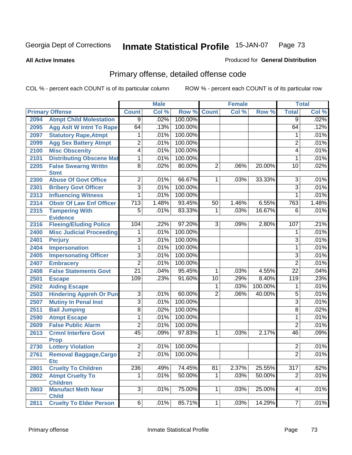**All Active Inmates**

### Produced for **General Distribution**

## Primary offense, detailed offense code

|      |                                             |                         | <b>Male</b> |         |                | <b>Female</b> |         |                  | <b>Total</b> |
|------|---------------------------------------------|-------------------------|-------------|---------|----------------|---------------|---------|------------------|--------------|
|      | <b>Primary Offense</b>                      | <b>Count</b>            | Col %       | Row %   | <b>Count</b>   | Col %         | Row %   | <b>Total</b>     | Col %        |
| 2094 | <b>Atmpt Child Molestation</b>              | $\overline{9}$          | .02%        | 100.00% |                |               |         | $\overline{9}$   | .02%         |
| 2095 | <b>Agg Aslt W Intnt To Rape</b>             | 64                      | .13%        | 100.00% |                |               |         | 64               | .12%         |
| 2097 | <b>Statutory Rape, Atmpt</b>                | 1                       | .01%        | 100.00% |                |               |         | 1                | .01%         |
| 2099 | <b>Agg Sex Battery Atmpt</b>                | $\overline{2}$          | .01%        | 100.00% |                |               |         | $\overline{c}$   | .01%         |
| 2100 | <b>Misc Obscenity</b>                       | $\overline{4}$          | .01%        | 100.00% |                |               |         | 4                | .01%         |
| 2101 | <b>Distributing Obscene Mat</b>             | $\overline{1}$          | .01%        | 100.00% |                |               |         | 1                | .01%         |
| 2205 | <b>False Swearng Writtn</b><br><b>Stmt</b>  | $\overline{8}$          | .02%        | 80.00%  | $\overline{2}$ | .06%          | 20.00%  | 10               | .02%         |
| 2300 | <b>Abuse Of Govt Office</b>                 | $\overline{2}$          | .01%        | 66.67%  | 1              | .03%          | 33.33%  | $\overline{3}$   | .01%         |
| 2301 | <b>Bribery Govt Officer</b>                 | 3                       | .01%        | 100.00% |                |               |         | 3                | .01%         |
| 2313 | <b>Influencing Witness</b>                  | $\overline{1}$          | .01%        | 100.00% |                |               |         | 1                | .01%         |
| 2314 | <b>Obstr Of Law Enf Officer</b>             | $\overline{713}$        | 1.48%       | 93.45%  | 50             | 1.46%         | 6.55%   | 763              | 1.48%        |
| 2315 | <b>Tampering With</b><br><b>Evidence</b>    | $\overline{5}$          | .01%        | 83.33%  | 1              | .03%          | 16.67%  | $\overline{6}$   | .01%         |
| 2316 | <b>Fleeing/Eluding Police</b>               | 104                     | .22%        | 97.20%  | $\overline{3}$ | .09%          | 2.80%   | 107              | .21%         |
| 2400 | <b>Misc Judicial Proceeding</b>             | 1                       | .01%        | 100.00% |                |               |         | 1                | .01%         |
| 2401 | <b>Perjury</b>                              | $\overline{3}$          | .01%        | 100.00% |                |               |         | $\overline{3}$   | .01%         |
| 2404 | <b>Impersonation</b>                        | $\overline{1}$          | .01%        | 100.00% |                |               |         | 1                | .01%         |
| 2405 | <b>Impersonating Officer</b>                | $\overline{3}$          | .01%        | 100.00% |                |               |         | $\overline{3}$   | .01%         |
| 2407 | <b>Embracery</b>                            | $\overline{2}$          | .01%        | 100.00% |                |               |         | $\overline{2}$   | .01%         |
| 2408 | <b>False Statements Govt</b>                | $\overline{21}$         | .04%        | 95.45%  | 1              | .03%          | 4.55%   | $\overline{22}$  | .04%         |
| 2501 | <b>Escape</b>                               | 109                     | .23%        | 91.60%  | 10             | .29%          | 8.40%   | $\overline{119}$ | .23%         |
| 2502 | <b>Aiding Escape</b>                        |                         |             |         | 1              | .03%          | 100.00% | 1                | .01%         |
| 2503 | <b>Hindering Appreh Or Pun</b>              | $\overline{3}$          | .01%        | 60.00%  | $\overline{2}$ | .06%          | 40.00%  | $\overline{5}$   | .01%         |
| 2507 | <b>Mutiny In Penal Inst</b>                 | $\overline{\mathbf{3}}$ | .01%        | 100.00% |                |               |         | $\overline{3}$   | .01%         |
| 2511 | <b>Bail Jumping</b>                         | $\overline{8}$          | .02%        | 100.00% |                |               |         | $\overline{8}$   | .02%         |
| 2590 | <b>Atmpt Escape</b>                         | 1                       | .01%        | 100.00% |                |               |         | 1                | .01%         |
| 2609 | <b>False Public Alarm</b>                   | $\overline{2}$          | .01%        | 100.00% |                |               |         | $\overline{2}$   | .01%         |
| 2613 | <b>Crmnl Interfere Govt</b><br><b>Prop</b>  | 45                      | .09%        | 97.83%  | $\mathbf{1}$   | .03%          | 2.17%   | 46               | .09%         |
| 2730 | <b>Lottery Violation</b>                    | $\overline{2}$          | .01%        | 100.00% |                |               |         | 2                | .01%         |
| 2761 | <b>Removal Baggage, Cargo</b><br><b>Etc</b> | $\overline{2}$          | .01%        | 100.00% |                |               |         | $\overline{2}$   | .01%         |
| 2801 | <b>Cruelty To Children</b>                  | 236                     | .49%        | 74.45%  | 81             | 2.37%         | 25.55%  | $\overline{317}$ | .62%         |
| 2802 | <b>Atmpt Cruelty To</b><br><b>Children</b>  | 1                       | .01%        | 50.00%  | $\mathbf{1}$   | .03%          | 50.00%  | $\overline{2}$   | .01%         |
| 2803 | <b>Manufact Meth Near</b><br><b>Child</b>   | $\overline{3}$          | .01%        | 75.00%  | $\overline{1}$ | .03%          | 25.00%  | $\overline{4}$   | .01%         |
| 2811 | <b>Cruelty To Elder Person</b>              | $\overline{6}$          | .01%        | 85.71%  | $\overline{1}$ | .03%          | 14.29%  | $\overline{7}$   | .01%         |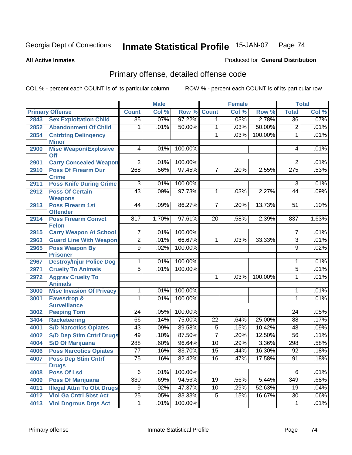#### **All Active Inmates**

### Produced for **General Distribution**

## Primary offense, detailed offense code

|      |                                                   |                 | <b>Male</b> |         |                 | <b>Female</b> |         |                  | <b>Total</b> |
|------|---------------------------------------------------|-----------------|-------------|---------|-----------------|---------------|---------|------------------|--------------|
|      | <b>Primary Offense</b>                            | <b>Count</b>    | Col %       | Row %   | <b>Count</b>    | Col %         | Row %   | <b>Total</b>     | Col %        |
| 2843 | <b>Sex Exploitation Child</b>                     | $\overline{35}$ | .07%        | 97.22%  | 1 <sup>1</sup>  | .03%          | 2.78%   | $\overline{36}$  | .07%         |
| 2852 | <b>Abandonment Of Child</b>                       | 1               | .01%        | 50.00%  | 1               | .03%          | 50.00%  | 2                | .01%         |
| 2854 | <b>Cntrbtng Delingency</b>                        |                 |             |         | 1               | .03%          | 100.00% | 1                | .01%         |
|      | <b>Minor</b>                                      |                 |             |         |                 |               |         |                  |              |
| 2900 | <b>Misc Weapon/Explosive</b>                      | 4               | .01%        | 100.00% |                 |               |         | 4                | .01%         |
| 2901 | <b>Off</b><br><b>Carry Concealed Weapon</b>       | $\overline{2}$  | .01%        | 100.00% |                 |               |         | $\overline{2}$   | .01%         |
| 2910 | <b>Poss Of Firearm Dur</b>                        | 268             | .56%        | 97.45%  | 7               | .20%          | 2.55%   | $\overline{275}$ | .53%         |
|      | <b>Crime</b>                                      |                 |             |         |                 |               |         |                  |              |
| 2911 | <b>Poss Knife During Crime</b>                    | 3               | .01%        | 100.00% |                 |               |         | 3                | .01%         |
| 2912 | <b>Poss Of Certain</b>                            | 43              | .09%        | 97.73%  | 1               | .03%          | 2.27%   | 44               | .09%         |
|      | <b>Weapons</b>                                    |                 |             |         |                 |               |         |                  |              |
| 2913 | <b>Poss Firearm 1st</b><br><b>Offender</b>        | 44              | .09%        | 86.27%  | $\overline{7}$  | .20%          | 13.73%  | 51               | .10%         |
| 2914 | <b>Poss Firearm Convct</b>                        | 817             | 1.70%       | 97.61%  | 20              | .58%          | 2.39%   | 837              | 1.63%        |
|      | <b>Felon</b>                                      |                 |             |         |                 |               |         |                  |              |
| 2915 | <b>Carry Weapon At School</b>                     | 7               | .01%        | 100.00% |                 |               |         | 7                | .01%         |
| 2963 | <b>Guard Line With Weapon</b>                     | $\overline{2}$  | .01%        | 66.67%  | 1               | .03%          | 33.33%  | $\overline{3}$   | .01%         |
| 2965 | <b>Poss Weapon By</b>                             | $\overline{9}$  | .02%        | 100.00% |                 |               |         | 9                | .02%         |
|      | <b>Prisoner</b>                                   |                 |             |         |                 |               |         |                  |              |
| 2967 | <b>Destroy/Injur Police Dog</b>                   | 1               | .01%        | 100.00% |                 |               |         | 1                | .01%         |
| 2971 | <b>Cruelty To Animals</b>                         | $\overline{5}$  | .01%        | 100.00% |                 |               |         | $\overline{5}$   | .01%         |
| 2972 | <b>Aggrav Cruelty To</b>                          |                 |             |         | 1               | .03%          | 100.00% | 1                | .01%         |
| 3000 | <b>Animals</b><br><b>Misc Invasion Of Privacy</b> | 1               | .01%        | 100.00% |                 |               |         | 1                | .01%         |
| 3001 | <b>Eavesdrop &amp;</b>                            | 1               | .01%        | 100.00% |                 |               |         | 1                | .01%         |
|      | <b>Surveillance</b>                               |                 |             |         |                 |               |         |                  |              |
| 3002 | <b>Peeping Tom</b>                                | 24              | .05%        | 100.00% |                 |               |         | 24               | .05%         |
| 3404 | <b>Racketeering</b>                               | 66              | .14%        | 75.00%  | $\overline{22}$ | .64%          | 25.00%  | 88               | .17%         |
| 4001 | <b>S/D Narcotics Opiates</b>                      | $\overline{43}$ | .09%        | 89.58%  | $\overline{5}$  | .15%          | 10.42%  | 48               | .09%         |
| 4002 | <b>S/D Dep Stim Cntrf Drugs</b>                   | 49              | .10%        | 87.50%  | $\overline{7}$  | .20%          | 12.50%  | $\overline{56}$  | .11%         |
| 4004 | <b>S/D Of Marijuana</b>                           | 288             | .60%        | 96.64%  | $\overline{10}$ | .29%          | 3.36%   | 298              | .58%         |
| 4006 | <b>Poss Narcotics Opiates</b>                     | $\overline{77}$ | .16%        | 83.70%  | $\overline{15}$ | .44%          | 16.30%  | $\overline{92}$  | .18%         |
| 4007 | <b>Poss Dep Stim Cntrf</b>                        | $\overline{75}$ | .16%        | 82.42%  | $\overline{16}$ | .47%          | 17.58%  | $\overline{91}$  | .18%         |
|      | <b>Drugs</b>                                      |                 |             |         |                 |               |         |                  |              |
| 4008 | <b>Poss Of Lsd</b>                                | $\overline{6}$  | .01%        | 100.00% |                 |               |         | 6                | .01%         |
| 4009 | <b>Poss Of Marijuana</b>                          | 330             | .69%        | 94.56%  | 19              | .56%          | 5.44%   | 349              | .68%         |
| 4011 | <b>Illegal Attm To Obt Drugs</b>                  | $\overline{9}$  | .02%        | 47.37%  | $\overline{10}$ | .29%          | 52.63%  | 19               | .04%         |
| 4012 | <b>Viol Ga Cntrl Sbst Act</b>                     | $\overline{25}$ | .05%        | 83.33%  | $\overline{5}$  | .15%          | 16.67%  | $\overline{30}$  | .06%         |
| 4013 | <b>Viol Dngrous Drgs Act</b>                      | $\mathbf{1}$    | .01%        | 100.00% |                 |               |         | $\mathbf 1$      | .01%         |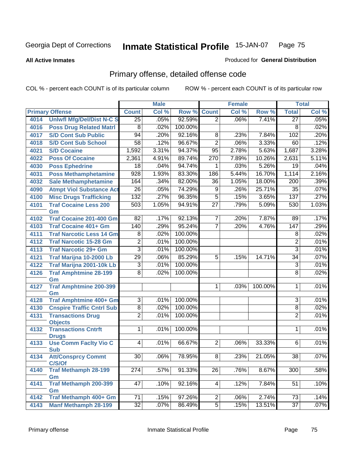#### **All Active Inmates**

# Produced for **General Distribution**

## Primary offense, detailed offense code

|      |                                            |                  | <b>Male</b> |         |                 | <b>Female</b> |         |                  | <b>Total</b> |
|------|--------------------------------------------|------------------|-------------|---------|-----------------|---------------|---------|------------------|--------------|
|      | <b>Primary Offense</b>                     | <b>Count</b>     | Col %       | Row %   | <b>Count</b>    | Col %         | Row %   | <b>Total</b>     | Col %        |
| 4014 | <b>Uniwfl Mfg/Del/Dist N-C S</b>           | $\overline{25}$  | .05%        | 92.59%  | $\overline{2}$  | .06%          | 7.41%   | $\overline{27}$  | .05%         |
| 4016 | <b>Poss Drug Related Matri</b>             | 8                | .02%        | 100.00% |                 |               |         | 8                | .02%         |
| 4017 | <b>S/D Cont Sub Public</b>                 | 94               | .20%        | 92.16%  | 8               | .23%          | 7.84%   | 102              | .20%         |
| 4018 | <b>S/D Cont Sub School</b>                 | $\overline{58}$  | .12%        | 96.67%  | $\overline{2}$  | .06%          | 3.33%   | 60               | .12%         |
| 4021 | <b>S/D Cocaine</b>                         | 1,592            | 3.31%       | 94.37%  | 95              | 2.78%         | 5.63%   | 1,687            | 3.28%        |
| 4022 | <b>Poss Of Cocaine</b>                     | 2,361            | 4.91%       | 89.74%  | 270             | 7.89%         | 10.26%  | 2,631            | 5.11%        |
| 4030 | <b>Poss Ephedrine</b>                      | $\overline{18}$  | .04%        | 94.74%  | 1               | .03%          | 5.26%   | $\overline{19}$  | .04%         |
| 4031 | <b>Poss Methamphetamine</b>                | 928              | 1.93%       | 83.30%  | 186             | 5.44%         | 16.70%  | 1,114            | 2.16%        |
| 4032 | <b>Sale Methamphetamine</b>                | 164              | .34%        | 82.00%  | $\overline{36}$ | 1.05%         | 18.00%  | 200              | .39%         |
| 4090 | <b>Atmpt Viol Substance Act</b>            | $\overline{26}$  | .05%        | 74.29%  | $\overline{9}$  | .26%          | 25.71%  | 35               | .07%         |
| 4100 | <b>Misc Drugs Trafficking</b>              | 132              | .27%        | 96.35%  | $\overline{5}$  | .15%          | 3.65%   | 137              | .27%         |
| 4101 | <b>Traf Cocaine Less 200</b><br>Gm         | $\overline{503}$ | 1.05%       | 94.91%  | $\overline{27}$ | .79%          | 5.09%   | 530              | 1.03%        |
| 4102 | <b>Traf Cocaine 201-400 Gm</b>             | $\overline{82}$  | .17%        | 92.13%  | $\overline{7}$  | .20%          | 7.87%   | 89               | .17%         |
| 4103 | <b>Traf Cocaine 401+ Gm</b>                | 140              | .29%        | 95.24%  | $\overline{7}$  | .20%          | 4.76%   | $\overline{147}$ | .29%         |
| 4111 | <b>Traf Narcotic Less 14 Gm</b>            | 8                | .02%        | 100.00% |                 |               |         | 8                | .02%         |
| 4112 | <b>Traf Narcotic 15-28 Gm</b>              | $\overline{2}$   | .01%        | 100.00% |                 |               |         | $\overline{2}$   | .01%         |
| 4113 | <b>Traf Narcotic 29+ Gm</b>                | $\overline{3}$   | .01%        | 100.00% |                 |               |         | 3                | .01%         |
| 4121 | Traf Marijna 10-2000 Lb                    | $\overline{29}$  | .06%        | 85.29%  | 5               | .15%          | 14.71%  | 34               | .07%         |
| 4122 | <b>Traf Marijna 2001-10k Lb</b>            | 3                | .01%        | 100.00% |                 |               |         | 3                | .01%         |
| 4126 | <b>Traf Amphtmine 28-199</b>               | $\overline{8}$   | .02%        | 100.00% |                 |               |         | $\overline{8}$   | .02%         |
|      | Gm                                         |                  |             |         |                 |               |         |                  |              |
| 4127 | <b>Traf Amphtmine 200-399</b>              |                  |             |         | $\mathbf{1}$    | .03%          | 100.00% | 1                | .01%         |
| 4128 | Gm<br><b>Traf Amphtmine 400+ Gm</b>        | $\overline{3}$   | .01%        | 100.00% |                 |               |         | $\overline{3}$   | .01%         |
| 4130 | <b>Cnspire Traffic Cntrl Sub</b>           | $\overline{8}$   | .02%        | 100.00% |                 |               |         | 8                | .02%         |
| 4131 | <b>Transactions Drug</b>                   | $\overline{2}$   | .01%        | 100.00% |                 |               |         | $\overline{2}$   | .01%         |
|      | <b>Objects</b>                             |                  |             |         |                 |               |         |                  |              |
| 4132 | <b>Transactions Cntrft</b><br><b>Drugs</b> | $\overline{1}$   | .01%        | 100.00% |                 |               |         | 1                | .01%         |
| 4133 | <b>Use Comm Facity Vio C</b><br><b>Sub</b> | $\overline{4}$   | .01%        | 66.67%  | $\overline{2}$  | .06%          | 33.33%  | 6                | .01%         |
| 4134 | <b>Att/Consprcy Commt</b><br>C/S/Of        | 30               | .06%        | 78.95%  | $\overline{8}$  | .23%          | 21.05%  | 38               | .07%         |
| 4140 | <b>Traf Methamph 28-199</b><br>Gm          | 274              | .57%        | 91.33%  | 26              | .76%          | 8.67%   | 300              | .58%         |
| 4141 | <b>Traf Methamph 200-399</b>               | 47               | .10%        | 92.16%  | $\vert 4 \vert$ | .12%          | 7.84%   | 51               | .10%         |
| 4142 | Gm<br>Traf Methamph 400+ Gm                | 71               | .15%        | 97.26%  | $\overline{2}$  | .06%          | 2.74%   | 73               | .14%         |
| 4143 | <b>Manf Methamph 28-199</b>                | $32\overline{)}$ | .07%        | 86.49%  | $\overline{5}$  | .15%          | 13.51%  | $\overline{37}$  | .07%         |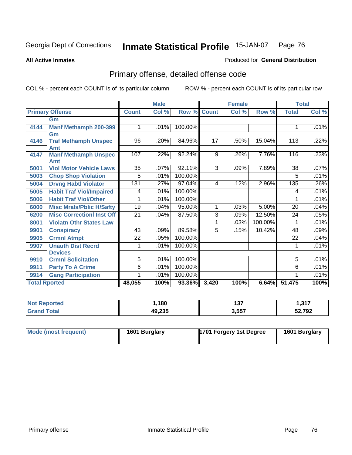**All Active Inmates**

### Produced for **General Distribution**

## Primary offense, detailed offense code

|      |                                  |                 | <b>Male</b> |         |                | <b>Female</b> |         | <b>Total</b>    |       |
|------|----------------------------------|-----------------|-------------|---------|----------------|---------------|---------|-----------------|-------|
|      | <b>Primary Offense</b>           | <b>Count</b>    | Col %       | Row %   | <b>Count</b>   | Col %         | Row %   | <b>Total</b>    | Col % |
|      | Gm                               |                 |             |         |                |               |         |                 |       |
| 4144 | <b>Manf Methamph 200-399</b>     |                 | .01%        | 100.00% |                |               |         | 1               | .01%  |
|      | Gm                               |                 |             |         |                |               |         |                 |       |
| 4146 | <b>Traf Methamph Unspec</b>      | 96              | .20%        | 84.96%  | 17             | .50%          | 15.04%  | 113             | .22%  |
|      | <b>Amt</b>                       |                 |             |         |                |               |         |                 |       |
| 4147 | <b>Manf Methamph Unspec</b>      | 107             | .22%        | 92.24%  | 9              | .26%          | 7.76%   | 116             | .23%  |
|      | Amt                              |                 |             |         |                |               |         |                 |       |
| 5001 | <b>Viol Motor Vehicle Laws</b>   | $\overline{35}$ | .07%        | 92.11%  | $\overline{3}$ | .09%          | 7.89%   | 38              | .07%  |
| 5003 | <b>Chop Shop Violation</b>       | $\overline{5}$  | .01%        | 100.00% |                |               |         | 5               | .01%  |
| 5004 | <b>Drvng Habtl Violator</b>      | 131             | .27%        | 97.04%  | 4              | .12%          | 2.96%   | 135             | .26%  |
| 5005 | <b>Habit Traf Viol/Impaired</b>  | 4               | .01%        | 100.00% |                |               |         | 4               | .01%  |
| 5006 | <b>Habit Traf Viol/Other</b>     |                 | .01%        | 100.00% |                |               |         |                 | .01%  |
| 6000 | <b>Misc Mrals/Pblic H/Safty</b>  | $\overline{19}$ | .04%        | 95.00%  | 1              | .03%          | 5.00%   | $\overline{20}$ | .04%  |
| 6200 | <b>Misc CorrectionI Inst Off</b> | 21              | .04%        | 87.50%  | $\overline{3}$ | .09%          | 12.50%  | 24              | .05%  |
| 8001 | <b>Violatn Othr States Law</b>   |                 |             |         | 1              | .03%          | 100.00% | 1               | .01%  |
| 9901 | <b>Conspiracy</b>                | 43              | .09%        | 89.58%  | 5              | .15%          | 10.42%  | 48              | .09%  |
| 9905 | <b>Crmnl Atmpt</b>               | $\overline{22}$ | .05%        | 100.00% |                |               |         | $\overline{22}$ | .04%  |
| 9907 | <b>Unauth Dist Recrd</b>         |                 | .01%        | 100.00% |                |               |         | 1               | .01%  |
|      | <b>Devices</b>                   |                 |             |         |                |               |         |                 |       |
| 9910 | <b>Crmnl Solicitation</b>        | $\overline{5}$  | .01%        | 100.00% |                |               |         | 5               | .01%  |
| 9911 | <b>Party To A Crime</b>          | 6               | .01%        | 100.00% |                |               |         | 6               | .01%  |
| 9914 | <b>Gang Participation</b>        |                 | .01%        | 100.00% |                |               |         |                 | .01%  |
|      | <b>Total Rported</b>             | 48,055          | 100%        | 93.36%  | 3,420          | 100%          | 6.64%   | 51,475          | 100%  |

| ισι | ,180                      | 407<br>1J <i>I</i> | 247<br>1.917 |
|-----|---------------------------|--------------------|--------------|
|     | $\lambda$<br>дч<br>49.ZJJ | 3,557              | 52,792       |

| Mode (most frequent) | 1601 Burglary | 1701 Forgery 1st Degree | 1601 Burglary |
|----------------------|---------------|-------------------------|---------------|
|----------------------|---------------|-------------------------|---------------|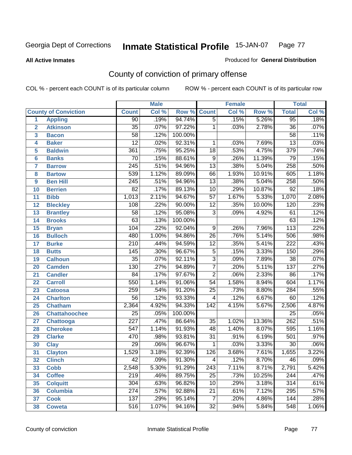**All Active Inmates**

#### Produced for **General Distribution**

## County of conviction of primary offense

|                         |                             |                  | <b>Male</b> |         |                 | <b>Female</b>  |        |                  | <b>Total</b> |
|-------------------------|-----------------------------|------------------|-------------|---------|-----------------|----------------|--------|------------------|--------------|
|                         | <b>County of Conviction</b> | <b>Count</b>     | Col %       | Row %   | <b>Count</b>    | Col %<br>Row % |        |                  | Col %        |
| 1                       | <b>Appling</b>              | $\overline{90}$  | .19%        | 94.74%  | $\overline{5}$  | .15%           | 5.26%  | 95               | .18%         |
| $\overline{2}$          | <b>Atkinson</b>             | $\overline{35}$  | .07%        | 97.22%  | 1               | .03%           | 2.78%  | $\overline{36}$  | .07%         |
| $\overline{\mathbf{3}}$ | <b>Bacon</b>                | $\overline{58}$  | .12%        | 100.00% |                 |                |        | $\overline{58}$  | .11%         |
| 4                       | <b>Baker</b>                | $\overline{12}$  | .02%        | 92.31%  | 1               | .03%           | 7.69%  | $\overline{13}$  | .03%         |
| 5                       | <b>Baldwin</b>              | 361              | .75%        | 95.25%  | $\overline{18}$ | .53%           | 4.75%  | 379              | .74%         |
| 6                       | <b>Banks</b>                | $\overline{70}$  | .15%        | 88.61%  | $\overline{9}$  | .26%           | 11.39% | $\overline{79}$  | .15%         |
| 7                       | <b>Barrow</b>               | $\overline{245}$ | .51%        | 94.96%  | $\overline{13}$ | .38%           | 5.04%  | 258              | .50%         |
| 8                       | <b>Bartow</b>               | 539              | 1.12%       | 89.09%  | 66              | 1.93%          | 10.91% | 605              | 1.18%        |
| 9                       | <b>Ben Hill</b>             | $\overline{245}$ | .51%        | 94.96%  | $\overline{13}$ | .38%           | 5.04%  | 258              | .50%         |
| 10                      | <b>Berrien</b>              | 82               | .17%        | 89.13%  | 10              | .29%           | 10.87% | 92               | .18%         |
| 11                      | <b>Bibb</b>                 | 1,013            | 2.11%       | 94.67%  | $\overline{57}$ | 1.67%          | 5.33%  | 1,070            | 2.08%        |
| 12                      | <b>Bleckley</b>             | 108              | .22%        | 90.00%  | $\overline{12}$ | .35%           | 10.00% | 120              | .23%         |
| $\overline{13}$         | <b>Brantley</b>             | $\overline{58}$  | .12%        | 95.08%  | $\overline{3}$  | .09%           | 4.92%  | 61               | .12%         |
| 14                      | <b>Brooks</b>               | $\overline{63}$  | .13%        | 100.00% |                 |                |        | 63               | .12%         |
| 15                      | <b>Bryan</b>                | 104              | .22%        | 92.04%  | $\overline{9}$  | .26%           | 7.96%  | $\overline{113}$ | .22%         |
| 16                      | <b>Bulloch</b>              | 480              | 1.00%       | 94.86%  | 26              | .76%           | 5.14%  | 506              | .98%         |
| 17                      | <b>Burke</b>                | $\overline{210}$ | .44%        | 94.59%  | $\overline{12}$ | .35%           | 5.41%  | $\overline{222}$ | .43%         |
| 18                      | <b>Butts</b>                | 145              | .30%        | 96.67%  | $\overline{5}$  | .15%           | 3.33%  | 150              | .29%         |
| 19                      | <b>Calhoun</b>              | $\overline{35}$  | .07%        | 92.11%  | $\overline{3}$  | .09%           | 7.89%  | $\overline{38}$  | .07%         |
| 20                      | <b>Camden</b>               | 130              | .27%        | 94.89%  | $\overline{7}$  | .20%           | 5.11%  | $\overline{137}$ | .27%         |
| 21                      | <b>Candler</b>              | $\overline{84}$  | .17%        | 97.67%  | $\overline{2}$  | .06%           | 2.33%  | 86               | .17%         |
| 22                      | <b>Carroll</b>              | 550              | 1.14%       | 91.06%  | $\overline{54}$ | 1.58%          | 8.94%  | 604              | 1.17%        |
| 23                      | <b>Catoosa</b>              | 259              | .54%        | 91.20%  | $\overline{25}$ | .73%           | 8.80%  | 284              | .55%         |
| 24                      | <b>Charlton</b>             | $\overline{56}$  | .12%        | 93.33%  | 4               | .12%           | 6.67%  | 60               | .12%         |
| 25                      | <b>Chatham</b>              | 2,364            | 4.92%       | 94.33%  | 142             | 4.15%          | 5.67%  | 2,506            | 4.87%        |
| 26                      | <b>Chattahoochee</b>        | $\overline{25}$  | .05%        | 100.00% |                 |                |        | $\overline{25}$  | .05%         |
| 27                      | <b>Chattooga</b>            | $\overline{227}$ | .47%        | 86.64%  | 35              | 1.02%          | 13.36% | 262              | .51%         |
| 28                      | <b>Cherokee</b>             | $\overline{547}$ | 1.14%       | 91.93%  | 48              | 1.40%          | 8.07%  | 595              | 1.16%        |
| 29                      | <b>Clarke</b>               | 470              | .98%        | 93.81%  | $\overline{31}$ | .91%           | 6.19%  | 501              | .97%         |
| 30                      | <b>Clay</b>                 | $\overline{29}$  | .06%        | 96.67%  | $\mathbf{1}$    | .03%           | 3.33%  | $\overline{30}$  | .06%         |
| 31                      | <b>Clayton</b>              | 1,529            | 3.18%       | 92.39%  | 126             | 3.68%          | 7.61%  | 1,655            | 3.22%        |
| 32                      | <b>Clinch</b>               | 42               | .09%        | 91.30%  | 4               | .12%           | 8.70%  | 46               | .09%         |
| 33                      | <b>Cobb</b>                 | 2,548            | 5.30%       | 91.29%  | 243             | 7.11%          | 8.71%  | 2,791            | 5.42%        |
| 34                      | <b>Coffee</b>               | 219              | .46%        | 89.75%  | 25              | .73%           | 10.25% | 244              | .47%         |
| 35                      | <b>Colquitt</b>             | 304              | .63%        | 96.82%  | 10              | .29%           | 3.18%  | 314              | .61%         |
| 36                      | <b>Columbia</b>             | 274              | .57%        | 92.88%  | 21              | .61%           | 7.12%  | 295              | .57%         |
| 37                      | <b>Cook</b>                 | 137              | .29%        | 95.14%  | $\overline{7}$  | .20%           | 4.86%  | 144              | .28%         |
| 38                      | <b>Coweta</b>               | 516              | 1.07%       | 94.16%  | 32              | .94%           | 5.84%  | 548              | 1.06%        |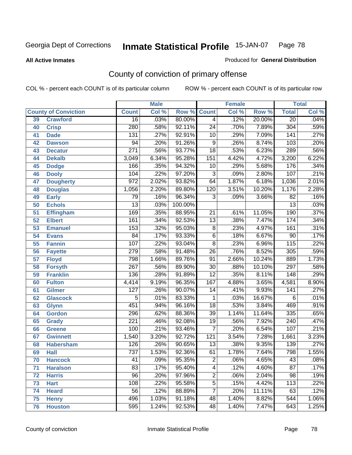#### **All Active Inmates**

### Produced for **General Distribution**

## County of conviction of primary offense

|    |                             | <b>Male</b>      |       |         |                 | <b>Female</b> | <b>Total</b> |                  |       |
|----|-----------------------------|------------------|-------|---------|-----------------|---------------|--------------|------------------|-------|
|    | <b>County of Conviction</b> | <b>Count</b>     | Col % | Row %   | <b>Count</b>    | Col %         | Row %        | <b>Total</b>     | Col % |
| 39 | <b>Crawford</b>             | $\overline{16}$  | .03%  | 80.00%  | $\overline{4}$  | .12%          | 20.00%       | $\overline{20}$  | .04%  |
| 40 | <b>Crisp</b>                | 280              | .58%  | 92.11%  | $\overline{24}$ | .70%          | 7.89%        | 304              | .59%  |
| 41 | <b>Dade</b>                 | 131              | .27%  | 92.91%  | 10              | .29%          | 7.09%        | 141              | .27%  |
| 42 | <b>Dawson</b>               | 94               | .20%  | 91.26%  | 9               | .26%          | 8.74%        | 103              | .20%  |
| 43 | <b>Decatur</b>              | $\overline{271}$ | .56%  | 93.77%  | $\overline{18}$ | .53%          | 6.23%        | 289              | .56%  |
| 44 | <b>Dekalb</b>               | 3,049            | 6.34% | 95.28%  | 151             | 4.42%         | 4.72%        | 3,200            | 6.22% |
| 45 | <b>Dodge</b>                | 166              | .35%  | 94.32%  | 10              | .29%          | 5.68%        | 176              | .34%  |
| 46 | <b>Dooly</b>                | 104              | .22%  | 97.20%  | $\overline{3}$  | .09%          | 2.80%        | 107              | .21%  |
| 47 | <b>Dougherty</b>            | $\overline{972}$ | 2.02% | 93.82%  | 64              | 1.87%         | 6.18%        | 1,036            | 2.01% |
| 48 | <b>Douglas</b>              | 1,056            | 2.20% | 89.80%  | 120             | 3.51%         | 10.20%       | 1,176            | 2.28% |
| 49 | <b>Early</b>                | 79               | .16%  | 96.34%  | 3               | .09%          | 3.66%        | $\overline{82}$  | .16%  |
| 50 | <b>Echols</b>               | $\overline{13}$  | .03%  | 100.00% |                 |               |              | $\overline{13}$  | .03%  |
| 51 | <b>Effingham</b>            | 169              | .35%  | 88.95%  | $\overline{21}$ | .61%          | 11.05%       | 190              | .37%  |
| 52 | <b>Elbert</b>               | 161              | .34%  | 92.53%  | $\overline{13}$ | .38%          | 7.47%        | 174              | .34%  |
| 53 | <b>Emanuel</b>              | 153              | .32%  | 95.03%  | $\overline{8}$  | .23%          | 4.97%        | 161              | .31%  |
| 54 | <b>Evans</b>                | $\overline{84}$  | .17%  | 93.33%  | $\overline{6}$  | .18%          | 6.67%        | 90               | .17%  |
| 55 | <b>Fannin</b>               | 107              | .22%  | 93.04%  | $\overline{8}$  | .23%          | 6.96%        | $\overline{115}$ | .22%  |
| 56 | <b>Fayette</b>              | 279              | .58%  | 91.48%  | $\overline{26}$ | .76%          | 8.52%        | 305              | .59%  |
| 57 | <b>Floyd</b>                | 798              | 1.66% | 89.76%  | $\overline{91}$ | 2.66%         | 10.24%       | 889              | 1.73% |
| 58 | <b>Forsyth</b>              | $\overline{267}$ | .56%  | 89.90%  | 30              | .88%          | 10.10%       | $\overline{297}$ | .58%  |
| 59 | <b>Franklin</b>             | 136              | .28%  | 91.89%  | $\overline{12}$ | .35%          | 8.11%        | $\overline{148}$ | .29%  |
| 60 | <b>Fulton</b>               | 4,414            | 9.19% | 96.35%  | 167             | 4.88%         | 3.65%        | 4,581            | 8.90% |
| 61 | Gilmer                      | 127              | .26%  | 90.07%  | 14              | .41%          | 9.93%        | 141              | .27%  |
| 62 | <b>Glascock</b>             | 5                | .01%  | 83.33%  | 1               | .03%          | 16.67%       | 6                | .01%  |
| 63 | <b>Glynn</b>                | 451              | .94%  | 96.16%  | 18              | .53%          | 3.84%        | 469              | .91%  |
| 64 | <b>Gordon</b>               | 296              | .62%  | 88.36%  | $\overline{39}$ | 1.14%         | 11.64%       | $\frac{1}{335}$  | .65%  |
| 65 | <b>Grady</b>                | $\overline{221}$ | .46%  | 92.08%  | $\overline{19}$ | .56%          | 7.92%        | $\overline{240}$ | .47%  |
| 66 | <b>Greene</b>               | 100              | .21%  | 93.46%  | 7               | .20%          | 6.54%        | 107              | .21%  |
| 67 | <b>Gwinnett</b>             | 1,540            | 3.20% | 92.72%  | 121             | 3.54%         | 7.28%        | 1,661            | 3.23% |
| 68 | <b>Habersham</b>            | 126              | .26%  | 90.65%  | 13              | .38%          | 9.35%        | 139              | .27%  |
| 69 | <b>Hall</b>                 | 737              | 1.53% | 92.36%  | 61              | 1.78%         | 7.64%        | 798              | 1.55% |
| 70 | <b>Hancock</b>              | 41               | .09%  | 95.35%  | 2               | .06%          | 4.65%        | 43               | .08%  |
| 71 | <b>Haralson</b>             | 83               | .17%  | 95.40%  | $\overline{4}$  | .12%          | 4.60%        | $\overline{87}$  | .17%  |
| 72 | <b>Harris</b>               | $\overline{96}$  | .20%  | 97.96%  | $\overline{2}$  | .06%          | 2.04%        | 98               | .19%  |
| 73 | <b>Hart</b>                 | 108              | .22%  | 95.58%  | $\overline{5}$  | .15%          | 4.42%        | 113              | .22%  |
| 74 | <b>Heard</b>                | 56               | .12%  | 88.89%  | $\overline{7}$  | .20%          | 11.11%       | 63               | .12%  |
| 75 | <b>Henry</b>                | 496              | 1.03% | 91.18%  | 48              | 1.40%         | 8.82%        | 544              | 1.06% |
| 76 | <b>Houston</b>              | 595              | 1.24% | 92.53%  | 48              | 1.40%         | 7.47%        | 643              | 1.25% |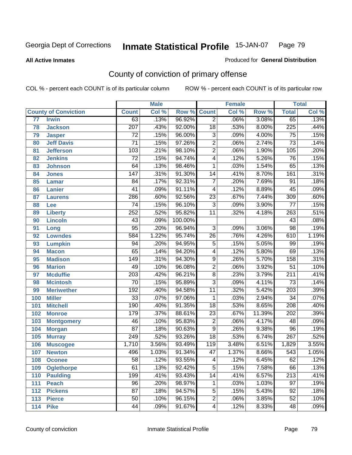**All Active Inmates**

### Produced for **General Distribution**

## County of conviction of primary offense

|     |                             |                  | <b>Male</b> |         |                 | <b>Female</b> |        |                  | <b>Total</b> |
|-----|-----------------------------|------------------|-------------|---------|-----------------|---------------|--------|------------------|--------------|
|     | <b>County of Conviction</b> | <b>Count</b>     | Col %       | Row %   | <b>Count</b>    | Col %         | Row %  | <b>Total</b>     | Col %        |
| 77  | <b>Irwin</b>                | 63               | .13%        | 96.92%  | $\overline{2}$  | .06%          | 3.08%  | 65               | .13%         |
| 78  | <b>Jackson</b>              | $\overline{207}$ | .43%        | 92.00%  | $\overline{18}$ | .53%          | 8.00%  | $\overline{225}$ | .44%         |
| 79  | <b>Jasper</b>               | $\overline{72}$  | .15%        | 96.00%  | $\overline{3}$  | .09%          | 4.00%  | $\overline{75}$  | .15%         |
| 80  | <b>Jeff Davis</b>           | $\overline{71}$  | .15%        | 97.26%  | $\overline{2}$  | .06%          | 2.74%  | $\overline{73}$  | .14%         |
| 81  | <b>Jefferson</b>            | 103              | .21%        | 98.10%  | $\overline{2}$  | .06%          | 1.90%  | $\overline{105}$ | .20%         |
| 82  | <b>Jenkins</b>              | $\overline{72}$  | .15%        | 94.74%  | $\overline{4}$  | .12%          | 5.26%  | $\overline{76}$  | .15%         |
| 83  | <b>Johnson</b>              | $\overline{64}$  | .13%        | 98.46%  | 1               | .03%          | 1.54%  | 65               | .13%         |
| 84  | <b>Jones</b>                | $\overline{147}$ | .31%        | 91.30%  | 14              | .41%          | 8.70%  | 161              | .31%         |
| 85  | <b>Lamar</b>                | $\overline{84}$  | .17%        | 92.31%  | $\overline{7}$  | .20%          | 7.69%  | $\overline{91}$  | .18%         |
| 86  | <b>Lanier</b>               | $\overline{41}$  | .09%        | 91.11%  | 4               | .12%          | 8.89%  | 45               | .09%         |
| 87  | <b>Laurens</b>              | 286              | .60%        | 92.56%  | $\overline{23}$ | .67%          | 7.44%  | 309              | .60%         |
| 88  | Lee                         | 74               | .15%        | 96.10%  | $\overline{3}$  | .09%          | 3.90%  | $\overline{77}$  | .15%         |
| 89  | <b>Liberty</b>              | 252              | .52%        | 95.82%  | $\overline{11}$ | .32%          | 4.18%  | 263              | .51%         |
| 90  | <b>Lincoln</b>              | 43               | .09%        | 100.00% |                 |               |        | 43               | .08%         |
| 91  | Long                        | $\overline{95}$  | .20%        | 96.94%  | $\overline{3}$  | .09%          | 3.06%  | $\overline{98}$  | .19%         |
| 92  | <b>Lowndes</b>              | 584              | 1.22%       | 95.74%  | 26              | .76%          | 4.26%  | 610              | 1.19%        |
| 93  | <b>Lumpkin</b>              | 94               | .20%        | 94.95%  | $\overline{5}$  | .15%          | 5.05%  | 99               | .19%         |
| 94  | <b>Macon</b>                | $\overline{65}$  | .14%        | 94.20%  | 4               | .12%          | 5.80%  | 69               | .13%         |
| 95  | <b>Madison</b>              | $\overline{149}$ | .31%        | 94.30%  | $\overline{9}$  | .26%          | 5.70%  | 158              | .31%         |
| 96  | <b>Marion</b>               | 49               | .10%        | 96.08%  | $\overline{2}$  | .06%          | 3.92%  | $\overline{51}$  | .10%         |
| 97  | <b>Mcduffie</b>             | $\overline{203}$ | .42%        | 96.21%  | $\overline{8}$  | .23%          | 3.79%  | $\overline{211}$ | .41%         |
| 98  | <b>Mcintosh</b>             | 70               | .15%        | 95.89%  | $\overline{3}$  | .09%          | 4.11%  | $\overline{73}$  | .14%         |
| 99  | <b>Meriwether</b>           | $\overline{192}$ | .40%        | 94.58%  | $\overline{11}$ | .32%          | 5.42%  | $\overline{203}$ | .39%         |
| 100 | <b>Miller</b>               | $\overline{33}$  | .07%        | 97.06%  | 1               | .03%          | 2.94%  | $\overline{34}$  | .07%         |
| 101 | <b>Mitchell</b>             | 190              | .40%        | 91.35%  | $\overline{18}$ | .53%          | 8.65%  | $\overline{208}$ | .40%         |
| 102 | <b>Monroe</b>               | 179              | .37%        | 88.61%  | $\overline{23}$ | .67%          | 11.39% | $\overline{202}$ | .39%         |
| 103 | <b>Montgomery</b>           | 46               | .10%        | 95.83%  | $\overline{2}$  | .06%          | 4.17%  | 48               | .09%         |
| 104 | <b>Morgan</b>               | $\overline{87}$  | .18%        | 90.63%  | $\overline{9}$  | .26%          | 9.38%  | $\overline{96}$  | .19%         |
| 105 | <b>Murray</b>               | 249              | .52%        | 93.26%  | $\overline{18}$ | .53%          | 6.74%  | $\overline{267}$ | .52%         |
| 106 | <b>Muscogee</b>             | 1,710            | 3.56%       | 93.49%  | 119             | 3.48%         | 6.51%  | 1,829            | 3.55%        |
| 107 | <b>Newton</b>               | 496              | 1.03%       | 91.34%  | $\overline{47}$ | 1.37%         | 8.66%  | $\overline{543}$ | 1.05%        |
| 108 | <b>Oconee</b>               | 58               | .12%        | 93.55%  | 4               | .12%          | 6.45%  | 62               | .12%         |
| 109 | <b>Oglethorpe</b>           | $\overline{61}$  | .13%        | 92.42%  | $\overline{5}$  | .15%          | 7.58%  | 66               | .13%         |
| 110 | <b>Paulding</b>             | 199              | .41%        | 93.43%  | $\overline{14}$ | .41%          | 6.57%  | $\overline{213}$ | .41%         |
| 111 | <b>Peach</b>                | $\overline{96}$  | .20%        | 98.97%  | 1               | .03%          | 1.03%  | $\overline{97}$  | .19%         |
| 112 | <b>Pickens</b>              | $\overline{87}$  | .18%        | 94.57%  | 5               | .15%          | 5.43%  | 92               | .18%         |
| 113 | <b>Pierce</b>               | $\overline{50}$  | .10%        | 96.15%  | $\overline{2}$  | .06%          | 3.85%  | 52               | .10%         |
| 114 | <b>Pike</b>                 | 44               | .09%        | 91.67%  | 4               | .12%          | 8.33%  | 48               | .09%         |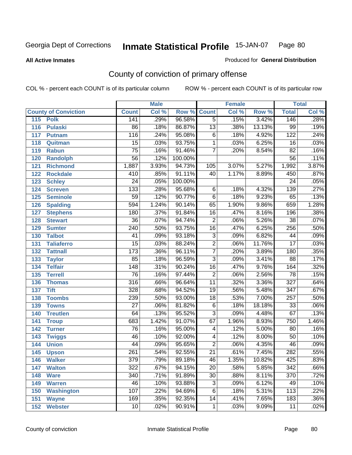**All Active Inmates**

#### Produced for **General Distribution**

## County of conviction of primary offense

|     |                             |                  | <b>Male</b> |                    |                 | <b>Female</b> |        |                  | <b>Total</b> |
|-----|-----------------------------|------------------|-------------|--------------------|-----------------|---------------|--------|------------------|--------------|
|     | <b>County of Conviction</b> | <b>Count</b>     | Col %       | <b>Row % Count</b> |                 | Col %         | Row %  | <b>Total</b>     | Col %        |
| 115 | <b>Polk</b>                 | 141              | .29%        | 96.58%             | $\overline{5}$  | .15%          | 3.42%  | 146              | .28%         |
| 116 | <b>Pulaski</b>              | 86               | .18%        | 86.87%             | 13              | .38%          | 13.13% | 99               | .19%         |
| 117 | <b>Putnam</b>               | 116              | .24%        | 95.08%             | 6               | .18%          | 4.92%  | 122              | .24%         |
| 118 | Quitman                     | $\overline{15}$  | .03%        | 93.75%             | 1               | .03%          | 6.25%  | 16               | .03%         |
| 119 | <b>Rabun</b>                | $\overline{75}$  | .16%        | 91.46%             | $\overline{7}$  | .20%          | 8.54%  | $\overline{82}$  | .16%         |
| 120 | <b>Randolph</b>             | $\overline{56}$  | .12%        | 100.00%            |                 |               |        | 56               | .11%         |
| 121 | <b>Richmond</b>             | 1,887            | 3.93%       | 94.73%             | 105             | 3.07%         | 5.27%  | 1,992            | 3.87%        |
| 122 | <b>Rockdale</b>             | 410              | .85%        | 91.11%             | 40              | 1.17%         | 8.89%  | 450              | .87%         |
| 123 | <b>Schley</b>               | $\overline{24}$  | .05%        | 100.00%            |                 |               |        | $\overline{24}$  | .05%         |
| 124 | <b>Screven</b>              | $\overline{133}$ | .28%        | 95.68%             | $\,6$           | .18%          | 4.32%  | 139              | .27%         |
| 125 | <b>Seminole</b>             | $\overline{59}$  | .12%        | 90.77%             | $\overline{6}$  | .18%          | 9.23%  | 65               | .13%         |
| 126 | <b>Spalding</b>             | 594              | 1.24%       | 90.14%             | 65              | 1.90%         | 9.86%  | 659              | 1.28%        |
| 127 | <b>Stephens</b>             | 180              | .37%        | 91.84%             | $\overline{16}$ | .47%          | 8.16%  | 196              | .38%         |
| 128 | <b>Stewart</b>              | $\overline{36}$  | .07%        | 94.74%             | $\overline{2}$  | .06%          | 5.26%  | $\overline{38}$  | .07%         |
| 129 | <b>Sumter</b>               | $\overline{240}$ | .50%        | 93.75%             | $\overline{16}$ | .47%          | 6.25%  | 256              | .50%         |
| 130 | <b>Talbot</b>               | 41               | .09%        | 93.18%             | $\overline{3}$  | .09%          | 6.82%  | 44               | .09%         |
| 131 | <b>Taliaferro</b>           | $\overline{15}$  | .03%        | 88.24%             | $\overline{2}$  | .06%          | 11.76% | $\overline{17}$  | .03%         |
| 132 | <b>Tattnall</b>             | $\overline{173}$ | .36%        | 96.11%             | $\overline{7}$  | .20%          | 3.89%  | 180              | .35%         |
| 133 | <b>Taylor</b>               | 85               | .18%        | 96.59%             | $\overline{3}$  | .09%          | 3.41%  | $\overline{88}$  | .17%         |
| 134 | <b>Telfair</b>              | $\overline{148}$ | .31%        | 90.24%             | 16              | .47%          | 9.76%  | 164              | .32%         |
| 135 | <b>Terrell</b>              | $\overline{76}$  | .16%        | 97.44%             | $\overline{2}$  | .06%          | 2.56%  | $\overline{78}$  | .15%         |
| 136 | <b>Thomas</b>               | 316              | .66%        | 96.64%             | $\overline{11}$ | .32%          | 3.36%  | $\overline{327}$ | .64%         |
| 137 | <b>Tift</b>                 | 328              | .68%        | 94.52%             | $\overline{19}$ | .56%          | 5.48%  | $\overline{347}$ | .67%         |
| 138 | <b>Toombs</b>               | 239              | .50%        | 93.00%             | 18              | .53%          | 7.00%  | $\overline{257}$ | .50%         |
| 139 | <b>Towns</b>                | $\overline{27}$  | .06%        | 81.82%             | $\overline{6}$  | .18%          | 18.18% | $\overline{33}$  | .06%         |
| 140 | <b>Treutlen</b>             | 64               | .13%        | 95.52%             | $\overline{3}$  | .09%          | 4.48%  | 67               | .13%         |
| 141 | <b>Troup</b>                | 683              | 1.42%       | 91.07%             | 67              | 1.96%         | 8.93%  | 750              | 1.46%        |
| 142 | <b>Turner</b>               | $\overline{76}$  | .16%        | 95.00%             | 4               | .12%          | 5.00%  | 80               | .16%         |
| 143 | <b>Twiggs</b>               | 46               | .10%        | 92.00%             | 4               | .12%          | 8.00%  | $\overline{50}$  | .10%         |
| 144 | <b>Union</b>                | 44               | .09%        | 95.65%             | $\overline{2}$  | .06%          | 4.35%  | 46               | .09%         |
| 145 | <b>Upson</b>                | $\overline{261}$ | .54%        | 92.55%             | $\overline{21}$ | .61%          | 7.45%  | 282              | .55%         |
| 146 | <b>Walker</b>               | 379              | .79%        | 89.18%             | 46              | 1.35%         | 10.82% | 425              | .83%         |
| 147 | <b>Walton</b>               | 322              | .67%        | 94.15%             | $\overline{20}$ | .58%          | 5.85%  | $\overline{342}$ | .66%         |
| 148 | <b>Ware</b>                 | 340              | .71%        | 91.89%             | 30              | .88%          | 8.11%  | 370              | .72%         |
| 149 | <b>Warren</b>               | 46               | .10%        | 93.88%             | $\overline{3}$  | .09%          | 6.12%  | 49               | .10%         |
| 150 | <b>Washington</b>           | 107              | .22%        | 94.69%             | 6               | .18%          | 5.31%  | 113              | .22%         |
| 151 | <b>Wayne</b>                | 169              | .35%        | 92.35%             | 14              | .41%          | 7.65%  | 183              | .36%         |
| 152 | <b>Webster</b>              | 10               | .02%        | 90.91%             | $\mathbf{1}$    | .03%          | 9.09%  | 11               | .02%         |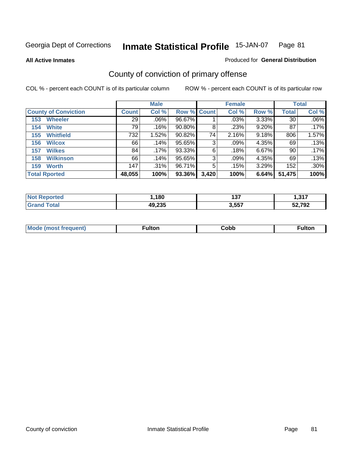**All Active Inmates**

#### Produced for **General Distribution**

## County of conviction of primary offense

|                             |              | <b>Male</b> |             |       | <b>Female</b> |       |              | <b>Total</b> |
|-----------------------------|--------------|-------------|-------------|-------|---------------|-------|--------------|--------------|
| <b>County of Conviction</b> | <b>Count</b> | Col %       | Row % Count |       | Col %         | Row % | <b>Total</b> | Col %        |
| <b>Wheeler</b><br>153       | 29           | $.06\%$     | 96.67%      |       | .03%          | 3.33% | 30           | $.06\%$      |
| <b>White</b><br>154         | 79           | .16%        | $90.80\%$   | 8     | .23%          | 9.20% | 87           | .17%         |
| <b>Whitfield</b><br>155     | 732          | 1.52%       | 90.82%      | 74    | 2.16%         | 9.18% | 806          | 1.57%        |
| 156<br><b>Wilcox</b>        | 66           | .14%        | 95.65%      | 3     | $.09\%$       | 4.35% | 69           | .13%         |
| <b>Wilkes</b><br>157        | 84           | .17%        | 93.33%      | 6     | .18%          | 6.67% | 90           | .17%         |
| <b>Wilkinson</b><br>158     | 66           | .14%        | 95.65%      | 3     | .09%          | 4.35% | 69           | .13%         |
| <b>Worth</b><br>159         | 147          | $.31\%$     | 96.71%      | 5     | .15%          | 3.29% | 152          | .30%         |
| <b>Total Rported</b>        | 48,055       | 100%        | 93.36%      | 3,420 | 100%          | 6.64% | 51,475       | 100%         |

| N       | .180   | - - - | 247            |
|---------|--------|-------|----------------|
| 1 1 1 0 |        | 1 J I | - 2            |
|         | 49,235 | 3,557 | 207 לה<br>. JL |

| <b>Mo</b><br>uent) | ™ulton<br>_____ | obb∶ | <b>AIWIF</b> |
|--------------------|-----------------|------|--------------|
|                    |                 |      |              |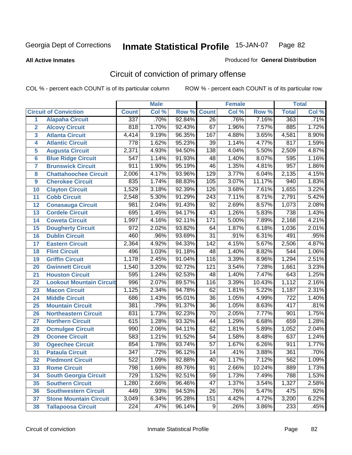**All Active Inmates**

#### Produced for **General Distribution**

## Circuit of conviction of primary offense

|                         |                                 |                  | <b>Male</b> |        |                  | <b>Female</b> |        |                  | <b>Total</b> |
|-------------------------|---------------------------------|------------------|-------------|--------|------------------|---------------|--------|------------------|--------------|
|                         | <b>Circuit of Conviction</b>    | <b>Count</b>     | Col %       | Row %  | <b>Count</b>     | Col %         | Row %  | <b>Total</b>     | Col %        |
| 1                       | <b>Alapaha Circuit</b>          | 337              | .70%        | 92.84% | $\overline{26}$  | .76%          | 7.16%  | 363              | .71%         |
| $\overline{2}$          | <b>Alcovy Circuit</b>           | 818              | 1.70%       | 92.43% | 67               | 1.96%         | 7.57%  | 885              | 1.72%        |
| $\overline{\mathbf{3}}$ | <b>Atlanta Circuit</b>          | 4,414            | 9.19%       | 96.35% | 167              | 4.88%         | 3.65%  | 4,581            | 8.90%        |
| 4                       | <b>Atlantic Circuit</b>         | 778              | 1.62%       | 95.23% | $\overline{39}$  | 1.14%         | 4.77%  | 817              | 1.59%        |
| 5                       | <b>Augusta Circuit</b>          | 2,371            | 4.93%       | 94.50% | 138              | 4.04%         | 5.50%  | 2,509            | 4.87%        |
| $6\phantom{a}$          | <b>Blue Ridge Circuit</b>       | $\overline{547}$ | 1.14%       | 91.93% | 48               | 1.40%         | 8.07%  | 595              | 1.16%        |
| $\overline{\mathbf{7}}$ | <b>Brunswick Circuit</b>        | 911              | 1.90%       | 95.19% | 46               | 1.35%         | 4.81%  | 957              | 1.86%        |
| 8                       | <b>Chattahoochee Circuit</b>    | 2,006            | 4.17%       | 93.96% | $\overline{129}$ | 3.77%         | 6.04%  | 2,135            | 4.15%        |
| 9                       | <b>Cherokee Circuit</b>         | 835              | 1.74%       | 88.83% | 105              | 3.07%         | 11.17% | 940              | 1.83%        |
| 10                      | <b>Clayton Circuit</b>          | 1,529            | 3.18%       | 92.39% | 126              | 3.68%         | 7.61%  | 1,655            | 3.22%        |
| 11                      | <b>Cobb Circuit</b>             | 2,548            | 5.30%       | 91.29% | $\overline{243}$ | 7.11%         | 8.71%  | 2,791            | 5.42%        |
| 12                      | <b>Conasauga Circuit</b>        | 981              | 2.04%       | 91.43% | $\overline{92}$  | 2.69%         | 8.57%  | 1,073            | 2.08%        |
| 13                      | <b>Cordele Circuit</b>          | 695              | 1.45%       | 94.17% | 43               | 1.26%         | 5.83%  | 738              | 1.43%        |
| 14                      | <b>Coweta Circuit</b>           | 1,997            | 4.16%       | 92.11% | 171              | 5.00%         | 7.89%  | 2,168            | 4.21%        |
| 15                      | <b>Dougherty Circuit</b>        | 972              | 2.02%       | 93.82% | 64               | 1.87%         | 6.18%  | 1,036            | 2.01%        |
| 16                      | <b>Dublin Circuit</b>           | 460              | .96%        | 93.69% | $\overline{31}$  | .91%          | 6.31%  | 491              | .95%         |
| 17                      | <b>Eastern Circuit</b>          | 2,364            | 4.92%       | 94.33% | $\overline{142}$ | 4.15%         | 5.67%  | 2,506            | 4.87%        |
| 18                      | <b>Flint Circuit</b>            | 496              | 1.03%       | 91.18% | 48               | 1.40%         | 8.82%  | 544              | 1.06%        |
| 19                      | <b>Griffin Circuit</b>          | 1,178            | 2.45%       | 91.04% | 116              | 3.39%         | 8.96%  | 1,294            | 2.51%        |
| 20                      | <b>Gwinnett Circuit</b>         | 1,540            | 3.20%       | 92.72% | $\overline{121}$ | 3.54%         | 7.28%  | 1,661            | 3.23%        |
| 21                      | <b>Houston Circuit</b>          | 595              | 1.24%       | 92.53% | 48               | 1.40%         | 7.47%  | 643              | 1.25%        |
| $\overline{22}$         | <b>Lookout Mountain Circuit</b> | 996              | 2.07%       | 89.57% | 116              | 3.39%         | 10.43% | 1,112            | 2.16%        |
| 23                      | <b>Macon Circuit</b>            | 1,125            | 2.34%       | 94.78% | 62               | 1.81%         | 5.22%  | 1,187            | 2.31%        |
| 24                      | <b>Middle Circuit</b>           | 686              | 1.43%       | 95.01% | 36               | 1.05%         | 4.99%  | $\overline{722}$ | 1.40%        |
| 25                      | <b>Mountain Circuit</b>         | 381              | .79%        | 91.37% | $\overline{36}$  | 1.05%         | 8.63%  | 417              | .81%         |
| 26                      | <b>Northeastern Circuit</b>     | 831              | 1.73%       | 92.23% | $\overline{70}$  | 2.05%         | 7.77%  | 901              | 1.75%        |
| 27                      | <b>Northern Circuit</b>         | 615              | 1.28%       | 93.32% | 44               | 1.29%         | 6.68%  | 659              | 1.28%        |
| 28                      | <b>Ocmulgee Circuit</b>         | 990              | 2.06%       | 94.11% | 62               | 1.81%         | 5.89%  | 1,052            | 2.04%        |
| 29                      | <b>Oconee Circuit</b>           | 583              | 1.21%       | 91.52% | $\overline{54}$  | 1.58%         | 8.48%  | 637              | 1.24%        |
| 30                      | <b>Ogeechee Circuit</b>         | 854              | 1.78%       | 93.74% | $\overline{57}$  | 1.67%         | 6.26%  | 911              | 1.77%        |
| $\overline{31}$         | <b>Pataula Circuit</b>          | 347              | .72%        | 96.12% | 14               | .41%          | 3.88%  | 361              | .70%         |
| 32                      | <b>Piedmont Circuit</b>         | 522              | 1.09%       | 92.88% | 40               | 1.17%         | 7.12%  | 562              | 1.09%        |
| 33                      | <b>Rome Circuit</b>             | 798              | 1.66%       | 89.76% | 91               | 2.66%         | 10.24% | 889              | 1.73%        |
| 34                      | <b>South Georgia Circuit</b>    | 729              | 1.52%       | 92.51% | $\overline{59}$  | 1.73%         | 7.49%  | 788              | 1.53%        |
| 35                      | <b>Southern Circuit</b>         | 1,280            | 2.66%       | 96.46% | 47               | 1.37%         | 3.54%  | 1,327            | 2.58%        |
| 36                      | <b>Southwestern Circuit</b>     | 449              | .93%        | 94.53% | 26               | .76%          | 5.47%  | 475              | .92%         |
| 37                      | <b>Stone Mountain Circuit</b>   | 3,049            | 6.34%       | 95.28% | 151              | 4.42%         | 4.72%  | 3,200            | 6.22%        |
| 38                      | <b>Tallapoosa Circuit</b>       | $\overline{224}$ | .47%        | 96.14% | $\overline{9}$   | .26%          | 3.86%  | 233              | .45%         |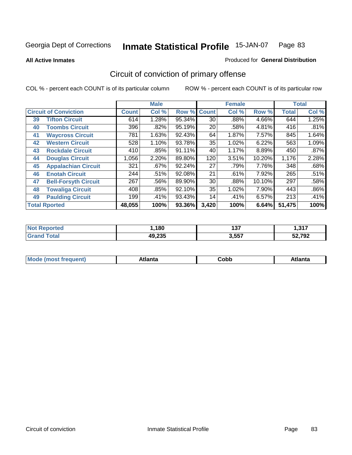**All Active Inmates**

#### Produced for **General Distribution**

## Circuit of conviction of primary offense

|    |                              |              | <b>Male</b> |        |              | <b>Female</b> |        |              | <b>Total</b> |
|----|------------------------------|--------------|-------------|--------|--------------|---------------|--------|--------------|--------------|
|    | <b>Circuit of Conviction</b> | <b>Count</b> | Col %       | Row %  | <b>Count</b> | Col %         | Row %  | <b>Total</b> | Col %        |
| 39 | <b>Tifton Circuit</b>        | 614          | 1.28%       | 95.34% | 30           | .88%          | 4.66%  | 644          | 1.25%        |
| 40 | <b>Toombs Circuit</b>        | 396          | .82%        | 95.19% | 20           | .58%          | 4.81%  | 416          | .81%         |
| 41 | <b>Waycross Circuit</b>      | 781          | 1.63%       | 92.43% | 64           | 1.87%         | 7.57%  | 845          | 1.64%        |
| 42 | <b>Western Circuit</b>       | 528          | 1.10%       | 93.78% | 35           | 1.02%         | 6.22%  | 563          | 1.09%        |
| 43 | <b>Rockdale Circuit</b>      | 410          | .85%        | 91.11% | 40           | 1.17%         | 8.89%  | 450          | .87%         |
| 44 | <b>Douglas Circuit</b>       | 1,056        | 2.20%       | 89.80% | 120          | 3.51%         | 10.20% | 1,176        | 2.28%        |
| 45 | <b>Appalachian Circuit</b>   | 321          | .67%        | 92.24% | 27           | .79%          | 7.76%  | 348          | .68%         |
| 46 | <b>Enotah Circuit</b>        | 244          | .51%        | 92.08% | 21           | .61%          | 7.92%  | 265          | .51%         |
| 47 | <b>Bell-Forsyth Circuit</b>  | 267          | .56%        | 89.90% | 30           | .88%          | 10.10% | 297          | .58%         |
| 48 | <b>Towaliga Circuit</b>      | 408          | .85%        | 92.10% | 35           | 1.02%         | 7.90%  | 443          | $.86\%$      |
| 49 | <b>Paulding Circuit</b>      | 199          | .41%        | 93.43% | 14           | .41%          | 6.57%  | 213          | .41%         |
|    | <b>Total Rported</b>         | 48,055       | 100%        | 93.36% | 3,420        | 100%          | 6.64%  | 51,475       | 100%         |

| τeα | ,180   | ר ה<br>197 | 247<br>. |
|-----|--------|------------|----------|
|     | 49,235 | 3,557      | 52,792   |

| M, | $+1 - - + -$<br>annu -<br>uu | ∶obb<br>- - - - - | .<br>чна<br>- --------- |
|----|------------------------------|-------------------|-------------------------|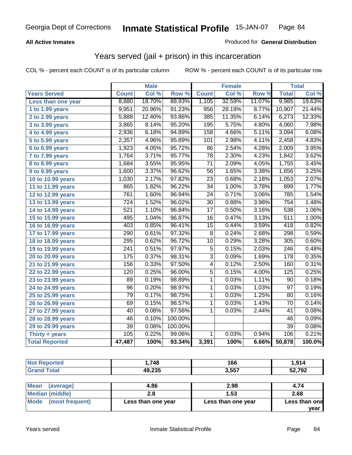### **All Active Inmates**

### Produced for **General Distribution**

## Years served (jail + prison) in this incarceration

|                              |                  | <b>Male</b> |         |                 | <b>Female</b> |        |                  | <b>Total</b> |
|------------------------------|------------------|-------------|---------|-----------------|---------------|--------|------------------|--------------|
| <b>Years Served</b>          | <b>Count</b>     | Col %       | Row %   | <b>Count</b>    | Col %         | Row %  | <b>Total</b>     | Col %        |
| Less than one year           | 8,880            | 18.70%      | 88.93%  | 1,105           | 32.59%        | 11.07% | 9,985            | 19.63%       |
| 1 to 1.99 years              | 9,951            | 20.96%      | 91.23%  | 956             | 28.19%        | 8.77%  | 10,907           | 21.44%       |
| 2 to 2.99 years              | 5,888            | 12.40%      | 93.86%  | 385             | 11.35%        | 6.14%  | 6,273            | 12.33%       |
| 3 to 3.99 years              | 3,865            | 8.14%       | 95.20%  | 195             | 5.75%         | 4.80%  | 4,060            | 7.98%        |
| 4 to 4.99 years              | 2,936            | 6.18%       | 94.89%  | 158             | 4.66%         | 5.11%  | 3,094            | 6.08%        |
| 5 to 5.99 years              | 2,357            | 4.96%       | 95.89%  | 101             | 2.98%         | 4.11%  | 2,458            | 4.83%        |
| 6 to 6.99 years              | 1,923            | 4.05%       | 95.72%  | $\overline{86}$ | 2.54%         | 4.28%  | 2,009            | 3.95%        |
| $\overline{7}$ to 7.99 years | 1,764            | 3.71%       | 95.77%  | $\overline{78}$ | 2.30%         | 4.23%  | 1,842            | 3.62%        |
| 8 to 8.99 years              | 1,684            | 3.55%       | 95.95%  | $\overline{71}$ | 2.09%         | 4.05%  | 1,755            | 3.45%        |
| 9 to 9.99 years              | 1,600            | 3.37%       | 96.62%  | $\overline{56}$ | 1.65%         | 3.38%  | 1,656            | 3.25%        |
| 10 to 10.99 years            | 1,030            | 2.17%       | 97.82%  | $\overline{23}$ | 0.68%         | 2.18%  | 1,053            | 2.07%        |
| 11 to 11.99 years            | 865              | 1.82%       | 96.22%  | $\overline{34}$ | 1.00%         | 3.78%  | 899              | 1.77%        |
| 12 to 12.99 years            | 761              | 1.60%       | 96.94%  | 24              | 0.71%         | 3.06%  | 785              | 1.54%        |
| 13 to 13.99 years            | 724              | 1.52%       | 96.02%  | $\overline{30}$ | 0.88%         | 3.98%  | 754              | 1.48%        |
| 14 to 14.99 years            | $\overline{521}$ | 1.10%       | 96.84%  | $\overline{17}$ | 0.50%         | 3.16%  | 538              | 1.06%        |
| 15 to 15.99 years            | 495              | 1.04%       | 96.87%  | 16              | 0.47%         | 3.13%  | $\overline{511}$ | 1.00%        |
| 16 to 16.99 years            | 403              | 0.85%       | 96.41%  | $\overline{15}$ | 0.44%         | 3.59%  | 418              | 0.82%        |
| 17 to 17.99 years            | 290              | 0.61%       | 97.32%  | $\overline{8}$  | 0.24%         | 2.68%  | 298              | 0.59%        |
| 18 to 18.99 years            | 295              | 0.62%       | 96.72%  | 10              | 0.29%         | 3.28%  | 305              | 0.60%        |
| 19 to 19.99 years            | 241              | 0.51%       | 97.97%  | $\overline{5}$  | 0.15%         | 2.03%  | $\overline{246}$ | 0.48%        |
| 20 to 20.99 years            | 175              | 0.37%       | 98.31%  | $\overline{3}$  | 0.09%         | 1.69%  | 178              | 0.35%        |
| 21 to 21.99 years            | 156              | 0.33%       | 97.50%  | 4               | 0.12%         | 2.50%  | 160              | 0.31%        |
| 22 to 22.99 years            | 120              | 0.25%       | 96.00%  | $\overline{5}$  | 0.15%         | 4.00%  | 125              | 0.25%        |
| 23 to 23.99 years            | $\overline{89}$  | 0.19%       | 98.89%  | $\overline{1}$  | 0.03%         | 1.11%  | $\overline{90}$  | 0.18%        |
| 24 to 24.99 years            | $\overline{96}$  | 0.20%       | 98.97%  | 1               | 0.03%         | 1.03%  | $\overline{97}$  | 0.19%        |
| 25 to 25.99 years            | $\overline{79}$  | 0.17%       | 98.75%  | $\overline{1}$  | 0.03%         | 1.25%  | $\overline{80}$  | 0.16%        |
| 26 to 26.99 years            | 69               | 0.15%       | 98.57%  | 1               | 0.03%         | 1.43%  | 70               | 0.14%        |
| 27 to 27.99 years            | 40               | 0.08%       | 97.56%  | $\mathbf{1}$    | 0.03%         | 2.44%  | 41               | 0.08%        |
| 28 to 28.99 years            | 46               | 0.10%       | 100.00% |                 |               |        | 46               | 0.09%        |
| 29 to 29.99 years            | $\overline{39}$  | 0.08%       | 100.00% |                 |               |        | 39               | 0.08%        |
| Thirty + years               | 105              | 0.22%       | 99.06%  | $\overline{1}$  | 0.03%         | 0.94%  | 106              | 0.21%        |
| <b>Total Reported</b>        | 47,487           | 100%        | 93.34%  | 3,391           | 100%          | 6.66%  | 50,878           | 100.0%       |

| ιeα | 748,   | 166  | 1,914 |
|-----|--------|------|-------|
|     | 49,235 | 2557 | ,792  |

| Mean<br>(average)       | 4.86               | 2.98               | 4.74          |
|-------------------------|--------------------|--------------------|---------------|
| Median (middle)         |                    | 1.53               | 2.68          |
| Mode<br>(most frequent) | Less than one year | Less than one year | Less than one |
|                         |                    |                    | vear          |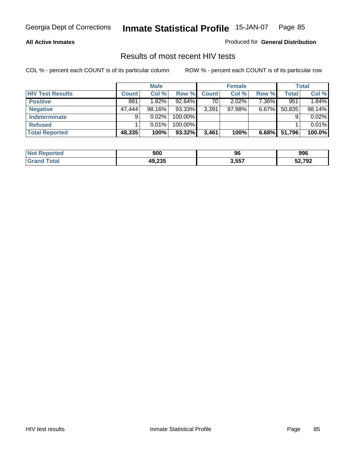#### **All Active Inmates**

Produced for **General Distribution**

### Results of most recent HIV tests

|                         |              | <b>Male</b> |         |              | <b>Female</b> |          |              | Total  |
|-------------------------|--------------|-------------|---------|--------------|---------------|----------|--------------|--------|
| <b>HIV Test Results</b> | <b>Count</b> | Col %       | Row %   | <b>Count</b> | Col %         | Row %    | <b>Total</b> | Col %  |
| <b>Positive</b>         | 881          | $1.82\%$    | 92.64%  | 70           | 2.02%         | 7.36%    | 951          | 1.84%  |
| <b>Negative</b>         | 47,444       | 98.16%      | 93.33%  | 3,391        | 97.98%        | $6.67\%$ | 50,835       | 98.14% |
| <b>Indeterminate</b>    | 9            | 0.02%       | 100.00% |              |               |          |              | 0.02%  |
| <b>Refused</b>          |              | 0.01%       | 100.00% |              |               |          |              | 0.01%  |
| <b>Total Reported</b>   | 48,335       | 100%        | 93.32%  | 3,461        | 100%          | 6.68%    | 51,796       | 100.0% |

| <b>Not</b><br>Reported | 900                    | 96    | 996    |
|------------------------|------------------------|-------|--------|
| <b>Grand</b><br>™otal  | ハロ つつに<br>лU<br>49.ZJJ | 3,557 | 52,792 |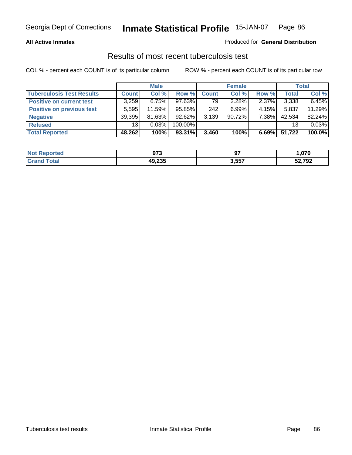### **All Active Inmates**

### Produced for **General Distribution**

### Results of most recent tuberculosis test

|                                  |              | <b>Male</b> |         |              | <b>Female</b> |       |              | Total  |
|----------------------------------|--------------|-------------|---------|--------------|---------------|-------|--------------|--------|
| <b>Tuberculosis Test Results</b> | <b>Count</b> | Col %       | Row %   | <b>Count</b> | Col %         | Row % | <b>Total</b> | Col %  |
| <b>Positive on current test</b>  | 3,259        | 6.75%       | 97.63%  | 79           | 2.28%         | 2.37% | 3,338        | 6.45%  |
| <b>Positive on previous test</b> | 5,595        | 11.59%      | 95.85%  | 242          | 6.99%         | 4.15% | 5,837        | 11.29% |
| <b>Negative</b>                  | 39,395       | 81.63%      | 92.62%  | 3,139        | $90.72\%$     | 7.38% | 42,534       | 82.24% |
| <b>Refused</b>                   | 13           | 0.03%       | 100.00% |              |               |       | 13           | 0.03%  |
| <b>Total Reported</b>            | 48,262       | 100%        | 93.31%  | 3,460        | 100%          | 6.69% | 51,722       | 100.0% |

| <b>Not</b>            | מדח    | ~-    | .070   |
|-----------------------|--------|-------|--------|
| Reported              | J I J  | J,    |        |
| <b>Grand</b><br>⊤otar | 49,235 | 3,557 | 52,792 |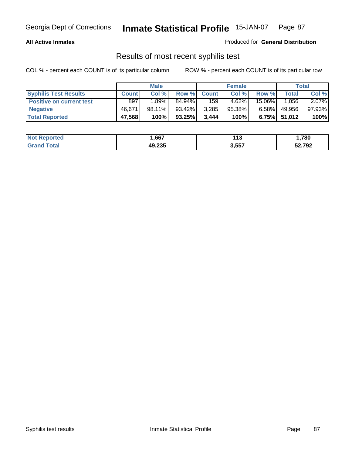### **All Active Inmates**

Produced for **General Distribution**

### Results of most recent syphilis test

|                                 |              | <b>Male</b> |        |              | <b>Female</b> |          |                 | Total  |
|---------------------------------|--------------|-------------|--------|--------------|---------------|----------|-----------------|--------|
| <b>Syphilis Test Results</b>    | <b>Count</b> | Col %       | Row %  | <b>Count</b> | Col %         | Row %    | <b>Total</b>    | Col %  |
| <b>Positive on current test</b> | 897          | ا %89. ا    | 84.94% | 159          | 4.62%         | 15.06%   | 1,056           | 2.07%  |
| <b>Negative</b>                 | 46.671       | 98.11%      | 93.42% | 3,285        | $95.38\%$     | $6.58\%$ | 49,956          | 97.93% |
| <b>Total Reported</b>           | 47,568       | 100%        | 93.25% | 3,444        | 100%          |          | $6.75\%$ 51,012 | 100%   |

| <b>Not Reported</b> | .667   | 44 C<br>- 1 - 2 | ,780   |
|---------------------|--------|-----------------|--------|
| Total<br>' Grand    | 49,235 | 3,557           | 52,792 |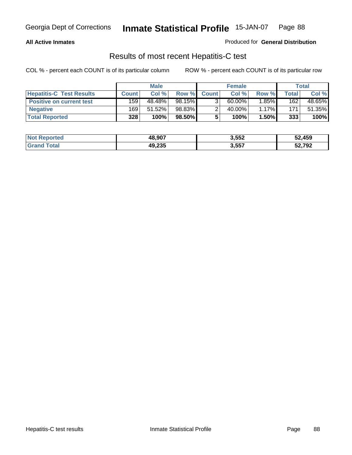### **All Active Inmates**

Produced for **General Distribution**

### Results of most recent Hepatitis-C test

|                                 |              | <b>Male</b> |        |              | <b>Female</b> |          |       | Total  |
|---------------------------------|--------------|-------------|--------|--------------|---------------|----------|-------|--------|
| <b>Hepatitis-C Test Results</b> | <b>Count</b> | Col %       | Row %  | <b>Count</b> | Col %         | Row %    | Total | Col %  |
| <b>Positive on current test</b> | 159          | 48.48%      | 98.15% |              | $60.00\%$     | $1.85\%$ | 162   | 48.65% |
| <b>Negative</b>                 | 169          | 51.52%      | 98.83% |              | 40.00%        | 1.17%    | 171   | 51.35% |
| <b>Total Reported</b>           | 328          | 100%        | 98.50% |              | 100%          | 1.50%    | 333   | 100%   |

| <b>Not Reported</b> | 48,907 | 3,552 | 52,459 |
|---------------------|--------|-------|--------|
| <b>Grand Total</b>  | 49,235 | 3,557 | 52,792 |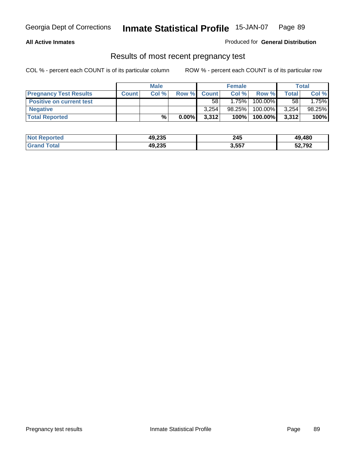### **All Active Inmates**

### Produced for **General Distribution**

### Results of most recent pregnancy test

|                                 |              | <b>Male</b> |          |              | <b>Female</b> |            |              | <b>Total</b> |
|---------------------------------|--------------|-------------|----------|--------------|---------------|------------|--------------|--------------|
| <b>Pregnancy Test Results</b>   | <b>Count</b> | Col%        | Row %    | <b>Count</b> | Col %         | Row %      | <b>Total</b> | Col %        |
| <b>Positive on current test</b> |              |             |          | 58           | 1.75%         | $100.00\%$ | 58           | 1.75%        |
| <b>Negative</b>                 |              |             |          | 3.254        | $98.25\%$     | 100.00%    | 3,254        | 98.25%       |
| <b>Total Reported</b>           |              | $\%$        | $0.00\%$ | 3,312        | 100%          | 100.00%    | 3,312        | 100%         |

| <b>Not Reported</b> | 49,235 | 245   | 49,480 |
|---------------------|--------|-------|--------|
| <b>Grand Total</b>  | 49,235 | 3,557 | 52,792 |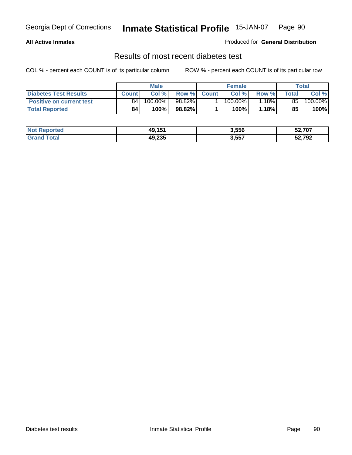### **All Active Inmates**

### Produced for **General Distribution**

### Results of most recent diabetes test

|                                 |              | <b>Male</b> |        |              | <b>Female</b> |          |       | Total   |
|---------------------------------|--------------|-------------|--------|--------------|---------------|----------|-------|---------|
| <b>Diabetes Test Results</b>    | <b>Count</b> | Col %       | Row %  | <b>Count</b> | Col %         | Row %    | Total | Col %   |
| <b>Positive on current test</b> | 84           | 100.00%     | 98.82% |              | $100.00\%$    | $1.18\%$ | 85    | 100.00% |
| <b>Total Reported</b>           | 84           | 100%        | 98.82% |              | 100%          | 1.18%    | 85    | 100%    |

| <b>Not Reported</b> | 49 151 | 3,556 | 52,707 |
|---------------------|--------|-------|--------|
| ⊺otal<br>Gran       | 49,235 | 3,557 | 52,792 |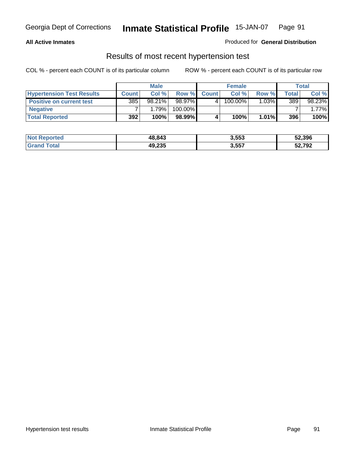### **All Active Inmates**

### Produced for **General Distribution**

### Results of most recent hypertension test

|                                  |              | <b>Male</b> |         |              | <b>Female</b> |          |       | <b>Total</b> |
|----------------------------------|--------------|-------------|---------|--------------|---------------|----------|-------|--------------|
| <b>Hypertension Test Results</b> | <b>Count</b> | Col %       | Row %   | <b>Count</b> | Col%          | Row %    | Total | Col %        |
| <b>Positive on current test</b>  | 385          | $98.21\%$   | 98.97%  |              | 100.00%       | $1.03\%$ | 389   | 98.23%       |
| <b>Negative</b>                  |              | 1.79%       | 100.00% |              |               |          |       | $1.77\%$     |
| <b>Total Reported</b>            | 392          | 100%        | 98.99%  |              | 100%          | $1.01\%$ | 396   | 100%         |

| <b>Not Reported</b> | 48,843 | 3,553 | 52,396 |
|---------------------|--------|-------|--------|
| <b>Grand Total</b>  | 49,235 | 3,557 | 52,792 |